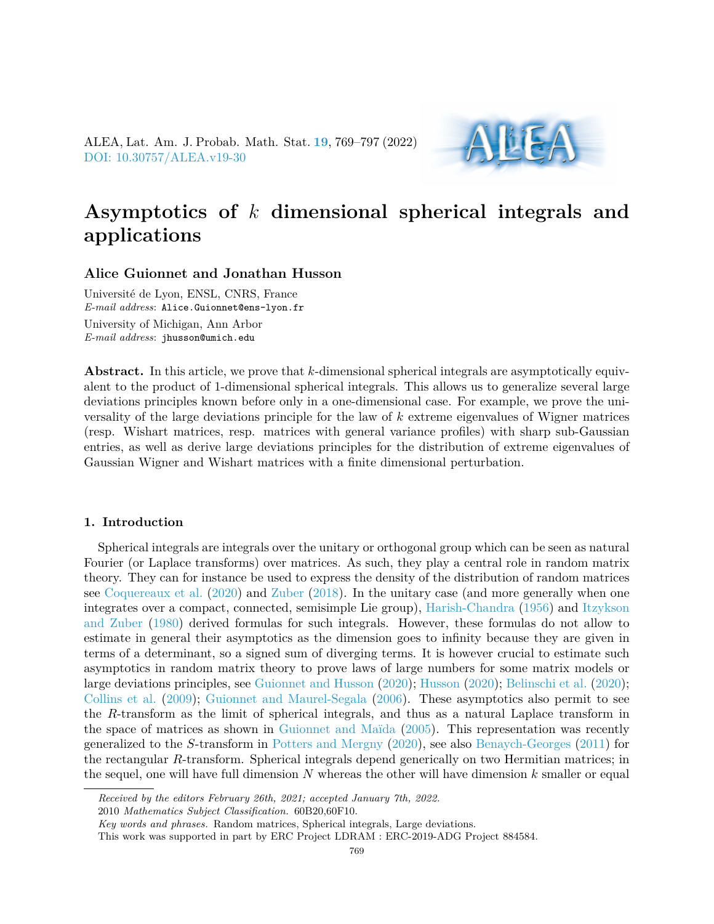ALEA, Lat. Am. J. Probab. Math. Stat. **[19](http://alea.impa.br/english/index_v19.htm)**, 769–797 (2022) [DOI: 10.30757/ALEA.v19-30](https://doi.org/10.30757/ALEA.v19-30)



# **Asymptotics of** *k* **dimensional spherical integrals and applications**

## **Alice Guionnet and Jonathan Husson**

Université de Lyon, ENSL, CNRS, France *E-mail address*: Alice.Guionnet@ens-lyon.fr University of Michigan, Ann Arbor *E-mail address*: jhusson@umich.edu

**Abstract.** In this article, we prove that *k*-dimensional spherical integrals are asymptotically equivalent to the product of 1-dimensional spherical integrals. This allows us to generalize several large deviations principles known before only in a one-dimensional case. For example, we prove the universality of the large deviations principle for the law of *k* extreme eigenvalues of Wigner matrices (resp. Wishart matrices, resp. matrices with general variance profiles) with sharp sub-Gaussian entries, as well as derive large deviations principles for the distribution of extreme eigenvalues of Gaussian Wigner and Wishart matrices with a finite dimensional perturbation.

## **1. Introduction**

Spherical integrals are integrals over the unitary or orthogonal group which can be seen as natural Fourier (or Laplace transforms) over matrices. As such, they play a central role in random matrix theory. They can for instance be used to express the density of the distribution of random matrices see [Coquereaux et al.](#page-27-0) [\(2020\)](#page-27-0) and [Zuber](#page-28-0) [\(2018\)](#page-28-0). In the unitary case (and more generally when one integrates over a compact, connected, semisimple Lie group), [Harish-Chandra](#page-28-1) [\(1956\)](#page-28-1) and [Itzykson](#page-28-2) [and Zuber](#page-28-2) [\(1980\)](#page-28-2) derived formulas for such integrals. However, these formulas do not allow to estimate in general their asymptotics as the dimension goes to infinity because they are given in terms of a determinant, so a signed sum of diverging terms. It is however crucial to estimate such asymptotics in random matrix theory to prove laws of large numbers for some matrix models or large deviations principles, see [Guionnet and Husson](#page-27-1) [\(2020\)](#page-27-1); [Husson](#page-28-3) [\(2020\)](#page-28-3); [Belinschi et al.](#page-27-2) [\(2020\)](#page-27-2); [Collins et al.](#page-27-3) [\(2009\)](#page-27-3); [Guionnet and Maurel-Segala](#page-27-4) [\(2006\)](#page-27-4). These asymptotics also permit to see the *R*-transform as the limit of spherical integrals, and thus as a natural Laplace transform in the space of matrices as shown in [Guionnet and Maïda](#page-27-5) [\(2005\)](#page-27-5). This representation was recently generalized to the *S*-transform in [Potters and Mergny](#page-28-4) [\(2020\)](#page-28-4), see also [Benaych-Georges](#page-27-6) [\(2011\)](#page-27-6) for the rectangular *R*-transform. Spherical integrals depend generically on two Hermitian matrices; in the sequel, one will have full dimension *N* whereas the other will have dimension *k* smaller or equal

*Received by the editors February 26th, 2021; accepted January 7th, 2022.*

2010 *Mathematics Subject Classification.* 60B20,60F10.

*Key words and phrases.* Random matrices, Spherical integrals, Large deviations.

This work was supported in part by ERC Project LDRAM : ERC-2019-ADG Project 884584.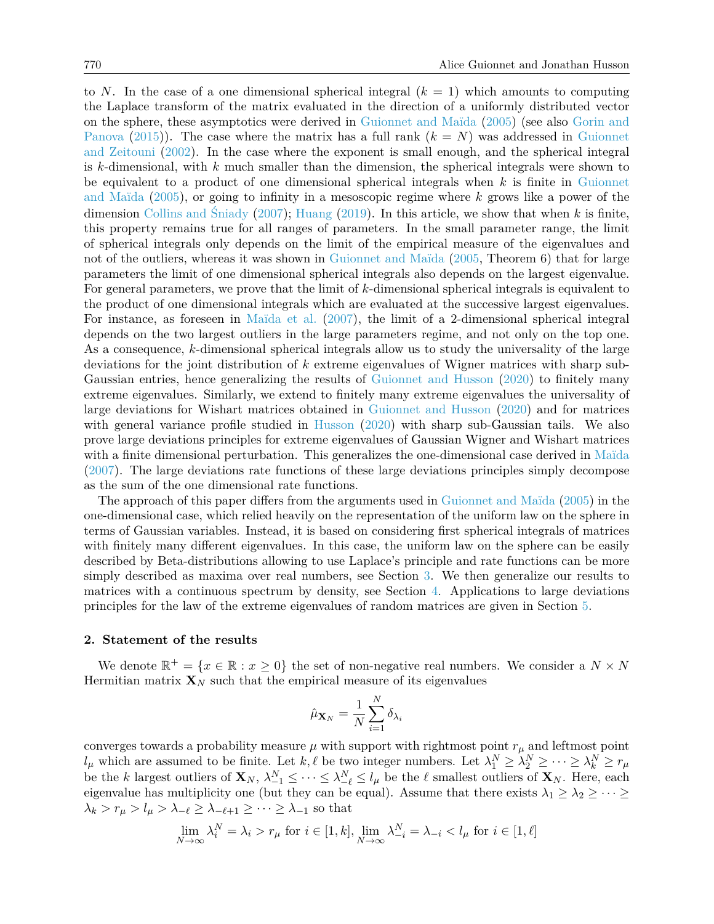to *N*. In the case of a one dimensional spherical integral  $(k = 1)$  which amounts to computing the Laplace transform of the matrix evaluated in the direction of a uniformly distributed vector on the sphere, these asymptotics were derived in [Guionnet and Maïda](#page-27-5) [\(2005\)](#page-27-5) (see also [Gorin and](#page-27-7) [Panova](#page-27-7) [\(2015\)](#page-27-7)). The case where the matrix has a full rank  $(k = N)$  was addressed in [Guionnet](#page-27-8) [and Zeitouni](#page-27-8) [\(2002\)](#page-27-8). In the case where the exponent is small enough, and the spherical integral is *k*-dimensional, with *k* much smaller than the dimension, the spherical integrals were shown to be equivalent to a product of one dimensional spherical integrals when *k* is finite in [Guionnet](#page-27-5) [and Maïda](#page-27-5) [\(2005\)](#page-27-5), or going to infinity in a mesoscopic regime where *k* grows like a power of the dimension [Collins and Śniady](#page-27-9) [\(2007\)](#page-27-9); [Huang](#page-28-5) [\(2019\)](#page-28-5). In this article, we show that when *k* is finite, this property remains true for all ranges of parameters. In the small parameter range, the limit of spherical integrals only depends on the limit of the empirical measure of the eigenvalues and not of the outliers, whereas it was shown in [Guionnet and Maïda](#page-27-5) [\(2005,](#page-27-5) Theorem 6) that for large parameters the limit of one dimensional spherical integrals also depends on the largest eigenvalue. For general parameters, we prove that the limit of *k*-dimensional spherical integrals is equivalent to the product of one dimensional integrals which are evaluated at the successive largest eigenvalues. For instance, as foreseen in [Maïda et al.](#page-28-6) [\(2007\)](#page-28-6), the limit of a 2-dimensional spherical integral depends on the two largest outliers in the large parameters regime, and not only on the top one. As a consequence, *k*-dimensional spherical integrals allow us to study the universality of the large deviations for the joint distribution of *k* extreme eigenvalues of Wigner matrices with sharp sub-Gaussian entries, hence generalizing the results of [Guionnet and Husson](#page-27-1) [\(2020\)](#page-27-1) to finitely many extreme eigenvalues. Similarly, we extend to finitely many extreme eigenvalues the universality of large deviations for Wishart matrices obtained in [Guionnet and Husson](#page-27-1) [\(2020\)](#page-27-1) and for matrices with general variance profile studied in [Husson](#page-28-3) [\(2020\)](#page-28-3) with sharp sub-Gaussian tails. We also prove large deviations principles for extreme eigenvalues of Gaussian Wigner and Wishart matrices with a finite dimensional perturbation. This generalizes the one-dimensional case derived in [Maïda](#page-28-7) [\(2007\)](#page-28-7). The large deviations rate functions of these large deviations principles simply decompose as the sum of the one dimensional rate functions.

The approach of this paper differs from the arguments used in [Guionnet and Maïda](#page-27-5) [\(2005\)](#page-27-5) in the one-dimensional case, which relied heavily on the representation of the uniform law on the sphere in terms of Gaussian variables. Instead, it is based on considering first spherical integrals of matrices with finitely many different eigenvalues. In this case, the uniform law on the sphere can be easily described by Beta-distributions allowing to use Laplace's principle and rate functions can be more simply described as maxima over real numbers, see Section [3.](#page-6-0) We then generalize our results to matrices with a continuous spectrum by density, see Section [4.](#page-16-0) Applications to large deviations principles for the law of the extreme eigenvalues of random matrices are given in Section [5.](#page-18-0)

#### **2. Statement of the results**

We denote  $\mathbb{R}^+ = \{x \in \mathbb{R} : x \geq 0\}$  the set of non-negative real numbers. We consider a  $N \times N$ Hermitian matrix  $\mathbf{X}_N$  such that the empirical measure of its eigenvalues

$$
\hat{\mu}_{\mathbf{X}_N} = \frac{1}{N}\sum_{i=1}^N \delta_{\lambda_i}
$$

converges towards a probability measure  $\mu$  with support with rightmost point  $r_{\mu}$  and leftmost point *l*<sub>*µ*</sub> which are assumed to be finite. Let *k,*  $\ell$  be two integer numbers. Let  $\lambda_1^N \geq \lambda_2^N \geq \cdots \geq \lambda_k^N \geq r_{\mu}$ be the *k* largest outliers of  $\mathbf{X}_N$ ,  $\lambda_{-1}^N \leq \cdots \leq \lambda_{-\ell}^N \leq l_\mu$  be the  $\ell$  smallest outliers of  $\mathbf{X}_N$ . Here, each eigenvalue has multiplicity one (but they can be equal). Assume that there exists  $\lambda_1 \geq \lambda_2 \geq \cdots \geq$  $\lambda_k > r_\mu > l_\mu > \lambda_{-\ell} \geq \lambda_{-\ell+1} \geq \cdots \geq \lambda_{-1}$  so that

$$
\lim_{N \to \infty} \lambda_i^N = \lambda_i > r_\mu \text{ for } i \in [1, k], \lim_{N \to \infty} \lambda_{-i}^N = \lambda_{-i} < l_\mu \text{ for } i \in [1, \ell]
$$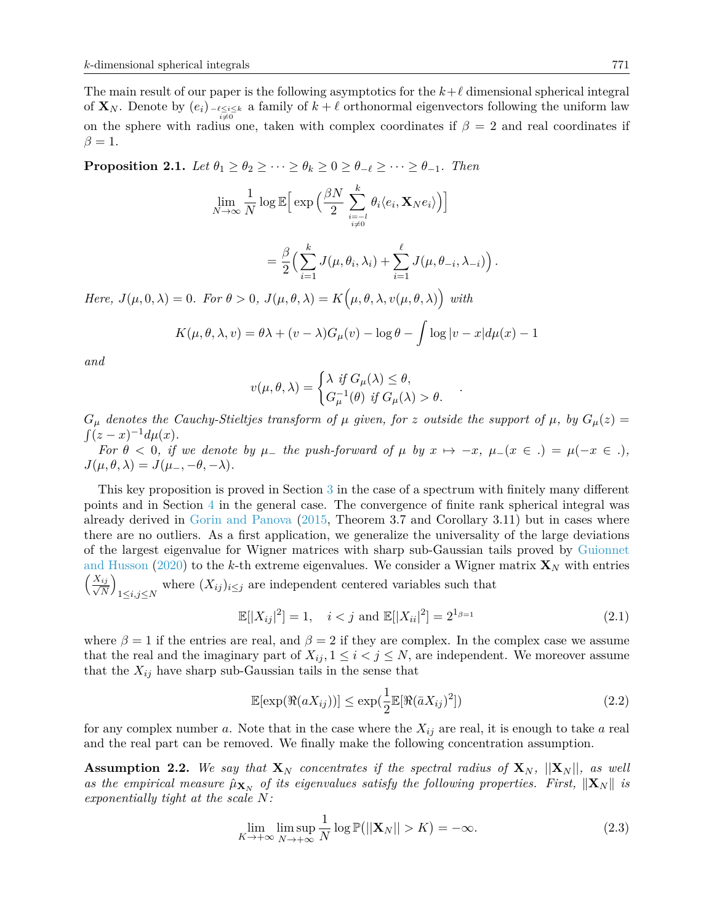The main result of our paper is the following asymptotics for the  $k+\ell$  dimensional spherical integral of  $\mathbf{X}_N$ . Denote by  $(e_i)$ <sub> $-e \le i \le k$ </sub> a family of  $k + \ell$  orthonormal eigenvectors following the uniform law on the sphere with radius one, taken with complex coordinates if  $\beta = 2$  and real coordinates if  $\beta=1$ .

<span id="page-2-3"></span>**Proposition 2.1.** *Let*  $\theta_1 \geq \theta_2 \geq \cdots \geq \theta_k \geq 0 \geq \theta_{-\ell} \geq \cdots \geq \theta_{-1}$ *. Then* 

$$
\lim_{N\to\infty}\frac{1}{N}\log\mathbb{E}\Big[\exp\Big(\frac{\beta N}{2}\sum_{\stackrel{i=-l}{i\neq 0}}^k\theta_i\langle e_i,\mathbf{X}_Ne_i\rangle\Big)\Big]
$$

$$
= \frac{\beta}{2} \Big( \sum_{i=1}^k J(\mu, \theta_i, \lambda_i) + \sum_{i=1}^\ell J(\mu, \theta_{-i}, \lambda_{-i}) \Big).
$$

*Here,*  $J(\mu, 0, \lambda) = 0$ *. For*  $\theta > 0$ *,*  $J(\mu, \theta, \lambda) = K(\mu, \theta, \lambda, v(\mu, \theta, \lambda))$  with

$$
K(\mu, \theta, \lambda, v) = \theta \lambda + (v - \lambda)G_{\mu}(v) - \log \theta - \int \log |v - x| d\mu(x) - 1
$$

*and*

$$
v(\mu, \theta, \lambda) = \begin{cases} \lambda & \text{if } G_{\mu}(\lambda) \leq \theta, \\ G_{\mu}^{-1}(\theta) & \text{if } G_{\mu}(\lambda) > \theta. \end{cases}
$$

 $G_{\mu}$  *denotes the Cauchy-Stieltjes transform of*  $\mu$  *given, for z outside the support of*  $\mu$ *, by*  $G_{\mu}(z)$  =  $\int (z-x)^{-1}d\mu(x)$ .

*For*  $\theta < 0$ , if we denote by  $\mu$ - the push-forward of  $\mu$  by  $x \mapsto -x$ ,  $\mu$ - $(x \in .) = \mu(-x \in .)$ ,  $J(\mu, \theta, \lambda) = J(\mu_-, -\theta, -\lambda).$ 

This key proposition is proved in Section [3](#page-6-0) in the case of a spectrum with finitely many different points and in Section [4](#page-16-0) in the general case. The convergence of finite rank spherical integral was already derived in [Gorin and Panova](#page-27-7) [\(2015,](#page-27-7) Theorem 3.7 and Corollary 3.11) but in cases where there are no outliers. As a first application, we generalize the universality of the large deviations of the largest eigenvalue for Wigner matrices with sharp sub-Gaussian tails proved by [Guionnet](#page-27-1) [and Husson](#page-27-1) [\(2020\)](#page-27-1) to the *k*-th extreme eigenvalues. We consider a Wigner matrix  $\mathbf{X}_N$  with entries √ *Xij N*  $\setminus$  $\sum_{1 \leq i,j \leq N}$  where  $(X_{ij})_{i \leq j}$  are independent centered variables such that

<span id="page-2-2"></span>
$$
\mathbb{E}[|X_{ij}|^2] = 1, \quad i < j \text{ and } \mathbb{E}[|X_{ii}|^2] = 2^{1_{\beta=1}} \tag{2.1}
$$

*.*

where  $\beta = 1$  if the entries are real, and  $\beta = 2$  if they are complex. In the complex case we assume that the real and the imaginary part of  $X_{ij}$ ,  $1 \leq i < j \leq N$ , are independent. We moreover assume that the  $X_{ij}$  have sharp sub-Gaussian tails in the sense that

<span id="page-2-1"></span>
$$
\mathbb{E}[\exp(\Re(aX_{ij}))] \le \exp(\frac{1}{2}\mathbb{E}[\Re(\bar{a}X_{ij})^2])\tag{2.2}
$$

for any complex number *a*. Note that in the case where the *Xij* are real, it is enough to take *a* real and the real part can be removed. We finally make the following concentration assumption.

<span id="page-2-0"></span>**Assumption 2.2.** We say that  $\mathbf{X}_N$  concentrates if the spectral radius of  $\mathbf{X}_N$ ,  $||\mathbf{X}_N||$ , as well *as the empirical measure*  $\hat{\mu}_{\mathbf{X}_N}$  *of its eigenvalues satisfy the following properties. First,*  $\|\mathbf{X}_N\|$  *is exponentially tight at the scale N:*

$$
\lim_{K \to +\infty} \limsup_{N \to +\infty} \frac{1}{N} \log \mathbb{P}(||\mathbf{X}_N|| > K) = -\infty.
$$
\n(2.3)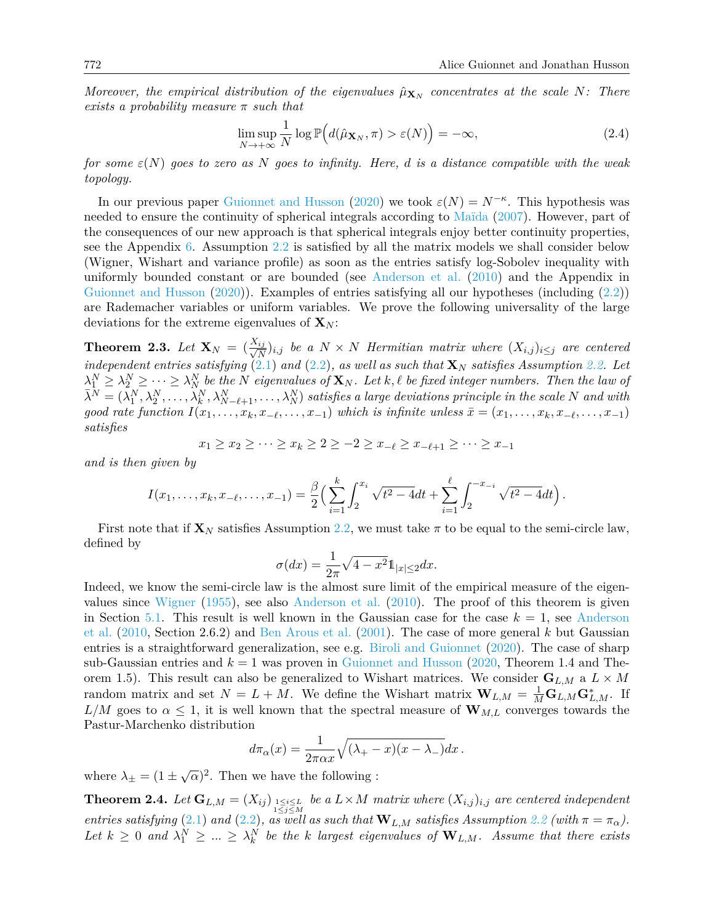*Moreover, the empirical distribution of the eigenvalues*  $\hat{\mu}_{\mathbf{X}_N}$  concentrates at the scale N: There *exists a probability measure π such that*

$$
\limsup_{N \to +\infty} \frac{1}{N} \log \mathbb{P}\Big(d(\hat{\mu}_{\mathbf{X}_N}, \pi) > \varepsilon(N)\Big) = -\infty, \tag{2.4}
$$

*for some ε*(*N*) *goes to zero as N goes to infinity. Here, d is a distance compatible with the weak topology.*

In our previous paper [Guionnet and Husson](#page-27-1) [\(2020\)](#page-27-1) we took  $\varepsilon(N) = N^{-\kappa}$ . This hypothesis was needed to ensure the continuity of spherical integrals according to [Maïda](#page-28-7) [\(2007\)](#page-28-7). However, part of the consequences of our new approach is that spherical integrals enjoy better continuity properties, see the Appendix [6.](#page-26-0) Assumption [2.2](#page-2-0) is satisfied by all the matrix models we shall consider below (Wigner, Wishart and variance profile) as soon as the entries satisfy log-Sobolev inequality with uniformly bounded constant or are bounded (see [Anderson et al.](#page-27-10) [\(2010\)](#page-27-10) and the Appendix in [Guionnet and Husson](#page-27-1) [\(2020\)](#page-27-1)). Examples of entries satisfying all our hypotheses (including [\(2.2\)](#page-2-1)) are Rademacher variables or uniform variables. We prove the following universality of the large deviations for the extreme eigenvalues of  $\mathbf{X}_N$ :

<span id="page-3-0"></span>**Theorem 2.3.** *Let*  $\mathbf{X}_N = \left(\frac{X_{ij}}{\sqrt{N}}\right)$  $\frac{M}{N}$ )*i,j* be a  $N \times N$  *Hermitian matrix where*  $(X_{i,j})_{i \leq j}$  *are centered*  $independent$  entries satisfying  $(2.1)$  and  $(2.2)$ , as well as such that  $\mathbf{X}_N$  satisfies Assumption [2.2.](#page-2-0) Let  $\lambda_1^N \geq \lambda_2^N \geq \cdots \geq \lambda_N^N$  be the N eigenvalues of  $\mathbf{X}_N$ . Let  $k, \ell$  be fixed integer numbers. Then the law of  $\bar{\lambda}^N=(\bar{\lambda}_1^N,\lambda_2^N,\ldots,\bar{\lambda}_k^N,\lambda_{N-\ell+1}^N,\ldots,\lambda_N^N)$  satisfies a large deviations principle in the scale N and with good rate function  $I(x_1,...,x_k,x_{-\ell},...,x_{-1})$  which is infinite unless  $\bar{x} = (x_1,...,x_k,x_{-\ell},...,x_{-1})$ *satisfies*

$$
x_1 \ge x_2 \ge \dots \ge x_k \ge 2 \ge -2 \ge x_{-\ell} \ge x_{-\ell+1} \ge \dots \ge x_{-1}
$$

*and is then given by*

$$
I(x_1,\ldots,x_k,x_{-\ell},\ldots,x_{-1})=\frac{\beta}{2}\Big(\sum_{i=1}^k\int_2^{x_i}\sqrt{t^2-4}dt+\sum_{i=1}^\ell\int_2^{-x_{-i}}\sqrt{t^2-4}dt\Big).
$$

First note that if  $\mathbf{X}_N$  satisfies Assumption [2.2,](#page-2-0) we must take  $\pi$  to be equal to the semi-circle law, defined by

$$
\sigma(dx) = \frac{1}{2\pi} \sqrt{4 - x^2} \mathbb{1}_{|x| \le 2} dx.
$$

Indeed, we know the semi-circle law is the almost sure limit of the empirical measure of the eigenvalues since [Wigner](#page-28-8) [\(1955\)](#page-28-8), see also [Anderson et al.](#page-27-10) [\(2010\)](#page-27-10). The proof of this theorem is given in Section [5.1.](#page-18-1) This result is well known in the Gaussian case for the case  $k = 1$ , see [Anderson](#page-27-10) [et al.](#page-27-10) [\(2010,](#page-27-10) Section 2.6.2) and [Ben Arous et al.](#page-27-11) [\(2001\)](#page-27-11). The case of more general *k* but Gaussian entries is a straightforward generalization, see e.g. [Biroli and Guionnet](#page-27-12) [\(2020\)](#page-27-12). The case of sharp sub-Gaussian entries and  $k = 1$  was proven in [Guionnet and Husson](#page-27-1) [\(2020,](#page-27-1) Theorem 1.4 and Theorem 1.5). This result can also be generalized to Wishart matrices. We consider  $\mathbf{G}_{L,M}$  a  $L \times M$ random matrix and set  $N = L + M$ . We define the Wishart matrix  $\mathbf{W}_{L,M} = \frac{1}{M} \mathbf{G}_{L,M} \mathbf{G}_{L,M}^*$ . If  $L/M$  goes to  $\alpha \leq 1$ , it is well known that the spectral measure of  $\mathbf{W}_{M,L}$  converges towards the Pastur-Marchenko distribution

$$
d\pi_{\alpha}(x) = \frac{1}{2\pi\alpha x} \sqrt{(\lambda_{+} - x)(x - \lambda_{-})} dx.
$$

where  $\lambda_{\pm} = (1 \pm \sqrt{\alpha})^2$ . Then we have the following :

<span id="page-3-1"></span>**Theorem 2.4.** Let  $\mathbf{G}_{L,M} = (X_{ij})_{1 \leq i \leq L \atop 1 \leq j \leq M}$  be a  $L \times M$  matrix where  $(X_{i,j})_{i,j}$  are centered independent *entries satisfying* [\(2.1\)](#page-2-2) *and* [\(2.2\)](#page-2-1)*, as well as such that*  $W_{L,M}$  *satisfies Assumption* [2.2](#page-2-0) (with  $\pi = \pi_{\alpha}$ ). Let  $k \geq 0$  and  $\lambda_1^N \geq ... \geq \lambda_k^N$  be the k largest eigenvalues of  $\mathbf{W}_{L,M}$ . Assume that there exists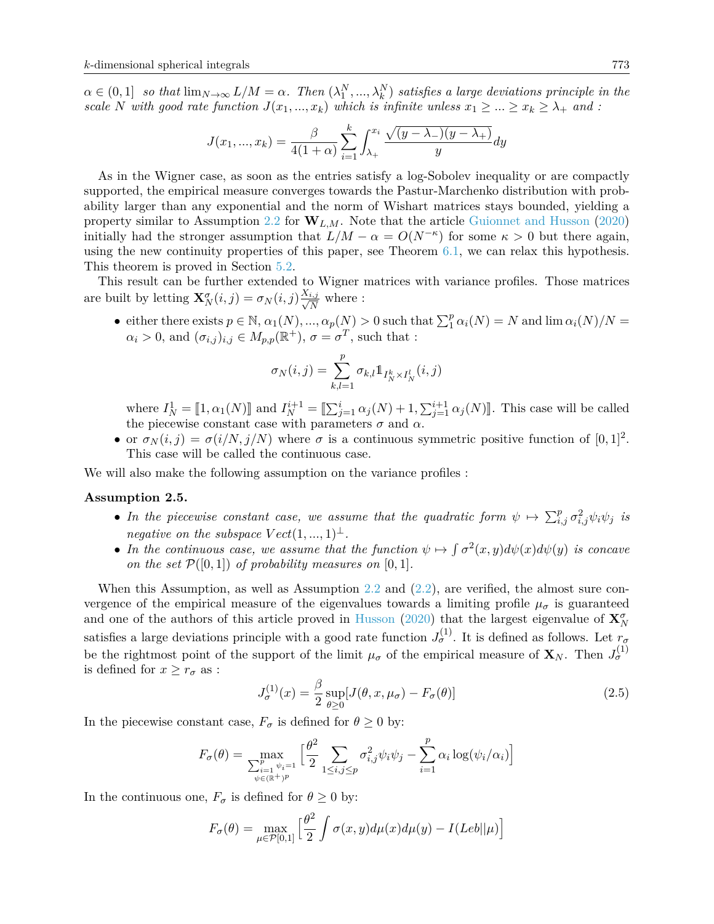$\alpha \in (0,1]$  *so that*  $\lim_{N\to\infty} L/M = \alpha$ . Then  $(\lambda_1^N,...,\lambda_k^N)$  satisfies a large deviations principle in the *scale N with good rate function*  $J(x_1, ..., x_k)$  *which is infinite unless*  $x_1 \ge ... \ge x_k \ge \lambda_+$  *and :* 

$$
J(x_1, ..., x_k) = \frac{\beta}{4(1+\alpha)} \sum_{i=1}^k \int_{\lambda_+}^{x_i} \frac{\sqrt{(y-\lambda_-)(y-\lambda_+)}}{y} dy
$$

As in the Wigner case, as soon as the entries satisfy a log-Sobolev inequality or are compactly supported, the empirical measure converges towards the Pastur-Marchenko distribution with probability larger than any exponential and the norm of Wishart matrices stays bounded, yielding a property similar to Assumption [2.2](#page-2-0) for  $W_{L,M}$ . Note that the article [Guionnet and Husson](#page-27-1) [\(2020\)](#page-27-1) initially had the stronger assumption that  $L/M - \alpha = O(N^{-\kappa})$  for some  $\kappa > 0$  but there again, using the new continuity properties of this paper, see Theorem  $6.1$ , we can relax this hypothesis. This theorem is proved in Section [5.2.](#page-19-0)

This result can be further extended to Wigner matrices with variance profiles. Those matrices are built by letting  $\mathbf{X}_N^{\sigma}(i,j) = \sigma_N(i,j) \frac{X_{i,j}}{\sqrt{N}}$  $\frac{i,j}{N}$  where :

• either there exists  $p \in \mathbb{N}$ ,  $\alpha_1(N)$ , ...,  $\alpha_p(N) > 0$  such that  $\sum_1^p \alpha_i(N) = N$  and  $\lim \alpha_i(N)/N =$  $\alpha_i > 0$ , and  $(\sigma_{i,j})_{i,j} \in M_{p,p}(\mathbb{R}^+), \sigma = \sigma^T$ , such that :

$$
\sigma_N(i,j) = \sum_{k,l=1}^p \sigma_{k,l} 1\!\!1_{I^k_N \times I^l_N}(i,j)
$$

where  $I_N^1 = [1, \alpha_1(N)]$  and  $I_N^{i+1} = [\sum_{j=1}^i \alpha_j(N) + 1, \sum_{j=1}^{i+1} \alpha_j(N)]$ . This case will be called the piecewise constant case with parameters  $\sigma$  and  $\alpha$ .

• or  $\sigma_N(i,j) = \sigma(i/N, j/N)$  where  $\sigma$  is a continuous symmetric positive function of  $[0, 1]^2$ . This case will be called the continuous case.

We will also make the following assumption on the variance profiles :

#### <span id="page-4-0"></span>**Assumption 2.5.**

- In the piecewise constant case, we assume that the quadratic form  $\psi \mapsto \sum_{i,j}^p \sigma_{i,j}^2 \psi_i \psi_j$  is *negative on the subspace*  $Vect(1, ..., 1)^{\perp}$ .
- In the continuous case, we assume that the function  $\psi \mapsto \int \sigma^2(x, y) d\psi(x) d\psi(y)$  is concave *on the set*  $\mathcal{P}([0,1])$  *of probability measures on*  $[0,1]$ *.*

When this Assumption, as well as Assumption [2.2](#page-2-0) and  $(2.2)$ , are verified, the almost sure convergence of the empirical measure of the eigenvalues towards a limiting profile  $\mu_{\sigma}$  is guaranteed and one of the authors of this article proved in [Husson](#page-28-3) [\(2020\)](#page-28-3) that the largest eigenvalue of  $\mathbf{X}_N^{\sigma}$ satisfies a large deviations principle with a good rate function  $J_{\sigma}^{(1)}$ . It is defined as follows. Let  $r_{\sigma}$ be the rightmost point of the support of the limit  $\mu_{\sigma}$  of the empirical measure of  $\mathbf{X}_N$ . Then  $J_{\sigma}^{(1)}$ is defined for  $x \geq r_{\sigma}$  as :

<span id="page-4-1"></span>
$$
J_{\sigma}^{(1)}(x) = \frac{\beta}{2} \sup_{\theta \ge 0} [J(\theta, x, \mu_{\sigma}) - F_{\sigma}(\theta)] \tag{2.5}
$$

In the piecewise constant case,  $F_{\sigma}$  is defined for  $\theta \geq 0$  by:

$$
F_{\sigma}(\theta) = \max_{\substack{\sum_{i=1}^{p} \psi_i = 1 \\ \psi \in (\mathbb{R}^+)^p}} \left[ \frac{\theta^2}{2} \sum_{1 \le i,j \le p} \sigma_{i,j}^2 \psi_i \psi_j - \sum_{i=1}^{p} \alpha_i \log(\psi_i/\alpha_i) \right]
$$

In the continuous one,  $F_{\sigma}$  is defined for  $\theta \geq 0$  by:

$$
F_{\sigma}(\theta) = \max_{\mu \in \mathcal{P}[0,1]} \left[ \frac{\theta^2}{2} \int \sigma(x,y) d\mu(x) d\mu(y) - I(Leb||\mu) \right]
$$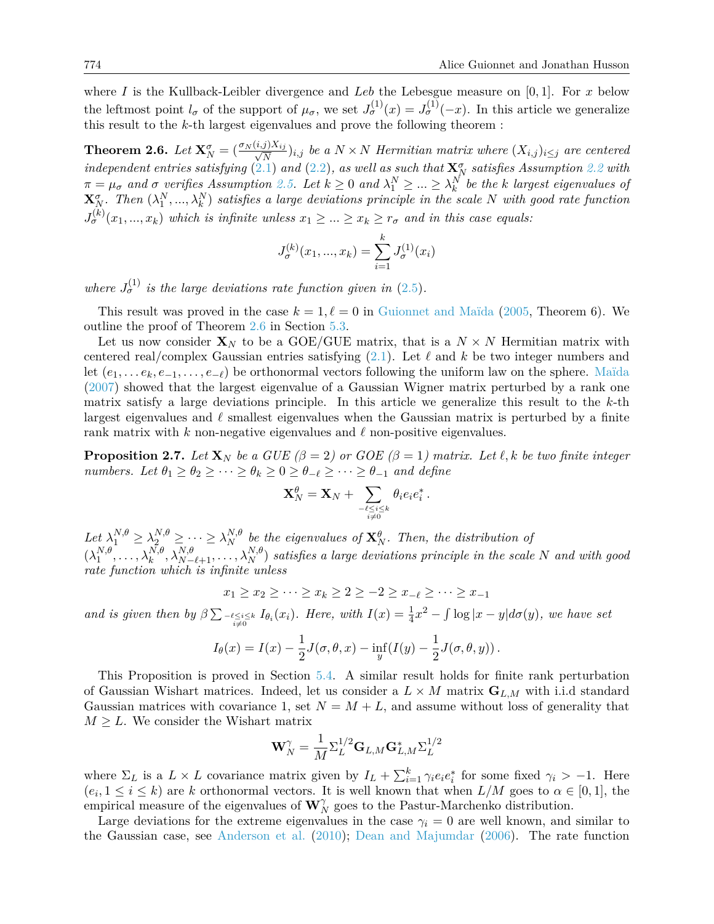where *I* is the Kullback-Leibler divergence and *Leb* the Lebesgue measure on [0*,* 1]. For *x* below the leftmost point  $l_{\sigma}$  of the support of  $\mu_{\sigma}$ , we set  $J_{\sigma}^{(1)}(x) = J_{\sigma}^{(1)}(-x)$ . In this article we generalize this result to the *k*-th largest eigenvalues and prove the following theorem :

<span id="page-5-0"></span>**Theorem 2.6.** *Let*  $\mathbf{X}_N^{\sigma} = \left(\frac{\sigma_N(i,j)X_{ij}}{\sqrt{N}}\right)$  $\frac{J(X_i,j)}{N}$ *i,j be a*  $N \times N$  *Hermitian matrix where*  $(X_{i,j})_{i \leq j}$  *are centered independent entries satisfying*  $(2.1)$  *and*  $(2.2)$ *, as well as such that*  $\mathbf{X}_N^{\sigma}$  *satisfies Assumption* [2.2](#page-2-0) *with*  $\pi=\mu_\sigma$  and  $\sigma$  verifies Assumption [2.5.](#page-4-0) Let  $k\geq 0$  and  $\lambda^N_1\geq ...\geq \lambda^N_k$  be the k-largest eigenvalues of  $\mathbf{X}_N^{\sigma}$ . Then  $(\lambda_1^N,...,\lambda_k^N)$  satisfies a large deviations principle in the scale  $N$  with good rate function  $J_{\sigma}^{(k)}(x_1, ..., x_k)$  *which is infinite unless*  $x_1 \ge ... \ge x_k \ge r_{\sigma}$  *and in this case equals:* 

$$
J^{(k)}_{\sigma}(x_1,...,x_k)=\sum_{i=1}^k J^{(1)}_{\sigma}(x_i)
$$

*where*  $J_{\sigma}^{(1)}$  *is the large deviations rate function given in* [\(2.5\)](#page-4-1).

This result was proved in the case  $k = 1, \ell = 0$  in [Guionnet and Maïda](#page-27-5) [\(2005,](#page-27-5) Theorem 6). We outline the proof of Theorem [2.6](#page-5-0) in Section [5.3.](#page-22-0)

Let us now consider  $\mathbf{X}_N$  to be a GOE/GUE matrix, that is a  $N \times N$  Hermitian matrix with centered real/complex Gaussian entries satisfying  $(2.1)$ . Let  $\ell$  and  $k$  be two integer numbers and let  $(e_1, \ldots, e_k, e_{-1}, \ldots, e_{-\ell})$  be orthonormal vectors following the uniform law on the sphere. [Maïda](#page-28-7) [\(2007\)](#page-28-7) showed that the largest eigenvalue of a Gaussian Wigner matrix perturbed by a rank one matrix satisfy a large deviations principle. In this article we generalize this result to the *k*-th largest eigenvalues and  $\ell$  smallest eigenvalues when the Gaussian matrix is perturbed by a finite rank matrix with  $k$  non-negative eigenvalues and  $\ell$  non-positive eigenvalues.

<span id="page-5-1"></span>**Proposition 2.7.** Let  $\mathbf{X}_N$  be a GUE ( $\beta = 2$ ) or GOE ( $\beta = 1$ ) matrix. Let  $\ell, k$  be two finite integer *numbers.* Let  $\theta_1 \ge \theta_2 \ge \cdots \ge \theta_k \ge 0 \ge \theta_{-\ell} \ge \cdots \ge \theta_{-1}$  and define

$$
\mathbf{X}_N^{\theta} = \mathbf{X}_N + \sum_{\genfrac{}{}{0pt}{}{-\ell \leq i \leq k}{i \neq 0}} \theta_i e_i e_i^* \,.
$$

 $Let \lambda_1^{N,\theta} \geq \lambda_2^{N,\theta} \geq \cdots \geq \lambda_N^{N,\theta}$  be the eigenvalues of  $\mathbf{X}_N^{\theta}$ . Then, the distribution of  $(\lambda_1^{N,\theta}$  $N, \theta, \ldots, \lambda_k^{N, \theta}, \lambda_{N-\ell+1}^{N, \theta}, \ldots, \lambda_N^{N, \theta}$  satisfies a large deviations principle in the scale  $N$  and with good *rate function which is infinite unless*

$$
x_1 \ge x_2 \ge \dots \ge x_k \ge 2 \ge -2 \ge x_{-\ell} \ge \dots \ge x_{-1}
$$

and is given then by  $\beta \sum_{-\ell \leq i \leq k} I_{\theta_i}(x_i)$ . Here, with  $I(x) = \frac{1}{4}x^2 - \int \log |x - y| d\sigma(y)$ , we have set

$$
I_{\theta}(x) = I(x) - \frac{1}{2}J(\sigma, \theta, x) - \inf_{y}(I(y) - \frac{1}{2}J(\sigma, \theta, y)).
$$

This Proposition is proved in Section [5.4.](#page-25-0) A similar result holds for finite rank perturbation of Gaussian Wishart matrices. Indeed, let us consider a  $L \times M$  matrix  $\mathbf{G}_{L,M}$  with i.i.d standard Gaussian matrices with covariance 1, set  $N = M + L$ , and assume without loss of generality that  $M \geq L$ . We consider the Wishart matrix

$$
\mathbf{W}_N^\gamma = \frac{1}{M}\boldsymbol{\Sigma}_L^{1/2}\mathbf{G}_{L,M}\mathbf{G}_{L,M}^*\boldsymbol{\Sigma}_L^{1/2}
$$

where  $\Sigma_L$  is a  $L \times L$  covariance matrix given by  $I_L + \sum_{i=1}^k \gamma_i e_i e_i^*$  for some fixed  $\gamma_i > -1$ . Here  $(e_i, 1 \leq i \leq k)$  are *k* orthonormal vectors. It is well known that when  $L/M$  goes to  $\alpha \in [0,1]$ , the empirical measure of the eigenvalues of  $\mathbf{W}_N^{\gamma}$  goes to the Pastur-Marchenko distribution.

Large deviations for the extreme eigenvalues in the case  $\gamma_i = 0$  are well known, and similar to the Gaussian case, see [Anderson et al.](#page-27-10) [\(2010\)](#page-27-10); [Dean and Majumdar](#page-27-13) [\(2006\)](#page-27-13). The rate function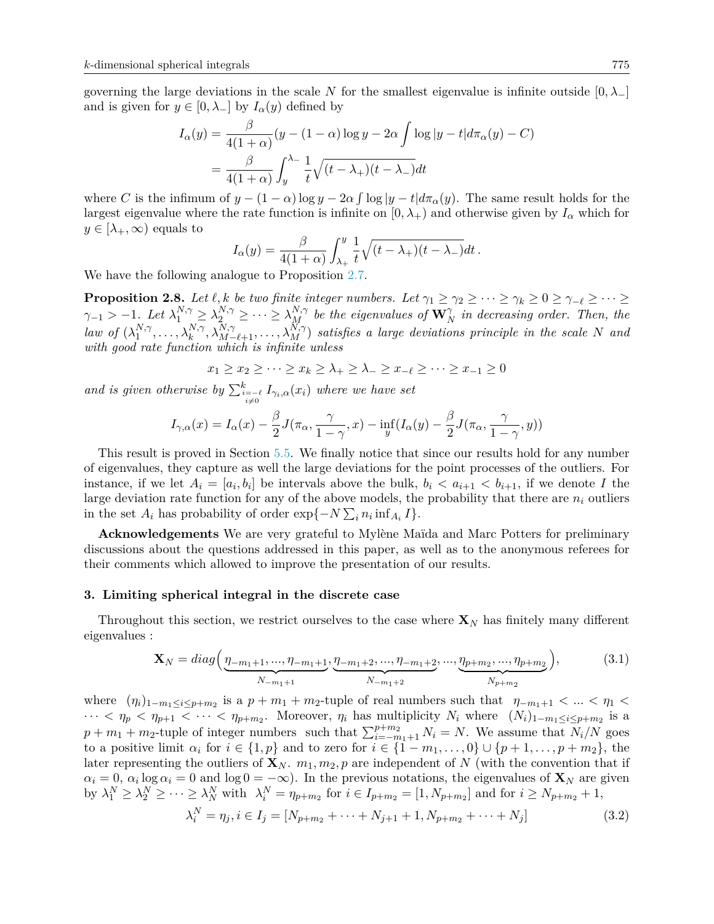governing the large deviations in the scale *N* for the smallest eigenvalue is infinite outside  $[0, \lambda_+]$ and is given for  $y \in [0, \lambda_{-}]$  by  $I_{\alpha}(y)$  defined by

$$
I_{\alpha}(y) = \frac{\beta}{4(1+\alpha)}(y - (1-\alpha)\log y - 2\alpha \int \log|y - t|d\pi_{\alpha}(y) - C)
$$
  
= 
$$
\frac{\beta}{4(1+\alpha)} \int_{y}^{\lambda - 1} \frac{1}{t} \sqrt{(t - \lambda_{+})(t - \lambda_{-})} dt
$$

where *C* is the infimum of  $y - (1 - \alpha) \log y - 2\alpha \int \log |y - t| d\pi_{\alpha}(y)$ . The same result holds for the largest eigenvalue where the rate function is infinite on  $[0, \lambda_+)$  and otherwise given by  $I_\alpha$  which for  $y \in [\lambda_+, \infty)$  equals to

$$
I_{\alpha}(y) = \frac{\beta}{4(1+\alpha)} \int_{\lambda_{+}}^{y} \frac{1}{t} \sqrt{(t-\lambda_{+})(t-\lambda_{-})} dt.
$$

We have the following analogue to Proposition [2.7.](#page-5-1)

<span id="page-6-2"></span>**Proposition 2.8.** Let  $\ell, k$  be two finite integer numbers. Let  $\gamma_1 \geq \gamma_2 \geq \cdots \geq \gamma_k \geq 0 \geq \gamma_{-\ell} \geq \cdots \geq$  $\gamma_{-1}$  >  $-1$ *. Let*  $\lambda_1^{N,\gamma} \geq \lambda_2^{N,\gamma} \geq \cdots \geq \lambda_M^{N,\gamma}$  be the eigenvalues of  $\mathbf{W}_N^{\gamma}$  in decreasing order. Then, the *law of*  $(\lambda_1^{N,\gamma})$  $\Lambda_1^{N,\gamma}, \ldots, \lambda_k^{N,\gamma}, \lambda_{M-\ell+1}^{N,\gamma}, \ldots, \lambda_M^{N,\gamma}$  satisfies a large deviations principle in the scale N and *with good rate function which is infinite unless*

$$
x_1 \ge x_2 \ge \dots \ge x_k \ge \lambda_+ \ge \lambda_- \ge x_{-\ell} \ge \dots \ge x_{-1} \ge 0
$$

*and is given otherwise by*  $\sum_{i=0}^{k} I_{\gamma_i,\alpha}(x_i)$  *where we have set* 

$$
I_{\gamma,\alpha}(x) = I_{\alpha}(x) - \frac{\beta}{2}J(\pi_{\alpha}, \frac{\gamma}{1-\gamma}, x) - \inf_{y}(I_{\alpha}(y) - \frac{\beta}{2}J(\pi_{\alpha}, \frac{\gamma}{1-\gamma}, y))
$$

This result is proved in Section [5.5.](#page-25-1) We finally notice that since our results hold for any number of eigenvalues, they capture as well the large deviations for the point processes of the outliers. For instance, if we let  $A_i = [a_i, b_i]$  be intervals above the bulk,  $b_i < a_{i+1} < b_{i+1}$ , if we denote *I* the large deviation rate function for any of the above models, the probability that there are *n<sup>i</sup>* outliers in the set  $A_i$  has probability of order  $\exp\{-N\sum_i n_i \inf_{A_i} I\}.$ 

**Acknowledgements** We are very grateful to Mylène Maïda and Marc Potters for preliminary discussions about the questions addressed in this paper, as well as to the anonymous referees for their comments which allowed to improve the presentation of our results.

## <span id="page-6-0"></span>**3. Limiting spherical integral in the discrete case**

Throughout this section, we restrict ourselves to the case where  $\mathbf{X}_N$  has finitely many different eigenvalues :

<span id="page-6-1"></span>
$$
\mathbf{X}_{N} = diag\left(\underbrace{\eta_{-m_{1}+1}, ..., \eta_{-m_{1}+1}}_{N_{-m_{1}+1}}, \underbrace{\eta_{-m_{1}+2}, ..., \eta_{-m_{1}+2}}_{N_{-m_{1}+2}}, ..., \underbrace{\eta_{p+m_{2}}, ..., \eta_{p+m_{2}}}_{N_{p+m_{2}}}\right),
$$
(3.1)

where  $(\eta_i)_{1-m_1\leq i\leq p+m_2}$  is a  $p+m_1+m_2$ -tuple of real numbers such that  $\eta_{-m_1+1} < ... < \eta_1 <$  $\cdots < \eta_p < \eta_{p+1} < \cdots < \eta_{p+m_2}$ . Moreover,  $\eta_i$  has multiplicity  $N_i$  where  $(N_i)_{1-m_1 \leq i \leq p+m_2}$  is a  $p + m_1 + m_2$ -tuple of integer numbers such that  $\sum_{i=-m_1+1}^{p+m_2} N_i = N$ . We assume that  $N_i/N$  goes to a positive limit  $\alpha_i$  for  $i \in \{1, p\}$  and to zero for  $i \in \{1 - m_1, \ldots, 0\} \cup \{p + 1, \ldots, p + m_2\}$ , the later representing the outliers of  $\mathbf{X}_N$ .  $m_1, m_2, p$  are independent of N (with the convention that if  $\alpha_i = 0$ ,  $\alpha_i \log \alpha_i = 0$  and  $\log 0 = -\infty$ ). In the previous notations, the eigenvalues of **X**<sub>*N*</sub> are given by  $\lambda_1^N \geq \lambda_2^N \geq \cdots \geq \lambda_N^N$  with  $\lambda_i^N = \eta_{p+m_2}$  for  $i \in I_{p+m_2} = [1, N_{p+m_2}]$  and for  $i \geq N_{p+m_2} + 1$ ,

$$
\lambda_i^N = \eta_j, i \in I_j = [N_{p+m_2} + \dots + N_{j+1} + 1, N_{p+m_2} + \dots + N_j]
$$
\n(3.2)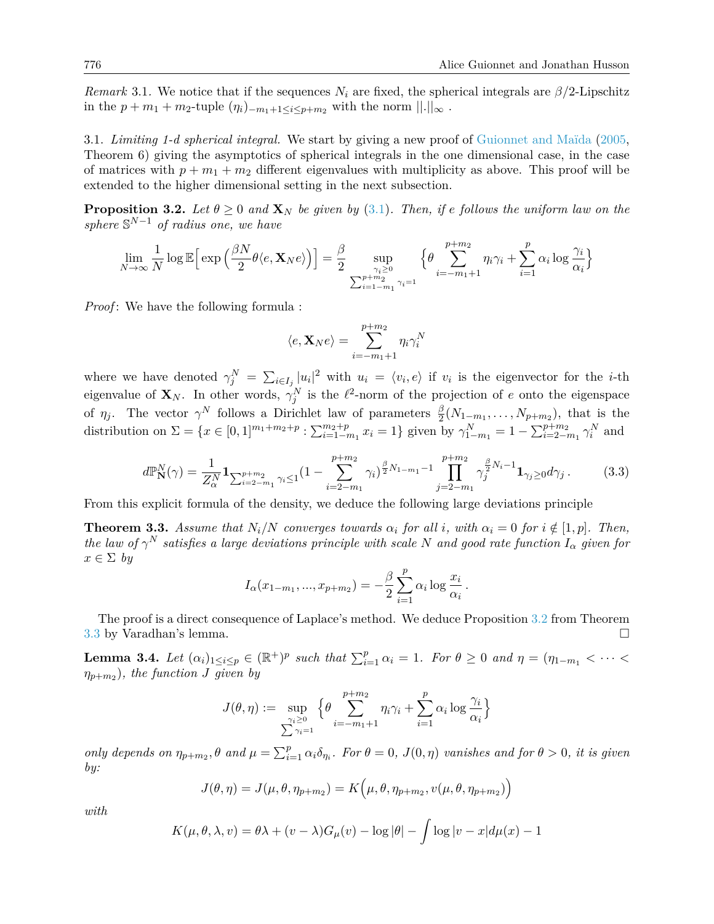<span id="page-7-3"></span>*Remark* 3.1. We notice that if the sequences  $N_i$  are fixed, the spherical integrals are  $\beta/2$ -Lipschitz in the *p* + *m*<sub>1</sub> + *m*<sub>2</sub>-tuple  $(\eta_i)$ <sub>−*m*<sub>1</sub>+1≤*i*≤*p*+*m*<sub>2</sub> with the norm  $||.||_{\infty}$ .</sub>

3.1. *Limiting 1-d spherical integral.* We start by giving a new proof of [Guionnet and Maïda](#page-27-5) [\(2005,](#page-27-5) Theorem 6) giving the asymptotics of spherical integrals in the one dimensional case, in the case of matrices with  $p + m_1 + m_2$  different eigenvalues with multiplicity as above. This proof will be extended to the higher dimensional setting in the next subsection.

<span id="page-7-0"></span>**Proposition 3.2.** *Let*  $\theta \ge 0$  *and*  $\mathbf{X}_N$  *be given by* [\(3.1\)](#page-6-1)*. Then, if e follows the uniform law on the sphere* S *<sup>N</sup>*−<sup>1</sup> *of radius one, we have*

$$
\lim_{N \to \infty} \frac{1}{N} \log \mathbb{E} \Big[ \exp \Big( \frac{\beta N}{2} \theta \langle e, \mathbf{X}_N e \rangle \Big) \Big] = \frac{\beta}{2} \sup_{\substack{\gamma_i \ge 0 \\ \sum_{i=1-m_1}^{p+m_2} \gamma_i = 1}} \Big\{ \theta \sum_{i=-m_1+1}^{p+m_2} \eta_i \gamma_i + \sum_{i=1}^p \alpha_i \log \frac{\gamma_i}{\alpha_i} \Big\}
$$

*Proof*: We have the following formula :

$$
\langle e, \mathbf{X}_N e \rangle = \sum_{i=-m_1+1}^{p+m_2} \eta_i \gamma_i^N
$$

where we have denoted  $\gamma_j^N = \sum_{i \in I_j} |u_i|^2$  with  $u_i = \langle v_i, e \rangle$  if  $v_i$  is the eigenvector for the *i*-th eigenvalue of  $\mathbf{X}_N$ . In other words,  $\gamma_j^N$  is the  $\ell^2$ -norm of the projection of *e* onto the eigenspace of  $\eta_j$ . The vector  $\gamma^N$  follows a Dirichlet law of parameters  $\frac{\beta}{2}(N_{1-m_1},\ldots,N_{p+m_2})$ , that is the distribution on  $\Sigma = \{x \in [0,1]^{m_1+m_2+p} : \sum_{i=1-m_1}^{m_2+p} x_i = 1\}$  given by  $\gamma_{1-m_1}^N = 1 - \sum_{i=2-m_1}^{p+m_2} \gamma_i^N$  and

$$
d\mathbb{P}_{\mathbf{N}}^N(\gamma) = \frac{1}{Z_{\alpha}^N} \mathbf{1}_{\sum_{i=2-m_1}^{p+m_2} \gamma_i \le 1} (1 - \sum_{i=2-m_1}^{p+m_2} \gamma_i)^{\frac{\beta}{2}N_{1-m_1}-1} \prod_{j=2-m_1}^{p+m_2} \gamma_j^{\frac{\beta}{2}N_i-1} \mathbf{1}_{\gamma_j \ge 0} d\gamma_j.
$$
 (3.3)

From this explicit formula of the density, we deduce the following large deviations principle

<span id="page-7-1"></span>**Theorem 3.3.** Assume that  $N_i/N$  converges towards  $\alpha_i$  for all *i*, with  $\alpha_i = 0$  for  $i \notin [1, p]$ . Then, *the law of*  $\gamma^N$  *satisfies a large deviations principle with scale*  $N$  *and good rate function*  $I_\alpha$  *given for*  $x \in \Sigma$  *by* 

$$
I_{\alpha}(x_{1-m_1},...,x_{p+m_2}) = -\frac{\beta}{2} \sum_{i=1}^p \alpha_i \log \frac{x_i}{\alpha_i}.
$$

The proof is a direct consequence of Laplace's method. We deduce Proposition [3.2](#page-7-0) from Theorem [3.3](#page-7-1) by Varadhan's lemma.

<span id="page-7-2"></span>**Lemma 3.4.** Let  $(\alpha_i)_{1 \leq i \leq p} \in (\mathbb{R}^+)^p$  such that  $\sum_{i=1}^p \alpha_i = 1$ . For  $\theta \geq 0$  and  $\eta = (\eta_{1-m_1} < \cdots < \eta_{n-m_n})$ *ηp*+*m*<sup>2</sup> )*, the function J given by*

$$
J(\theta, \eta) := \sup_{\substack{\gamma_i \ge 0 \\ \sum \gamma_i = 1}} \left\{ \theta \sum_{i=-m_1+1}^{p+m_2} \eta_i \gamma_i + \sum_{i=1}^p \alpha_i \log \frac{\gamma_i}{\alpha_i} \right\}
$$

only depends on  $\eta_{p+m_2}, \theta$  and  $\mu = \sum_{i=1}^p \alpha_i \delta_{\eta_i}$ . For  $\theta = 0$ ,  $J(0, \eta)$  vanishes and for  $\theta > 0$ , it is given *by:*

$$
J(\theta, \eta) = J(\mu, \theta, \eta_{p+m_2}) = K(\mu, \theta, \eta_{p+m_2}, v(\mu, \theta, \eta_{p+m_2}))
$$

*with*

$$
K(\mu, \theta, \lambda, v) = \theta \lambda + (v - \lambda)G_{\mu}(v) - \log|\theta| - \int \log|v - x| d\mu(x) - 1
$$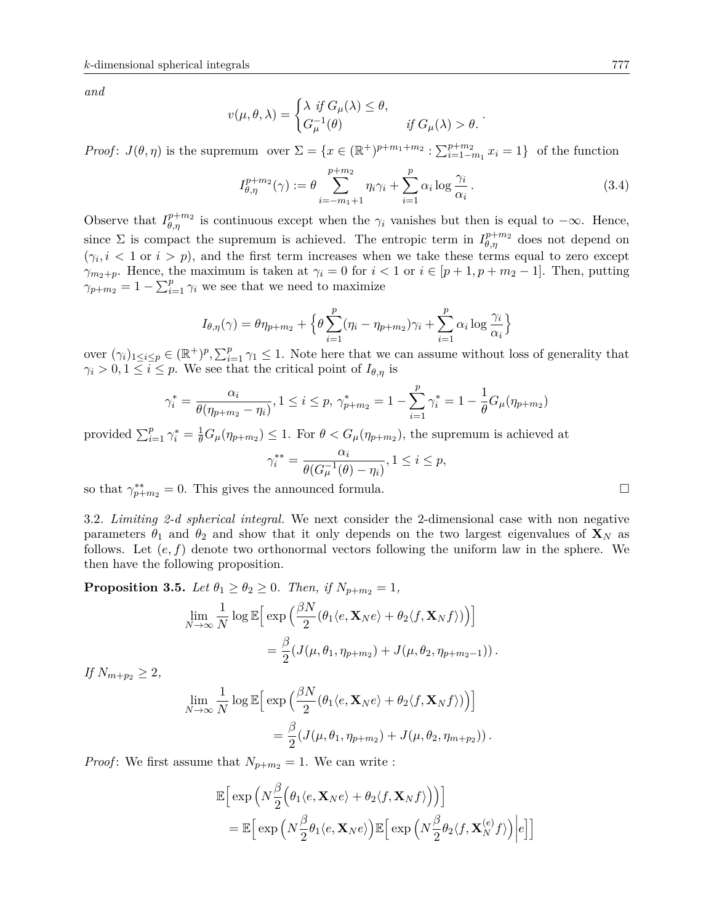*and*

$$
v(\mu, \theta, \lambda) = \begin{cases} \lambda & \text{if } G_{\mu}(\lambda) \leq \theta, \\ G_{\mu}^{-1}(\theta) & \text{if } G_{\mu}(\lambda) > \theta. \end{cases}
$$

*Proof*:  $J(\theta, \eta)$  is the supremum over  $\Sigma = \{x \in (\mathbb{R}^+)^{p+m_1+m_2} : \sum_{i=1-m_1}^{p+m_2} x_i = 1\}$  of the function

<span id="page-8-0"></span>
$$
I_{\theta,\eta}^{p+m_2}(\gamma) := \theta \sum_{i=-m_1+1}^{p+m_2} \eta_i \gamma_i + \sum_{i=1}^p \alpha_i \log \frac{\gamma_i}{\alpha_i}.
$$
 (3.4)

Observe that  $I_{\theta,\eta}^{p+m_2}$  is continuous except when the  $\gamma_i$  vanishes but then is equal to  $-\infty$ . Hence, since  $\Sigma$  is compact the supremum is achieved. The entropic term in  $I_{\theta,\eta}^{p+m_2}$  does not depend on  $(\gamma_i, i \leq 1 \text{ or } i > p)$ , and the first term increases when we take these terms equal to zero except *γ*<sub>*m*2+*p*</sub>. Hence, the maximum is taken at *γ*<sup>*i*</sup> = 0 for *i* < 1 or *i* ∈ [*p* + 1*, p* + *m*<sub>2</sub> − 1]. Then, putting  $\gamma_{p+m_2} = 1 - \sum_{i=1}^{p} \gamma_i$  we see that we need to maximize

$$
I_{\theta,\eta}(\gamma) = \theta \eta_{p+m_2} + \Big\{ \theta \sum_{i=1}^p (\eta_i - \eta_{p+m_2}) \gamma_i + \sum_{i=1}^p \alpha_i \log \frac{\gamma_i}{\alpha_i} \Big\}
$$

over  $(\gamma_i)_{1 \leq i \leq p} \in (\mathbb{R}^+)^p$ ,  $\sum_{i=1}^p \gamma_i \leq 1$ . Note here that we can assume without loss of generality that  $\gamma_i > 0, 1 \leq i \leq p$ . We see that the critical point of  $I_{\theta,\eta}$  is

$$
\gamma_i^* = \frac{\alpha_i}{\theta(\eta_{p+m_2} - \eta_i)}, 1 \le i \le p, \ \gamma_{p+m_2}^* = 1 - \sum_{i=1}^p \gamma_i^* = 1 - \frac{1}{\theta} G_\mu(\eta_{p+m_2})
$$

provided  $\sum_{i=1}^p \gamma_i^* = \frac{1}{\theta} G_\mu(\eta_{p+m_2}) \leq 1$ . For  $\theta < G_\mu(\eta_{p+m_2})$ , the supremum is achieved at

$$
\gamma_i^{**} = \frac{\alpha_i}{\theta(G_{\mu}^{-1}(\theta) - \eta_i)}, 1 \le i \le p,
$$

so that  $\gamma_{p+m_2}^{**} = 0$ . This gives the announced formula.

3.2. *Limiting 2-d spherical integral.* We next consider the 2-dimensional case with non negative parameters  $\theta_1$  and  $\theta_2$  and show that it only depends on the two largest eigenvalues of  $\mathbf{X}_N$  as follows. Let (*e, f*) denote two orthonormal vectors following the uniform law in the sphere. We then have the following proposition.

**Proposition 3.5.** *Let*  $\theta_1 \geq \theta_2 \geq 0$ *. Then, if*  $N_{p+m_2} = 1$ *,* 

$$
\lim_{N \to \infty} \frac{1}{N} \log \mathbb{E} \Big[ \exp \Big( \frac{\beta N}{2} (\theta_1 \langle e, \mathbf{X}_N e \rangle + \theta_2 \langle f, \mathbf{X}_N f \rangle) \Big) \Big] \n= \frac{\beta}{2} (J(\mu, \theta_1, \eta_{p+m_2}) + J(\mu, \theta_2, \eta_{p+m_2-1})) .
$$

*If*  $N_{m+p_2} \geq 2$ *,* 

$$
\lim_{N \to \infty} \frac{1}{N} \log \mathbb{E} \Big[ \exp \Big( \frac{\beta N}{2} (\theta_1 \langle e, \mathbf{X}_N e \rangle + \theta_2 \langle f, \mathbf{X}_N f \rangle) \Big) \Big] \n= \frac{\beta}{2} (J(\mu, \theta_1, \eta_{p+m_2}) + J(\mu, \theta_2, \eta_{m+p_2})) .
$$

*Proof*: We first assume that  $N_{p+m_2} = 1$ . We can write :

$$
\mathbb{E}\Big[\exp\Big(N\frac{\beta}{2}\Big(\theta_1\langle e, \mathbf{X}_N e\rangle + \theta_2\langle f, \mathbf{X}_N f\rangle\Big)\Big)\Big] \n= \mathbb{E}\Big[\exp\Big(N\frac{\beta}{2}\theta_1\langle e, \mathbf{X}_N e\rangle\Big)\mathbb{E}\Big[\exp\Big(N\frac{\beta}{2}\theta_2\langle f, \mathbf{X}_N^{(e)} f\rangle\Big)\Big|e\Big]\Big]
$$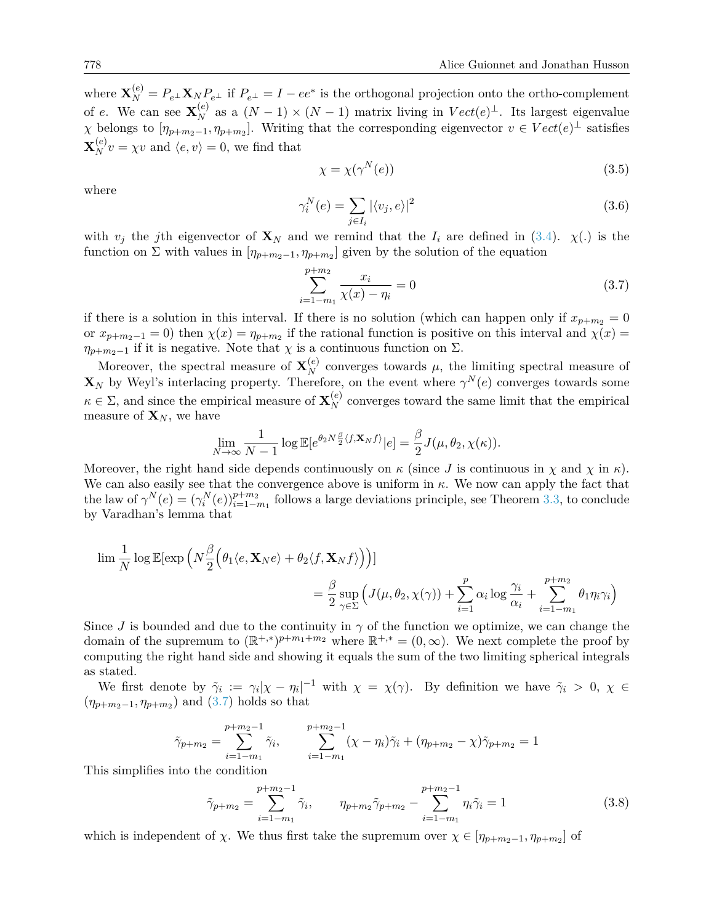where  $\mathbf{X}_N^{(e)} = P_{e^{\perp}} \mathbf{X}_N P_{e^{\perp}}$  if  $P_{e^{\perp}} = I - ee^*$  is the orthogonal projection onto the ortho-complement of *e*. We can see  $\mathbf{X}_{N}^{(e)}$  as a  $(N-1) \times (N-1)$  matrix living in  $Vect(e)^{\perp}$ . Its largest eigenvalue  $\chi$  belongs to  $[\eta_{p+m_2-1}, \eta_{p+m_2}]$ . Writing that the corresponding eigenvector  $v \in Vect(e)^{\perp}$  satisfies  $\mathbf{X}_{N}^{(e)}v = \chi v$  and  $\langle e, v \rangle = 0$ , we find that

$$
\chi = \chi(\gamma^N(e))\tag{3.5}
$$

where

<span id="page-9-2"></span>
$$
\gamma_i^N(e) = \sum_{j \in I_i} |\langle v_j, e \rangle|^2 \tag{3.6}
$$

with  $v_j$  the *j*th eigenvector of  $\mathbf{X}_N$  and we remind that the  $I_i$  are defined in [\(3.4\)](#page-8-0).  $\chi(.)$  is the function on  $\Sigma$  with values in  $[\eta_{p+m_2-1}, \eta_{p+m_2}]$  given by the solution of the equation

<span id="page-9-0"></span>
$$
\sum_{i=1-m_1}^{p+m_2} \frac{x_i}{\chi(x) - \eta_i} = 0
$$
\n(3.7)

if there is a solution in this interval. If there is no solution (which can happen only if  $x_{p+m_2} = 0$ or  $x_{p+m_2-1} = 0$ ) then  $\chi(x) = \eta_{p+m_2}$  if the rational function is positive on this interval and  $\chi(x) =$  $\eta_{p+m_2-1}$  if it is negative. Note that *χ* is a continuous function on Σ.

Moreover, the spectral measure of  $\mathbf{X}_{N}^{(e)}$  converges towards  $\mu$ , the limiting spectral measure of  $\mathbf{X}_N$  by Weyl's interlacing property. Therefore, on the event where  $\gamma^N(e)$  converges towards some  $\kappa \in \Sigma$ , and since the empirical measure of  $\mathbf{X}_{N}^{(e)}$  converges toward the same limit that the empirical measure of  $\mathbf{X}_N$ , we have

$$
\lim_{N \to \infty} \frac{1}{N-1} \log \mathbb{E}[e^{\theta_2 N \frac{\beta}{2} \langle f, \mathbf{X}_N f \rangle} | e] = \frac{\beta}{2} J(\mu, \theta_2, \chi(\kappa)).
$$

Moreover, the right hand side depends continuously on  $\kappa$  (since *J* is continuous in  $\chi$  and  $\chi$  in  $\kappa$ ). We can also easily see that the convergence above is uniform in  $\kappa$ . We now can apply the fact that the law of  $\gamma^N(e) = (\gamma_i^N(e))_{i=1-m_1}^{p+m_2}$  follows a large deviations principle, see Theorem [3.3,](#page-7-1) to conclude by Varadhan's lemma that

$$
\lim \frac{1}{N} \log \mathbb{E}[\exp \left( N \frac{\beta}{2} \Big( \theta_1 \langle e, \mathbf{X}_N e \rangle + \theta_2 \langle f, \mathbf{X}_N f \rangle \Big) \right)]
$$
  

$$
= \frac{\beta}{2} \sup_{\gamma \in \Sigma} \Big( J(\mu, \theta_2, \chi(\gamma)) + \sum_{i=1}^p \alpha_i \log \frac{\gamma_i}{\alpha_i} + \sum_{i=1-m_1}^{p+m_2} \theta_1 \eta_i \gamma_i \Big)
$$

Since *J* is bounded and due to the continuity in  $\gamma$  of the function we optimize, we can change the domain of the supremum to  $(\mathbb{R}^{+,*})^{p+m_1+m_2}$  where  $\mathbb{R}^{+,*} = (0,\infty)$ . We next complete the proof by computing the right hand side and showing it equals the sum of the two limiting spherical integrals as stated.

We first denote by  $\tilde{\gamma}_i := \gamma_i |\chi - \eta_i|^{-1}$  with  $\chi = \chi(\gamma)$ . By definition we have  $\tilde{\gamma}_i > 0, \chi \in$  $(\eta_{p+m_2-1}, \eta_{p+m_2})$  and [\(3.7\)](#page-9-0) holds so that

$$
\tilde{\gamma}_{p+m_2} = \sum_{i=1-m_1}^{p+m_2-1} \tilde{\gamma}_i, \qquad \sum_{i=1-m_1}^{p+m_2-1} (\chi - \eta_i) \tilde{\gamma}_i + (\eta_{p+m_2} - \chi) \tilde{\gamma}_{p+m_2} = 1
$$

This simplifies into the condition

<span id="page-9-1"></span>
$$
\tilde{\gamma}_{p+m_2} = \sum_{i=1-m_1}^{p+m_2-1} \tilde{\gamma}_i, \qquad \eta_{p+m_2} \tilde{\gamma}_{p+m_2} - \sum_{i=1-m_1}^{p+m_2-1} \eta_i \tilde{\gamma}_i = 1 \tag{3.8}
$$

which is independent of *χ*. We thus first take the supremum over  $\chi \in [\eta_{p+m_2-1}, \eta_{p+m_2}]$  of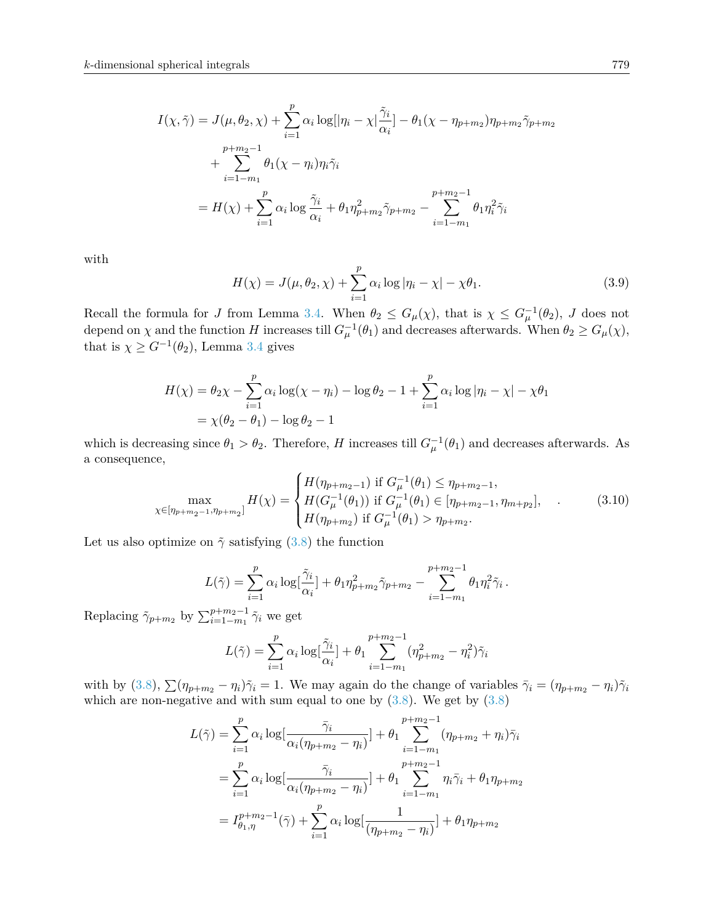$$
I(\chi, \tilde{\gamma}) = J(\mu, \theta_2, \chi) + \sum_{i=1}^p \alpha_i \log[|\eta_i - \chi| \frac{\tilde{\gamma}_i}{\alpha_i}] - \theta_1 (\chi - \eta_{p+m_2}) \eta_{p+m_2} \tilde{\gamma}_{p+m_2}
$$
  
+ 
$$
\sum_{i=1-m_1}^{p+m_2-1} \theta_1 (\chi - \eta_i) \eta_i \tilde{\gamma}_i
$$
  
= 
$$
H(\chi) + \sum_{i=1}^p \alpha_i \log \frac{\tilde{\gamma}_i}{\alpha_i} + \theta_1 \eta_{p+m_2}^2 \tilde{\gamma}_{p+m_2} - \sum_{i=1-m_1}^{p+m_2-1} \theta_1 \eta_i^2 \tilde{\gamma}_i
$$

with

$$
H(\chi) = J(\mu, \theta_2, \chi) + \sum_{i=1}^{p} \alpha_i \log |\eta_i - \chi| - \chi \theta_1.
$$
 (3.9)

Recall the formula for *J* from Lemma [3.4.](#page-7-2) When  $\theta_2 \leq G_{\mu}(\chi)$ , that is  $\chi \leq G_{\mu}^{-1}(\theta_2)$ , *J* does not depend on  $\chi$  and the function *H* increases till  $G_{\mu}^{-1}(\theta_1)$  and decreases afterwards. When  $\theta_2 \ge G_{\mu}(\chi)$ , that is  $\chi \geq G^{-1}(\theta_2)$ , Lemma [3.4](#page-7-2) gives

$$
H(\chi) = \theta_2 \chi - \sum_{i=1}^p \alpha_i \log(\chi - \eta_i) - \log \theta_2 - 1 + \sum_{i=1}^p \alpha_i \log |\eta_i - \chi| - \chi \theta_1
$$
  
=  $\chi(\theta_2 - \theta_1) - \log \theta_2 - 1$ 

which is decreasing since  $\theta_1 > \theta_2$ . Therefore, *H* increases till  $G_{\mu}^{-1}(\theta_1)$  and decreases afterwards. As a consequence,

<span id="page-10-0"></span>
$$
\max_{\chi \in [\eta_{p+m_2-1}, \eta_{p+m_2}]} H(\chi) = \begin{cases} H(\eta_{p+m_2-1}) & \text{if } G_{\mu}^{-1}(\theta_1) \le \eta_{p+m_2-1}, \\ H(G_{\mu}^{-1}(\theta_1)) & \text{if } G_{\mu}^{-1}(\theta_1) \in [\eta_{p+m_2-1}, \eta_{m+p_2}], \\ H(\eta_{p+m_2}) & \text{if } G_{\mu}^{-1}(\theta_1) > \eta_{p+m_2}. \end{cases}
$$
(3.10)

Let us also optimize on  $\tilde{\gamma}$  satisfying [\(3.8\)](#page-9-1) the function

$$
L(\tilde{\gamma}) = \sum_{i=1}^{p} \alpha_i \log[\frac{\tilde{\gamma}_i}{\alpha_i}] + \theta_1 \eta_{p+m_2}^2 \tilde{\gamma}_{p+m_2} - \sum_{i=1-m_1}^{p+m_2-1} \theta_1 \eta_i^2 \tilde{\gamma}_i.
$$

Replacing  $\tilde{\gamma}_{p+m_2}$  by  $\sum_{i=1-m_1}^{p+m_2-1} \tilde{\gamma}_i$  we get

$$
L(\tilde{\gamma}) = \sum_{i=1}^{p} \alpha_i \log[\frac{\tilde{\gamma}_i}{\alpha_i}] + \theta_1 \sum_{i=1-m_1}^{p+m_2-1} (\eta_{p+m_2}^2 - \eta_i^2) \tilde{\gamma}_i
$$

with by [\(3.8\)](#page-9-1),  $\sum (\eta_{p+m_2} - \eta_i)\tilde{\gamma}_i = 1$ . We may again do the change of variables  $\bar{\gamma}_i = (\eta_{p+m_2} - \eta_i)\tilde{\gamma}_i$ which are non-negative and with sum equal to one by  $(3.8)$ . We get by  $(3.8)$ 

$$
L(\tilde{\gamma}) = \sum_{i=1}^{p} \alpha_i \log[\frac{\bar{\gamma}_i}{\alpha_i(\eta_{p+m_2} - \eta_i)}] + \theta_1 \sum_{i=1-m_1}^{p+m_2-1} (\eta_{p+m_2} + \eta_i) \bar{\gamma}_i
$$
  

$$
= \sum_{i=1}^{p} \alpha_i \log[\frac{\bar{\gamma}_i}{\alpha_i(\eta_{p+m_2} - \eta_i)}] + \theta_1 \sum_{i=1-m_1}^{p+m_2-1} \eta_i \bar{\gamma}_i + \theta_1 \eta_{p+m_2}
$$
  

$$
= I_{\theta_1, \eta}^{p+m_2-1}(\bar{\gamma}) + \sum_{i=1}^{p} \alpha_i \log[\frac{1}{(\eta_{p+m_2} - \eta_i)}] + \theta_1 \eta_{p+m_2}
$$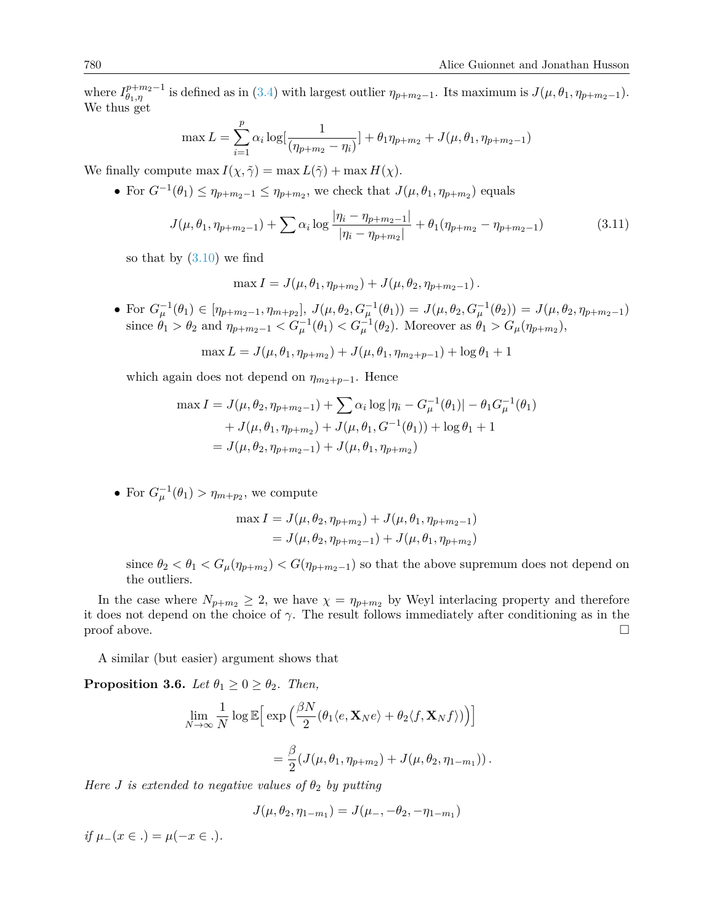where  $I_{\theta_1,\eta}^{p+m_2-1}$  is defined as in [\(3.4\)](#page-8-0) with largest outlier  $\eta_{p+m_2-1}$ . Its maximum is  $J(\mu,\theta_1,\eta_{p+m_2-1})$ . We thus get

$$
\max L = \sum_{i=1}^{p} \alpha_i \log \left[ \frac{1}{(\eta_{p+m_2} - \eta_i)} \right] + \theta_1 \eta_{p+m_2} + J(\mu, \theta_1, \eta_{p+m_2-1})
$$

We finally compute max  $I(\chi, \tilde{\gamma}) = \max L(\tilde{\gamma}) + \max H(\chi)$ .

• For  $G^{-1}(\theta_1) \leq \eta_{p+m_2-1} \leq \eta_{p+m_2}$ , we check that  $J(\mu, \theta_1, \eta_{p+m_2})$  equals

$$
J(\mu, \theta_1, \eta_{p+m_2-1}) + \sum \alpha_i \log \frac{|\eta_i - \eta_{p+m_2-1}|}{|\eta_i - \eta_{p+m_2}|} + \theta_1(\eta_{p+m_2} - \eta_{p+m_2-1})
$$
(3.11)

so that by  $(3.10)$  we find

$$
\max I = J(\mu, \theta_1, \eta_{p+m_2}) + J(\mu, \theta_2, \eta_{p+m_2-1}).
$$

• For  $G_{\mu}^{-1}(\theta_1) \in [\eta_{p+m_2-1}, \eta_{m+p_2}], J(\mu, \theta_2, G_{\mu}^{-1}(\theta_1)) = J(\mu, \theta_2, G_{\mu}^{-1}(\theta_2)) = J(\mu, \theta_2, \eta_{p+m_2-1})$ since  $\theta_1 > \theta_2$  and  $\eta_{p+m_2-1} < G_{\mu}^{-1}(\theta_1) < G_{\mu}^{-1}(\theta_2)$ . Moreover as  $\theta_1 > G_{\mu}(\eta_{p+m_2}),$ 

$$
\max L = J(\mu, \theta_1, \eta_{p+m_2}) + J(\mu, \theta_1, \eta_{m_2+p-1}) + \log \theta_1 + 1
$$

which again does not depend on  $\eta_{m_2+p-1}$ . Hence

$$
\max I = J(\mu, \theta_2, \eta_{p+m_2-1}) + \sum \alpha_i \log |\eta_i - G_{\mu}^{-1}(\theta_1)| - \theta_1 G_{\mu}^{-1}(\theta_1)
$$
  
+  $J(\mu, \theta_1, \eta_{p+m_2}) + J(\mu, \theta_1, G^{-1}(\theta_1)) + \log \theta_1 + 1$   
=  $J(\mu, \theta_2, \eta_{p+m_2-1}) + J(\mu, \theta_1, \eta_{p+m_2})$ 

• For  $G_{\mu}^{-1}(\theta_1) > \eta_{m+p_2}$ , we compute

$$
\max I = J(\mu, \theta_2, \eta_{p+m_2}) + J(\mu, \theta_1, \eta_{p+m_2-1})
$$
  
=  $J(\mu, \theta_2, \eta_{p+m_2-1}) + J(\mu, \theta_1, \eta_{p+m_2})$ 

since  $\theta_2 < \theta_1 < G_\mu(\eta_{p+m_2}) < G(\eta_{p+m_2-1})$  so that the above supremum does not depend on the outliers.

In the case where  $N_{p+m_2} \geq 2$ , we have  $\chi = \eta_{p+m_2}$  by Weyl interlacing property and therefore it does not depend on the choice of  $\gamma$ . The result follows immediately after conditioning as in the  $\Box$ 

A similar (but easier) argument shows that

**Proposition 3.6.** *Let*  $\theta_1 \geq 0 \geq \theta_2$ *. Then,* 

$$
\lim_{N \to \infty} \frac{1}{N} \log \mathbb{E} \Big[ \exp \Big( \frac{\beta N}{2} (\theta_1 \langle e, \mathbf{X}_N e \rangle + \theta_2 \langle f, \mathbf{X}_N f \rangle) \Big) \Big]
$$
  
=  $\frac{\beta}{2} (J(\mu, \theta_1, \eta_{p+m_2}) + J(\mu, \theta_2, \eta_{1-m_1}))$ .

*Here J is extended to negative values of*  $\theta_2$  *by putting* 

$$
J(\mu, \theta_2, \eta_{1-m_1}) = J(\mu_-, -\theta_2, -\eta_{1-m_1})
$$

*if*  $\mu_-(x \in .) = \mu(-x \in .)$ .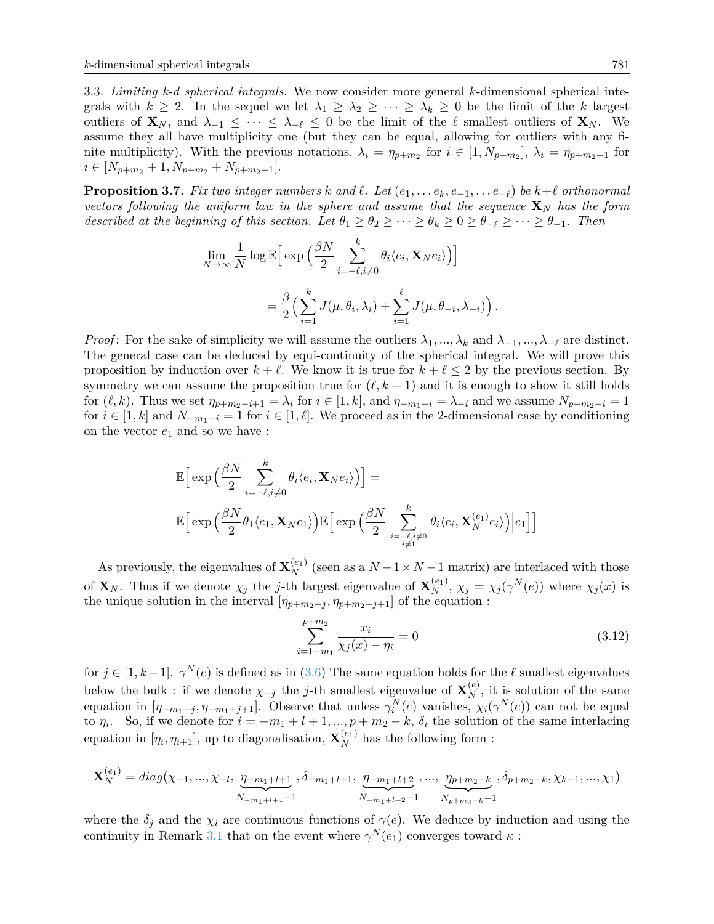3.3. *Limiting k-d spherical integrals.* We now consider more general *k*-dimensional spherical integrals with  $k \geq 2$ . In the sequel we let  $\lambda_1 \geq \lambda_2 \geq \cdots \geq \lambda_k \geq 0$  be the limit of the *k* largest outliers of  $\mathbf{X}_N$ , and  $\lambda_{-1} \leq \cdots \leq \lambda_{-\ell} \leq 0$  be the limit of the  $\ell$  smallest outliers of  $\mathbf{X}_N$ . We assume they all have multiplicity one (but they can be equal, allowing for outliers with any finite multiplicity). With the previous notations,  $\lambda_i = \eta_{p+m_2}$  for  $i \in [1, N_{p+m_2}]$ ,  $\lambda_i = \eta_{p+m_2-1}$  for  $i \in [N_{p+m_2}+1, N_{p+m_2}+N_{p+m_2-1}].$ 

<span id="page-12-0"></span>**Proposition 3.7.** Fix two integer numbers  $k$  and  $\ell$ . Let  $(e_1, \ldots e_k, e_{-1}, \ldots e_{-\ell})$  be  $k+\ell$  orthonormal *vectors following the uniform law in the sphere and assume that the sequence*  $\mathbf{X}_N$  *has the form described at the beginning of this section. Let*  $\theta_1 \geq \theta_2 \geq \cdots \geq \theta_k \geq 0 \geq \theta_{-\ell} \geq \cdots \geq \theta_{-1}$ . Then

$$
\lim_{N \to \infty} \frac{1}{N} \log \mathbb{E} \Big[ \exp \Big( \frac{\beta N}{2} \sum_{i=-\ell, i \neq 0}^{k} \theta_i \langle e_i, \mathbf{X}_N e_i \rangle \Big) \Big] \n= \frac{\beta}{2} \Big( \sum_{i=1}^{k} J(\mu, \theta_i, \lambda_i) + \sum_{i=1}^{\ell} J(\mu, \theta_{-i}, \lambda_{-i}) \Big).
$$

*Proof*: For the sake of simplicity we will assume the outliers  $\lambda_1, ..., \lambda_k$  and  $\lambda_{-1}, ..., \lambda_{-\ell}$  are distinct. The general case can be deduced by equi-continuity of the spherical integral. We will prove this proposition by induction over  $k + \ell$ . We know it is true for  $k + \ell \leq 2$  by the previous section. By symmetry we can assume the proposition true for  $(\ell, k - 1)$  and it is enough to show it still holds for  $(\ell, k)$ . Thus we set  $\eta_{p+m_2-i+1} = \lambda_i$  for  $i \in [1, k]$ , and  $\eta_{-m_1+i} = \lambda_{-i}$  and we assume  $N_{p+m_2-i} = 1$ for  $i \in [1, k]$  and  $N_{-m_1+i} = 1$  for  $i \in [1, \ell]$ . We proceed as in the 2-dimensional case by conditioning on the vector  $e_1$  and so we have :

$$
\mathbb{E}\Big[\exp\Big(\frac{\beta N}{2}\sum_{i=-\ell,i\neq 0}^{k}\theta_i\langle e_i,\mathbf{X}_Ne_i\rangle\Big)\Big] =
$$
  

$$
\mathbb{E}\Big[\exp\Big(\frac{\beta N}{2}\theta_1\langle e_1,\mathbf{X}_Ne_1\rangle\Big)\mathbb{E}\Big[\exp\Big(\frac{\beta N}{2}\sum_{i=-\ell,i\neq 0}^{k}\theta_i\langle e_i,\mathbf{X}_N^{(e_1)}e_i\rangle\Big)\Big|e_1\Big]\Big]
$$

As previously, the eigenvalues of  $\mathbf{X}_{N}^{(e_1)}$  (seen as a  $N-1\times N-1$  matrix) are interlaced with those of  $\mathbf{X}_N$ . Thus if we denote  $\chi_j$  the j-th largest eigenvalue of  $\mathbf{X}_N^{(e_1)}$ ,  $\chi_j = \chi_j(\gamma^N(e))$  where  $\chi_j(x)$  is the unique solution in the interval  $[\eta_{p+m_2-j}, \eta_{p+m_2-j+1}]$  of the equation :

$$
\sum_{i=1-m_1}^{p+m_2} \frac{x_i}{\chi_j(x) - \eta_i} = 0
$$
\n(3.12)

for  $j \in [1, k-1]$ .  $\gamma^{N}(e)$  is defined as in [\(3.6\)](#page-9-2) The same equation holds for the  $\ell$  smallest eigenvalues below the bulk : if we denote  $\chi_{-j}$  the *j*-th smallest eigenvalue of  $\mathbf{X}_{N}^{(e)}$ , it is solution of the same equation in  $[\eta_{-m_1+j}, \eta_{-m_1+j+1}]$ . Observe that unless  $\gamma_i^N(e)$  vanishes,  $\chi_i(\gamma^N(e))$  can not be equal to  $\eta_i$ . So, if we denote for  $i = -m_1 + l + 1, ..., p + m_2 - k$ ,  $\delta_i$  the solution of the same interlacing equation in  $[\eta_i, \eta_{i+1}]$ , up to diagonalisation,  $\mathbf{X}_N^{(e_1)}$  has the following form :

$$
\mathbf{X}_{N}^{(e_{1})} = diag(\chi_{-1}, ..., \chi_{-l}, \underbrace{\eta_{-m_{1}+l+1}}_{N_{-m_{1}+l+1}-1}, \delta_{-m_{1}+l+1}, \underbrace{\eta_{-m_{1}+l+2}}_{N_{-m_{1}+l+2}-1}, ..., \underbrace{\eta_{p+m_{2}-k}}_{N_{p+m_{2}-k}-1}, \delta_{p+m_{2}-k}, \chi_{k-1}, ..., \chi_{1})
$$

where the  $\delta_j$  and the  $\chi_i$  are continuous functions of  $\gamma(e)$ . We deduce by induction and using the continuity in Remark [3.1](#page-7-3) that on the event where  $\gamma^N(e_1)$  converges toward  $\kappa$ :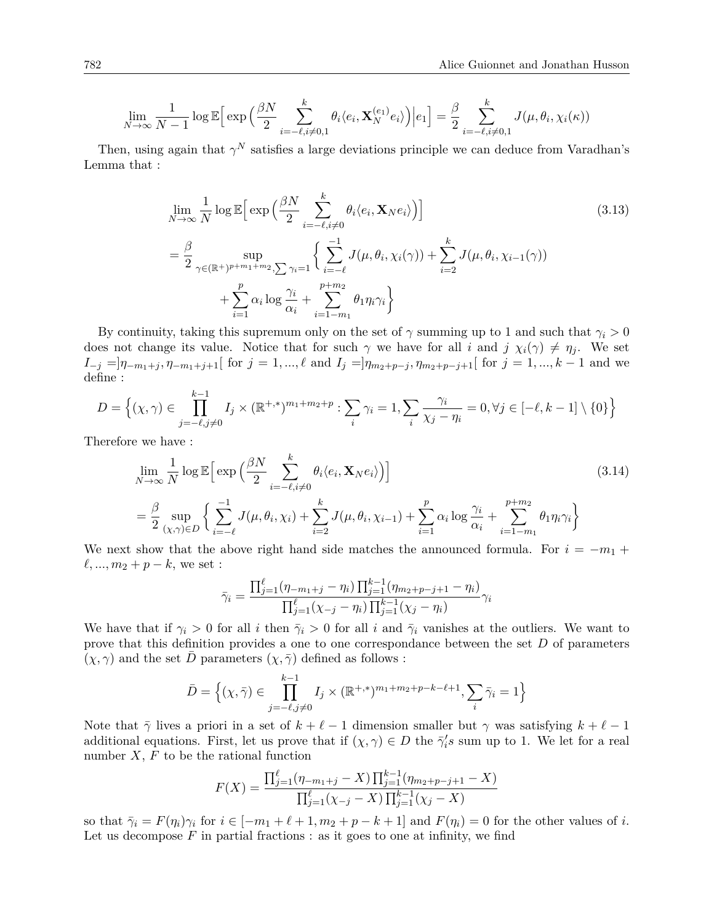$$
\lim_{N \to \infty} \frac{1}{N-1} \log \mathbb{E} \Big[ \exp \Big( \frac{\beta N}{2} \sum_{i=-\ell, i \neq 0,1}^{k} \theta_i \langle e_i, \mathbf{X}_N^{(e_1)} e_i \rangle \Big) \Big| e_1 \Big] = \frac{\beta}{2} \sum_{i=-\ell, i \neq 0,1}^{k} J(\mu, \theta_i, \chi_i(\kappa))
$$

Then, using again that  $\gamma^N$  satisfies a large deviations principle we can deduce from Varadhan's Lemma that :

<span id="page-13-0"></span>
$$
\lim_{N \to \infty} \frac{1}{N} \log \mathbb{E} \Big[ \exp \Big( \frac{\beta N}{2} \sum_{i=-\ell, i \neq 0}^{k} \theta_i \langle e_i, \mathbf{X}_N e_i \rangle \Big) \Big] \n= \frac{\beta}{2} \sup_{\gamma \in (\mathbb{R}^+)^{p+m_1+m_2}, \sum \gamma_i = 1} \Big\{ \sum_{i=-\ell}^{-1} J(\mu, \theta_i, \chi_i(\gamma)) + \sum_{i=2}^{k} J(\mu, \theta_i, \chi_{i-1}(\gamma)) \n+ \sum_{i=1}^{p} \alpha_i \log \frac{\gamma_i}{\alpha_i} + \sum_{i=1-m_1}^{p+m_2} \theta_1 \eta_i \gamma_i \Big\}
$$
\n(3.13)

By continuity, taking this supremum only on the set of  $\gamma$  summing up to 1 and such that  $\gamma_i > 0$ does not change its value. Notice that for such  $\gamma$  we have for all *i* and  $j \chi_i(\gamma) \neq \eta_j$ . We set  $I_{-j} = ]\eta_{-m_1+j}, \eta_{-m_1+j+1}[$  for  $j = 1, ..., \ell$  and  $I_j = ]\eta_{m_2+p-j}, \eta_{m_2+p-j+1}[$  for  $j = 1, ..., k-1$  and we define :

$$
D = \left\{ (\chi, \gamma) \in \prod_{j=-\ell, j \neq 0}^{k-1} I_j \times (\mathbb{R}^{+,*})^{m_1 + m_2 + p} : \sum_i \gamma_i = 1, \sum_i \frac{\gamma_i}{\chi_j - \eta_i} = 0, \forall j \in [-\ell, k-1] \setminus \{0\} \right\}
$$

Therefore we have :

$$
\lim_{N \to \infty} \frac{1}{N} \log \mathbb{E} \Big[ \exp \Big( \frac{\beta N}{2} \sum_{i=-\ell, i \neq 0}^{k} \theta_i \langle e_i, \mathbf{X}_N e_i \rangle \Big) \Big] \tag{3.14}
$$
\n
$$
= \frac{\beta}{2} \sup_{(\chi, \gamma) \in D} \Big\{ \sum_{i=-\ell}^{-1} J(\mu, \theta_i, \chi_i) + \sum_{i=2}^{k} J(\mu, \theta_i, \chi_{i-1}) + \sum_{i=1}^{p} \alpha_i \log \frac{\gamma_i}{\alpha_i} + \sum_{i=1-m_1}^{p+m_2} \theta_i \eta_i \gamma_i \Big\}
$$

We next show that the above right hand side matches the announced formula. For  $i = -m_1 +$  $\ell, ..., m_2 + p - k$ , we set :

$$
\bar{\gamma}_i = \frac{\prod_{j=1}^{\ell} (\eta_{-m_1+j} - \eta_i) \prod_{j=1}^{k-1} (\eta_{m_2+p-j+1} - \eta_i)}{\prod_{j=1}^{\ell} (\chi_{-j} - \eta_i) \prod_{j=1}^{k-1} (\chi_j - \eta_i)} \gamma_i
$$

We have that if  $\gamma_i > 0$  for all *i* then  $\overline{\gamma_i} > 0$  for all *i* and  $\overline{\gamma_i}$  vanishes at the outliers. We want to prove that this definition provides a one to one correspondance between the set *D* of parameters  $(\chi, \gamma)$  and the set  $\overline{D}$  parameters  $(\chi, \overline{\gamma})$  defined as follows :

$$
\bar{D} = \left\{ (\chi, \bar{\gamma}) \in \prod_{j=-\ell, j \neq 0}^{k-1} I_j \times (\mathbb{R}^{+,*})^{m_1 + m_2 + p - k - \ell + 1}, \sum_i \bar{\gamma}_i = 1 \right\}
$$

Note that  $\bar{\gamma}$  lives a priori in a set of  $k + \ell - 1$  dimension smaller but  $\gamma$  was satisfying  $k + \ell - 1$ additional equations. First, let us prove that if  $(\chi, \gamma) \in D$  the  $\bar{\gamma}'_i s$  sum up to 1. We let for a real number  $X$ ,  $F$  to be the rational function

$$
F(X) = \frac{\prod_{j=1}^{\ell} (\eta_{-m_1+j} - X) \prod_{j=1}^{k-1} (\eta_{m_2+p-j+1} - X)}{\prod_{j=1}^{\ell} (\chi_{-j} - X) \prod_{j=1}^{k-1} (\chi_j - X)}
$$

so that  $\bar{\gamma}_i = F(\eta_i)\gamma_i$  for  $i \in [-m_1 + \ell + 1, m_2 + p - k + 1]$  and  $F(\eta_i) = 0$  for the other values of *i*. Let us decompose  $F$  in partial fractions : as it goes to one at infinity, we find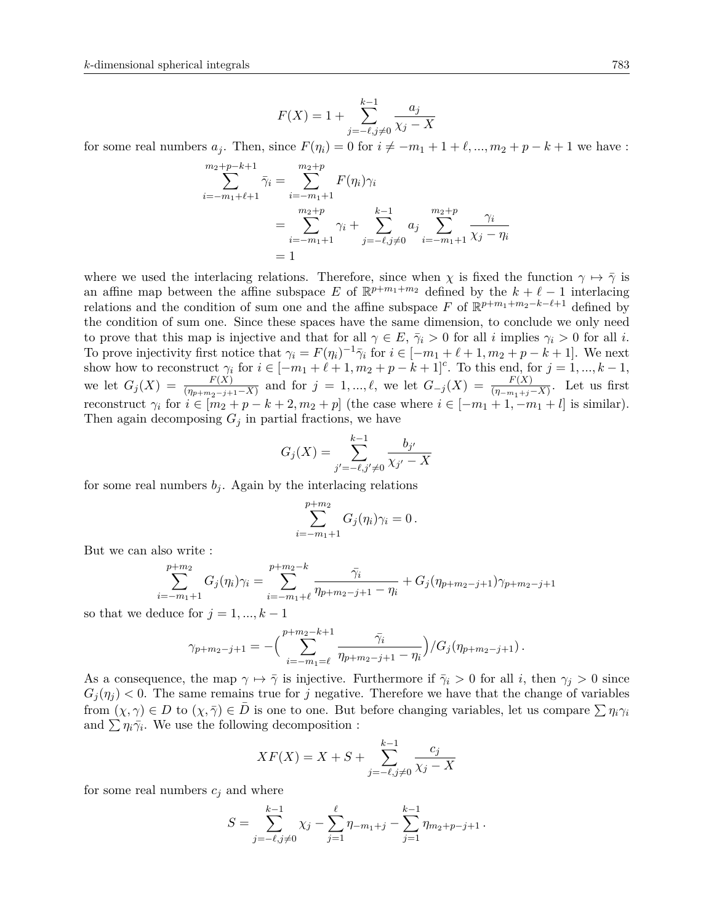$$
F(X)=1+\sum_{j=-\ell, j\neq 0}^{k-1}\frac{a_j}{\chi_j-X}
$$

for some real numbers  $a_j$ . Then, since  $F(\eta_i) = 0$  for  $i \neq -m_1 + 1 + \ell, ..., m_2 + p - k + 1$  we have :

$$
\sum_{i=-m_1+\ell+1}^{m_2+p-k+1} \bar{\gamma}_i = \sum_{i=-m_1+1}^{m_2+p} F(\eta_i) \gamma_i
$$
  
= 
$$
\sum_{i=-m_1+1}^{m_2+p} \gamma_i + \sum_{j=-\ell, j\neq 0}^{k-1} a_j \sum_{i=-m_1+1}^{m_2+p} \frac{\gamma_i}{\chi_j - \eta_i}
$$
  
= 1

where we used the interlacing relations. Therefore, since when  $\chi$  is fixed the function  $\gamma \mapsto \overline{\gamma}$  is an affine map between the affine subspace *E* of  $\mathbb{R}^{p+m_1+m_2}$  defined by the  $k+\ell-1$  interlacing relations and the condition of sum one and the affine subspace *F* of  $\mathbb{R}^{p+m_1+m_2-k-\ell+1}$  defined by the condition of sum one. Since these spaces have the same dimension, to conclude we only need to prove that this map is injective and that for all  $\gamma \in E$ ,  $\bar{\gamma}_i > 0$  for all *i* implies  $\gamma_i > 0$  for all *i*. To prove injectivity first notice that  $\gamma_i = F(\eta_i)^{-1} \bar{\gamma}_i$  for  $i \in [-m_1 + \ell + 1, m_2 + p - k + 1]$ . We next show how to reconstruct  $\gamma_i$  for  $i \in [-m_1 + \ell + 1, m_2 + p - k + 1]^c$ . To this end, for  $j = 1, ..., k - 1$ , we let  $G_j(X) = \frac{F(X)}{(\eta_{p+m_2-j+1}-X)}$  and for  $j = 1, ..., \ell$ , we let  $G_{-j}(X) = \frac{F(X)}{(\eta_{-m_1+j}-X)}$ . Let us first reconstruct  $\gamma_i$  for  $i \in [m_2 + p - k + 2, m_2 + p]$  (the case where  $i \in [-m_1 + 1, -m_1 + l]$  is similar). Then again decomposing  $G_j$  in partial fractions, we have

$$
G_j(X) = \sum_{j' = -\ell, j' \neq 0}^{k-1} \frac{b_{j'}}{\chi_{j'} - X}
$$

for some real numbers  $b_j$ . Again by the interlacing relations

$$
\sum_{i=-m_1+1}^{p+m_2} G_j(\eta_i) \gamma_i = 0 \, .
$$

But we can also write :

$$
\sum_{i=-m_1+1}^{p+m_2} G_j(\eta_i)\gamma_i = \sum_{i=-m_1+\ell}^{p+m_2-k} \frac{\bar{\gamma}_i}{\eta_{p+m_2-j+1} - \eta_i} + G_j(\eta_{p+m_2-j+1})\gamma_{p+m_2-j+1}
$$

so that we deduce for  $j = 1, ..., k - 1$ 

$$
\gamma_{p+m_2-j+1} = -\Big(\sum_{i=-m_1=\ell}^{p+m_2-k+1} \frac{\bar{\gamma}_i}{\eta_{p+m_2-j+1} - \eta_i}\Big) / G_j(\eta_{p+m_2-j+1}).
$$

As a consequence, the map  $\gamma \mapsto \overline{\gamma}$  is injective. Furthermore if  $\overline{\gamma}_i > 0$  for all *i*, then  $\gamma_i > 0$  since  $G_i(\eta_i)$  < 0. The same remains true for *j* negative. Therefore we have that the change of variables from  $(\chi, \gamma) \in D$  to  $(\chi, \overline{\gamma}) \in D$  is one to one. But before changing variables, let us compare  $\sum \eta_i \gamma_i$ and  $\sum \eta_i \bar{\gamma}_i$ . We use the following decomposition :

$$
XF(X) = X + S + \sum_{j=-\ell, j \neq 0}^{k-1} \frac{c_j}{\chi_j - X}
$$

for some real numbers  $c_i$  and where

$$
S = \sum_{j=-\ell, j\neq 0}^{k-1} \chi_j - \sum_{j=1}^{\ell} \eta_{-m_1+j} - \sum_{j=1}^{k-1} \eta_{m_2+p-j+1}.
$$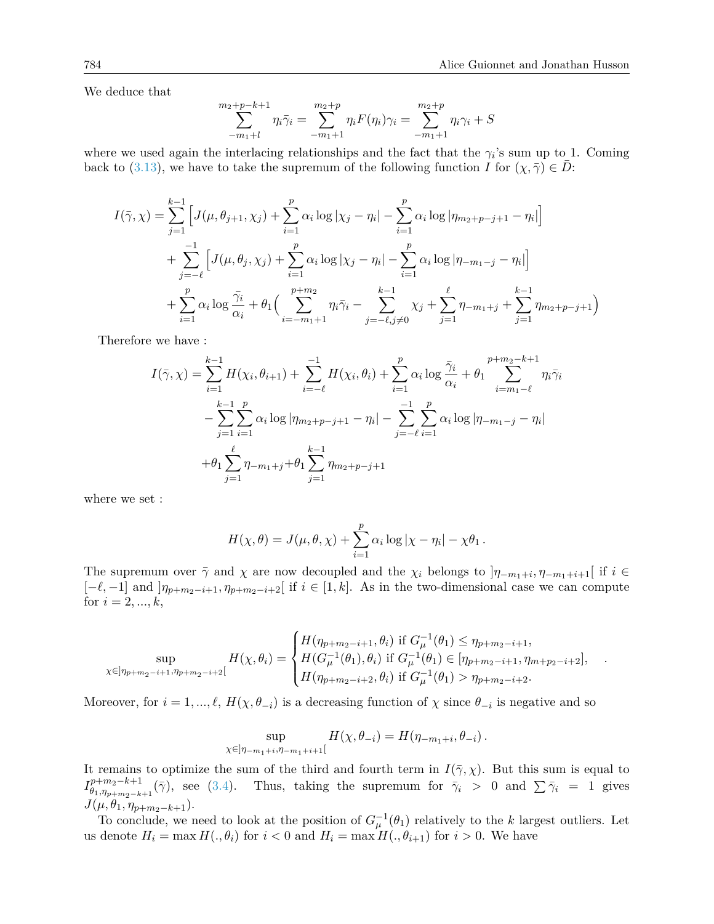We deduce that

$$
\sum_{-m_1+l}^{m_2+p-k+1} \eta_i \bar{\gamma}_i = \sum_{-m_1+1}^{m_2+p} \eta_i F(\eta_i) \gamma_i = \sum_{-m_1+1}^{m_2+p} \eta_i \gamma_i + S
$$

where we used again the interlacing relationships and the fact that the  $\gamma_i$ 's sum up to 1. Coming back to [\(3.13\)](#page-13-0), we have to take the supremum of the following function *I* for  $(\chi, \overline{\gamma}) \in D$ :

$$
I(\bar{\gamma}, \chi) = \sum_{j=1}^{k-1} \left[ J(\mu, \theta_{j+1}, \chi_j) + \sum_{i=1}^{p} \alpha_i \log |\chi_j - \eta_i| - \sum_{i=1}^{p} \alpha_i \log |\eta_{m_2+p-j+1} - \eta_i| \right] + \sum_{j=-\ell}^{-1} \left[ J(\mu, \theta_j, \chi_j) + \sum_{i=1}^{p} \alpha_i \log |\chi_j - \eta_i| - \sum_{i=1}^{p} \alpha_i \log |\eta_{-m_1-j} - \eta_i| \right] + \sum_{i=1}^{p} \alpha_i \log \frac{\bar{\gamma}_i}{\alpha_i} + \theta_1 \Big( \sum_{i=-m_1+1}^{p+m_2} \eta_i \bar{\gamma}_i - \sum_{j=-\ell, j \neq 0}^{k-1} \chi_j + \sum_{j=1}^{\ell} \eta_{-m_1+j} + \sum_{j=1}^{k-1} \eta_{m_2+p-j+1} \Big)
$$

Therefore we have :

$$
I(\bar{\gamma}, \chi) = \sum_{i=1}^{k-1} H(\chi_i, \theta_{i+1}) + \sum_{i=-\ell}^{-1} H(\chi_i, \theta_i) + \sum_{i=1}^{p} \alpha_i \log \frac{\bar{\gamma}_i}{\alpha_i} + \theta_1 \sum_{i=m_1-\ell}^{p+m_2-k+1} \eta_i \bar{\gamma}_i
$$
  

$$
- \sum_{j=1}^{k-1} \sum_{i=1}^{p} \alpha_i \log |\eta_{m_2+p-j+1} - \eta_i| - \sum_{j=-\ell}^{-1} \sum_{i=1}^{p} \alpha_i \log |\eta_{-m_1-j} - \eta_i|
$$
  

$$
+ \theta_1 \sum_{j=1}^{\ell} \eta_{-m_1+j} + \theta_1 \sum_{j=1}^{k-1} \eta_{m_2+p-j+1}
$$

where we set :

$$
H(\chi, \theta) = J(\mu, \theta, \chi) + \sum_{i=1}^{p} \alpha_i \log |\chi - \eta_i| - \chi \theta_1.
$$

The supremum over  $\bar{\gamma}$  and  $\chi$  are now decoupled and the  $\chi_i$  belongs to  $]\eta_{-m_1+i}, \eta_{-m_1+i+1}[\}$  if  $i \in$  $[-\ell, -1]$  and  $]\eta_{p+m_2-i+1}, \eta_{p+m_2-i+2}$  if  $i \in [1, k]$ . As in the two-dimensional case we can compute for  $i = 2, ..., k$ ,

$$
\sup_{\chi \in ]\eta_{p+m_2-i+1},\eta_{p+m_2-i+2}[} H(\chi,\theta_i) = \begin{cases} H(\eta_{p+m_2-i+1},\theta_i) & \text{if } G_{\mu}^{-1}(\theta_1) \leq \eta_{p+m_2-i+1}, \\ H(G_{\mu}^{-1}(\theta_1),\theta_i) & \text{if } G_{\mu}^{-1}(\theta_1) \in [\eta_{p+m_2-i+1},\eta_{m+p_2-i+2}], \\ H(\eta_{p+m_2-i+2},\theta_i) & \text{if } G_{\mu}^{-1}(\theta_1) > \eta_{p+m_2-i+2}. \end{cases}
$$

Moreover, for  $i = 1, ..., \ell$ ,  $H(\chi, \theta_{-i})$  is a decreasing function of  $\chi$  since  $\theta_{-i}$  is negative and so

$$
\sup_{\chi \in ]\eta_{-m_1+i}, \eta_{-m_1+i+1}[} H(\chi, \theta_{-i}) = H(\eta_{-m_1+i}, \theta_{-i}).
$$

It remains to optimize the sum of the third and fourth term in  $I(\bar{\gamma}, \chi)$ . But this sum is equal to  $I_{\theta_1,n}^{p+m_2-k+1}$  $\theta_1, \eta_1, \eta_2 - k + 1 \over \theta_1, \eta_2 + \eta_3 - k + 1}$  ( $\bar{\gamma}$ ), see [\(3.4\)](#page-8-0). Thus, taking the supremum for  $\bar{\gamma}_i > 0$  and  $\sum \bar{\gamma}_i = 1$  gives  $J(\mu, \theta_1, \eta_{p+m_2-k+1}).$ 

To conclude, we need to look at the position of  $G_{\mu}^{-1}(\theta_1)$  relatively to the *k* largest outliers. Let us denote  $H_i = \max H(.,\theta_i)$  for  $i < 0$  and  $H_i = \max H(.,\theta_{i+1})$  for  $i > 0$ . We have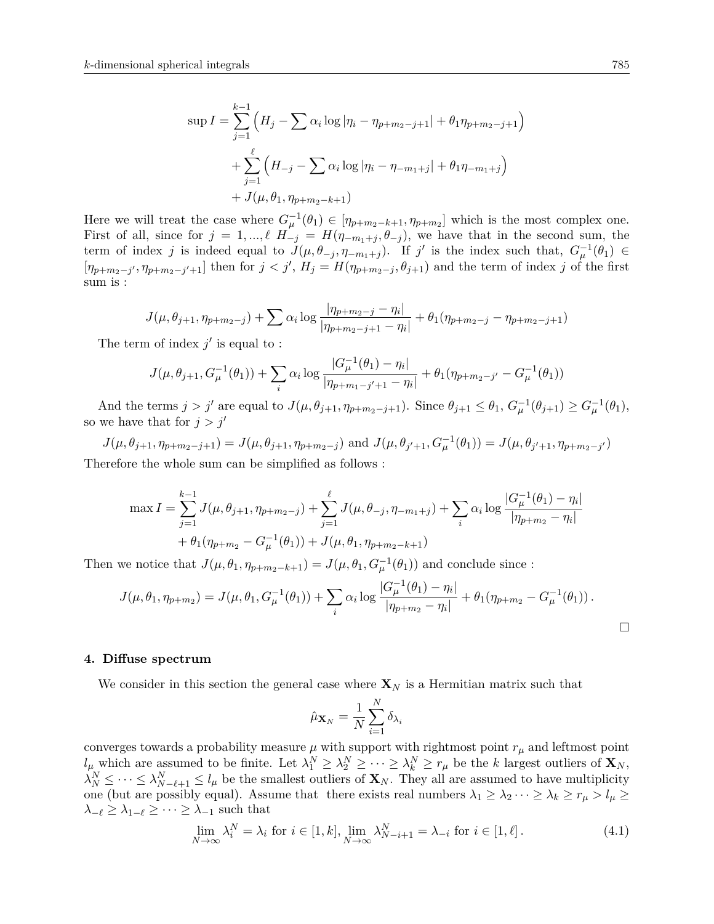$$
\sup I = \sum_{j=1}^{k-1} \left( H_j - \sum \alpha_i \log |\eta_i - \eta_{p+m_2-j+1}| + \theta_1 \eta_{p+m_2-j+1} \right)
$$
  
+ 
$$
\sum_{j=1}^{\ell} \left( H_{-j} - \sum \alpha_i \log |\eta_i - \eta_{-m_1+j}| + \theta_1 \eta_{-m_1+j} \right)
$$
  
+ 
$$
J(\mu, \theta_1, \eta_{p+m_2-k+1})
$$

Here we will treat the case where  $G_{\mu}^{-1}(\theta_1) \in [\eta_{p+m_2-k+1}, \eta_{p+m_2}]$  which is the most complex one. First of all, since for  $j = 1, ..., \ell$   $H_{-j}^{r} = H(\eta_{-m_1+j}, \theta_{-j}),$  we have that in the second sum, the term of index *j* is indeed equal to  $J(\mu, \theta_{-j}, \eta_{-m_1+j})$ . If *j'* is the index such that,  $G_{\mu}^{-1}(\theta_1) \in$  $[\eta_{p+m_2-j'},\eta_{p+m_2-j'+1}]$  then for  $j < j', H_j = H(\eta_{p+m_2-j},\theta_{j+1})$  and the term of index j of the first sum is :

$$
J(\mu, \theta_{j+1}, \eta_{p+m_2-j}) + \sum \alpha_i \log \frac{|\eta_{p+m_2-j} - \eta_i|}{|\eta_{p+m_2-j+1} - \eta_i|} + \theta_1(\eta_{p+m_2-j} - \eta_{p+m_2-j+1})
$$

The term of index  $j'$  is equal to:

$$
J(\mu, \theta_{j+1}, G_{\mu}^{-1}(\theta_1)) + \sum_{i} \alpha_i \log \frac{|G_{\mu}^{-1}(\theta_1) - \eta_i|}{|\eta_{p+m_1-j'+1} - \eta_i|} + \theta_1(\eta_{p+m_2-j'} - G_{\mu}^{-1}(\theta_1))
$$

And the terms  $j > j'$  are equal to  $J(\mu, \theta_{j+1}, \eta_{p+m_2-j+1})$ . Since  $\theta_{j+1} \leq \theta_1$ ,  $G_{\mu}^{-1}(\theta_{j+1}) \geq G_{\mu}^{-1}(\theta_1)$ , so we have that for  $j > j'$ 

 $J(\mu, \theta_{j+1}, \eta_{p+m_2-j+1}) = J(\mu, \theta_{j+1}, \eta_{p+m_2-j})$  and  $J(\mu, \theta_{j'+1}, G_{\mu}^{-1}(\theta_1)) = J(\mu, \theta_{j'+1}, \eta_{p+m_2-j'})$ Therefore the whole sum can be simplified as follows :

$$
\max I = \sum_{j=1}^{k-1} J(\mu, \theta_{j+1}, \eta_{p+m_2-j}) + \sum_{j=1}^{\ell} J(\mu, \theta_{-j}, \eta_{-m_1+j}) + \sum_i \alpha_i \log \frac{|G_{\mu}^{-1}(\theta_1) - \eta_i|}{|\eta_{p+m_2} - \eta_i|} + \theta_1(\eta_{p+m_2} - G_{\mu}^{-1}(\theta_1)) + J(\mu, \theta_1, \eta_{p+m_2-k+1})
$$

Then we notice that  $J(\mu, \theta_1, \eta_{p+m_2-k+1}) = J(\mu, \theta_1, G_{\mu}^{-1}(\theta_1))$  and conclude since :

$$
J(\mu, \theta_1, \eta_{p+m_2}) = J(\mu, \theta_1, G_{\mu}^{-1}(\theta_1)) + \sum_i \alpha_i \log \frac{|G_{\mu}^{-1}(\theta_1) - \eta_i|}{|\eta_{p+m_2} - \eta_i|} + \theta_1(\eta_{p+m_2} - G_{\mu}^{-1}(\theta_1)).
$$

#### <span id="page-16-0"></span>**4. Diffuse spectrum**

We consider in this section the general case where  $\mathbf{X}_N$  is a Hermitian matrix such that

$$
\hat{\mu}_{\mathbf{X}_N} = \frac{1}{N}\sum_{i=1}^N \delta_{\lambda_i}
$$

converges towards a probability measure  $\mu$  with support with rightmost point  $r_{\mu}$  and leftmost point  $l_{\mu}$  which are assumed to be finite. Let  $\lambda_1^N \geq \lambda_2^N \geq \cdots \geq \lambda_k^N \geq r_{\mu}$  be the *k* largest outliers of  $\mathbf{X}_N$ ,  $\lambda_N^N \leq \cdots \leq \lambda_{N-\ell+1}^N \leq l_\mu$  be the smallest outliers of **X***N*. They all are assumed to have multiplicity one (but are possibly equal). Assume that there exists real numbers  $\lambda_1 \geq \lambda_2 \cdots \geq \lambda_k \geq r_{\mu} > l_{\mu} \geq$  $\lambda_{-\ell} \geq \lambda_{1-\ell} \geq \cdots \geq \lambda_{-1}$  such that

<span id="page-16-1"></span>
$$
\lim_{N \to \infty} \lambda_i^N = \lambda_i \text{ for } i \in [1, k], \lim_{N \to \infty} \lambda_{N-i+1}^N = \lambda_{-i} \text{ for } i \in [1, \ell].
$$
\n(4.1)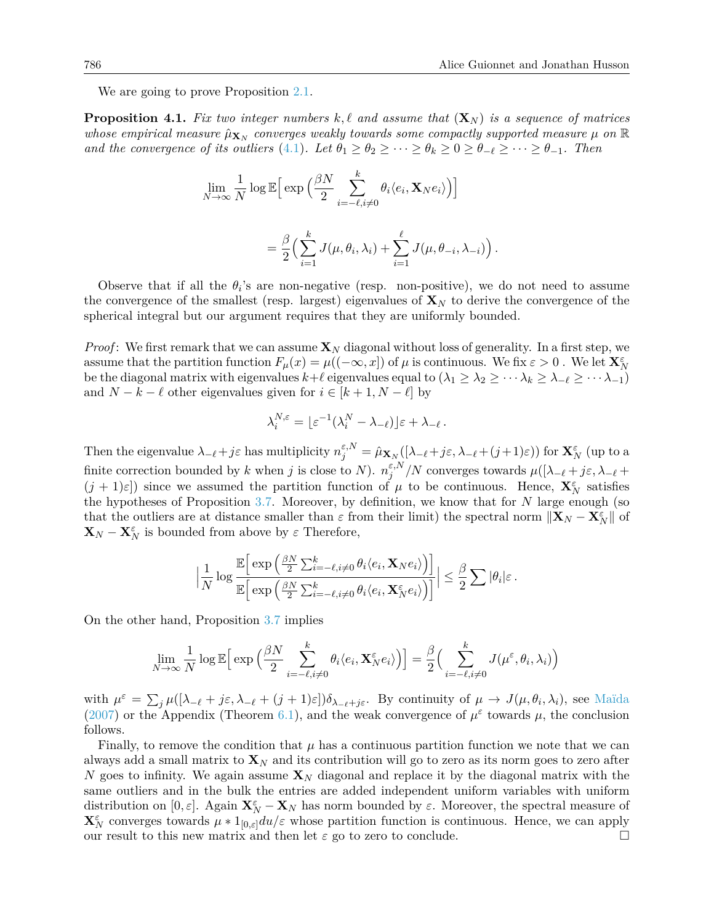*.*

We are going to prove Proposition [2.1.](#page-2-3)

<span id="page-17-0"></span>**Proposition 4.1.** Fix two integer numbers  $k, l$  and assume that  $(\mathbf{X}_N)$  is a sequence of matrices *whose empirical measure*  $\hat{\mu}_{\mathbf{X}_N}$  *converges weakly towards some compactly supported measure*  $\mu$  on  $\mathbb R$ *and the convergence of its outliers* [\(4.1\)](#page-16-1). Let  $\theta_1 \geq \theta_2 \geq \cdots \geq \theta_k \geq 0 \geq \theta_{-\ell} \geq \cdots \geq \theta_{-1}$ . Then

$$
\lim_{N \to \infty} \frac{1}{N} \log \mathbb{E} \Big[ \exp \Big( \frac{\beta N}{2} \sum_{i=-\ell, i \neq 0}^{k} \theta_i \langle e_i, \mathbf{X}_N e_i \rangle \Big) \Big]
$$

$$
= \frac{\beta}{2} \Big( \sum_{i=1}^{k} J(\mu, \theta_i, \lambda_i) + \sum_{i=1}^{\ell} J(\mu, \theta_{-i}, \lambda_{-i}) \Big)
$$

Observe that if all the  $\theta_i$ 's are non-negative (resp. non-positive), we do not need to assume the convergence of the smallest (resp. largest) eigenvalues of  $\mathbf{X}_N$  to derive the convergence of the spherical integral but our argument requires that they are uniformly bounded.

*Proof*: We first remark that we can assume  $\mathbf{X}_N$  diagonal without loss of generality. In a first step, we assume that the partition function  $F_\mu(x) = \mu((-\infty, x])$  of  $\mu$  is continuous. We fix  $\varepsilon > 0$ . We let  $\mathbf{X}_N^{\varepsilon}$ be the diagonal matrix with eigenvalues  $k+\ell$  eigenvalues equal to  $(\lambda_1 \geq \lambda_2 \geq \cdots \lambda_k \geq \lambda_{-\ell} \geq \cdots \lambda_{-1})$ and  $N - k - \ell$  other eigenvalues given for  $i \in [k + 1, N - \ell]$  by

$$
\lambda_i^{N,\varepsilon} = \lfloor \varepsilon^{-1} (\lambda_i^N - \lambda_{-\ell}) \rfloor \varepsilon + \lambda_{-\ell}.
$$

Then the eigenvalue  $\lambda_{-\ell}+j\varepsilon$  has multiplicity  $n_j^{\varepsilon,N} = \hat{\mu}_{\mathbf{X}_N}([\lambda_{-\ell}+j\varepsilon,\lambda_{-\ell}+(j+1)\varepsilon))$  for  $\mathbf{X}_N^{\varepsilon}$  (up to a finite correction bounded by *k* when *j* is close to *N*).  $n_i^{\varepsilon, N}$  $\frac{\varepsilon, N}{j}$  */N* converges towards  $\mu([\lambda_{-\ell} + j\varepsilon, \lambda_{-\ell} + j\varepsilon])$  $(j + 1)\varepsilon$ ) since we assumed the partition function of  $\mu$  to be continuous. Hence,  $\mathbf{X}_N^{\varepsilon}$  satisfies the hypotheses of Proposition [3.7.](#page-12-0) Moreover, by definition, we know that for *N* large enough (so that the outliers are at distance smaller than  $\varepsilon$  from their limit) the spectral norm  $\|\mathbf{X}_N - \mathbf{X}_N^{\varepsilon}\|$  of  $\mathbf{X}_N - \mathbf{X}_N^{\varepsilon}$  is bounded from above by  $\varepsilon$  Therefore,

$$
\Big|\frac{1}{N}\log\frac{\mathbb{E}\Big[\exp\Big(\frac{\beta N}{2}\sum_{i=-\ell,i\neq 0}^{k}\theta_i\langle e_i,\mathbf{X}_N e_i\rangle\Big)\Big]}{\mathbb{E}\Big[\exp\Big(\frac{\beta N}{2}\sum_{i=-\ell,i\neq 0}^{k}\theta_i\langle e_i,\mathbf{X}_N^{\varepsilon} e_i\rangle\Big)\Big]}\Big|\leq \frac{\beta}{2}\sum|\theta_i|\varepsilon.
$$

On the other hand, Proposition [3.7](#page-12-0) implies

$$
\lim_{N \to \infty} \frac{1}{N} \log \mathbb{E} \Big[ \exp \Big( \frac{\beta N}{2} \sum_{i=-\ell, i \neq 0}^{k} \theta_i \langle e_i, \mathbf{X}_N^{\varepsilon} e_i \rangle \Big) \Big] = \frac{\beta}{2} \Big( \sum_{i=-\ell, i \neq 0}^{k} J(\mu^{\varepsilon}, \theta_i, \lambda_i) \Big)
$$

with  $\mu^{\varepsilon} = \sum_j \mu([\lambda_{-\ell} + j\varepsilon, \lambda_{-\ell} + (j+1)\varepsilon]) \delta_{\lambda_{-\ell} + j\varepsilon}$ . By continuity of  $\mu \to J(\mu, \theta_i, \lambda_i)$ , see [Maïda](#page-28-7) [\(2007\)](#page-28-7) or the Appendix (Theorem [6.1\)](#page-26-1), and the weak convergence of  $\mu^{\varepsilon}$  towards  $\mu$ , the conclusion follows.

Finally, to remove the condition that  $\mu$  has a continuous partition function we note that we can always add a small matrix to  $\mathbf{X}_N$  and its contribution will go to zero as its norm goes to zero after *N* goes to infinity. We again assume  $\mathbf{X}_N$  diagonal and replace it by the diagonal matrix with the same outliers and in the bulk the entries are added independent uniform variables with uniform distribution on  $[0, \varepsilon]$ . Again  $\mathbf{X}_N^{\varepsilon} - \mathbf{X}_N$  has norm bounded by  $\varepsilon$ . Moreover, the spectral measure of  $\mathbf{X}_N^{\varepsilon}$  converges towards  $\mu * 1_{[0,\varepsilon]} du/\varepsilon$  whose partition function is continuous. Hence, we can apply our result to this new matrix and then let *ε* go to zero to conclude.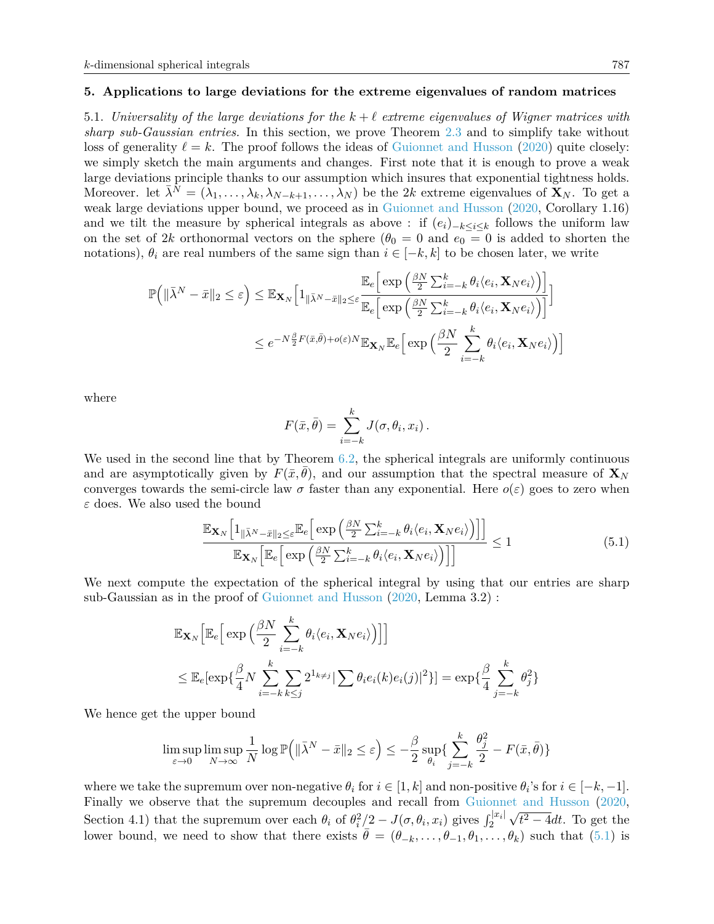#### <span id="page-18-0"></span>**5. Applications to large deviations for the extreme eigenvalues of random matrices**

<span id="page-18-1"></span>5.1. *Universality of the large deviations for the*  $k + \ell$  *extreme eigenvalues of Wigner matrices with sharp sub-Gaussian entries.* In this section, we prove Theorem [2.3](#page-3-0) and to simplify take without loss of generality  $\ell = k$ . The proof follows the ideas of [Guionnet and Husson](#page-27-1) [\(2020\)](#page-27-1) quite closely: we simply sketch the main arguments and changes. First note that it is enough to prove a weak large deviations principle thanks to our assumption which insures that exponential tightness holds. Moreover. let  $\bar{\lambda}^N = (\lambda_1, \ldots, \lambda_k, \lambda_{N-k+1}, \ldots, \lambda_N)$  be the 2*k* extreme eigenvalues of  $\mathbf{X}_N$ . To get a weak large deviations upper bound, we proceed as in [Guionnet and Husson](#page-27-1) [\(2020,](#page-27-1) Corollary 1.16) and we tilt the measure by spherical integrals as above : if  $(e_i)_{-k \leq i \leq k}$  follows the uniform law on the set of 2*k* orthonormal vectors on the sphere ( $\theta_0 = 0$  and  $e_0 = 0$  is added to shorten the notations),  $\theta_i$  are real numbers of the same sign than  $i \in [-k, k]$  to be chosen later, we write

$$
\mathbb{P}\Big(\|\bar{\lambda}^{N}-\bar{x}\|_{2} \leq \varepsilon\Big) \leq \mathbb{E}_{\mathbf{X}_{N}}\Big[1_{\|\bar{\lambda}^{N}-\bar{x}\|_{2} \leq \varepsilon} \frac{\mathbb{E}_{e}\Big[\exp\Big(\frac{\beta N}{2}\sum_{i=-k}^{k} \theta_{i} \langle e_{i}, \mathbf{X}_{N} e_{i} \rangle\Big)\Big]}{\mathbb{E}_{e}\Big[\exp\Big(\frac{\beta N}{2}\sum_{i=-k}^{k} \theta_{i} \langle e_{i}, \mathbf{X}_{N} e_{i} \rangle\Big)\Big]}\Big] \leq e^{-N\frac{\beta}{2}F(\bar{x}, \bar{\theta})+o(\varepsilon)N} \mathbb{E}_{\mathbf{X}_{N}} \mathbb{E}_{e}\Big[\exp\Big(\frac{\beta N}{2}\sum_{i=-k}^{k} \theta_{i} \langle e_{i}, \mathbf{X}_{N} e_{i} \rangle\Big)\Big]
$$

where

$$
F(\bar{x}, \bar{\theta}) = \sum_{i=-k}^{k} J(\sigma, \theta_i, x_i).
$$

We used in the second line that by Theorem [6.2,](#page-26-2) the spherical integrals are uniformly continuous and are asymptotically given by  $F(\bar{x}, \theta)$ , and our assumption that the spectral measure of  $\mathbf{X}_N$ converges towards the semi-circle law  $\sigma$  faster than any exponential. Here  $o(\varepsilon)$  goes to zero when *ε* does. We also used the bound

<span id="page-18-2"></span>
$$
\frac{\mathbb{E}_{\mathbf{X}_{N}}\left[1_{\|\bar{\lambda}^{N}-\bar{x}\|_{2}\leq\varepsilon}\mathbb{E}_{e}\left[\exp\left(\frac{\beta N}{2}\sum_{i=-k}^{k}\theta_{i}\langle e_{i},\mathbf{X}_{N}e_{i}\rangle\right)\right]\right]}{\mathbb{E}_{\mathbf{X}_{N}}\left[\mathbb{E}_{e}\left[\exp\left(\frac{\beta N}{2}\sum_{i=-k}^{k}\theta_{i}\langle e_{i},\mathbf{X}_{N}e_{i}\rangle\right)\right]\right]} \leq 1
$$
\n(5.1)

We next compute the expectation of the spherical integral by using that our entries are sharp sub-Gaussian as in the proof of [Guionnet and Husson](#page-27-1) [\(2020,](#page-27-1) Lemma 3.2) :

$$
\mathbb{E}_{\mathbf{X}_N} \Big[ \mathbb{E}_e \Big[ \exp \Big( \frac{\beta N}{2} \sum_{i=-k}^k \theta_i \langle e_i, \mathbf{X}_N e_i \rangle \Big) \Big] \Big]
$$
  

$$
\leq \mathbb{E}_e \Big[ \exp \{ \frac{\beta}{4} N \sum_{i=-k}^k \sum_{k \leq j} 2^{1_{k \neq j}} \sum_{k \geq j} \theta_i e_i(k) e_i(j) \Big|^2 \} \Big] = \exp \{ \frac{\beta}{4} \sum_{j=-k}^k \theta_j^2 \}
$$

We hence get the upper bound

$$
\limsup_{\varepsilon \to 0} \limsup_{N \to \infty} \frac{1}{N} \log \mathbb{P} \Big( \| \bar{\lambda}^N - \bar{x} \|_2 \le \varepsilon \Big) \le -\frac{\beta}{2} \sup_{\theta_i} \{ \sum_{j=-k}^k \frac{\theta_j^2}{2} - F(\bar{x}, \bar{\theta}) \}
$$

where we take the supremum over non-negative  $\theta_i$  for  $i \in [1, k]$  and non-positive  $\theta_i$ 's for  $i \in [-k, -1]$ . Finally we observe that the supremum decouples and recall from [Guionnet and Husson](#page-27-1) [\(2020,](#page-27-1) Section 4.1) that the supremum over each  $\theta_i$  of  $\theta_i^2/2 - J(\sigma, \theta_i, x_i)$  gives  $\int_2^{|x_i|}$ √  $t^2 - 4dt$ . To get the lower bound, we need to show that there exists  $\theta = (\theta_{-k}, \ldots, \theta_{-1}, \theta_1, \ldots, \theta_k)$  such that [\(5.1\)](#page-18-2) is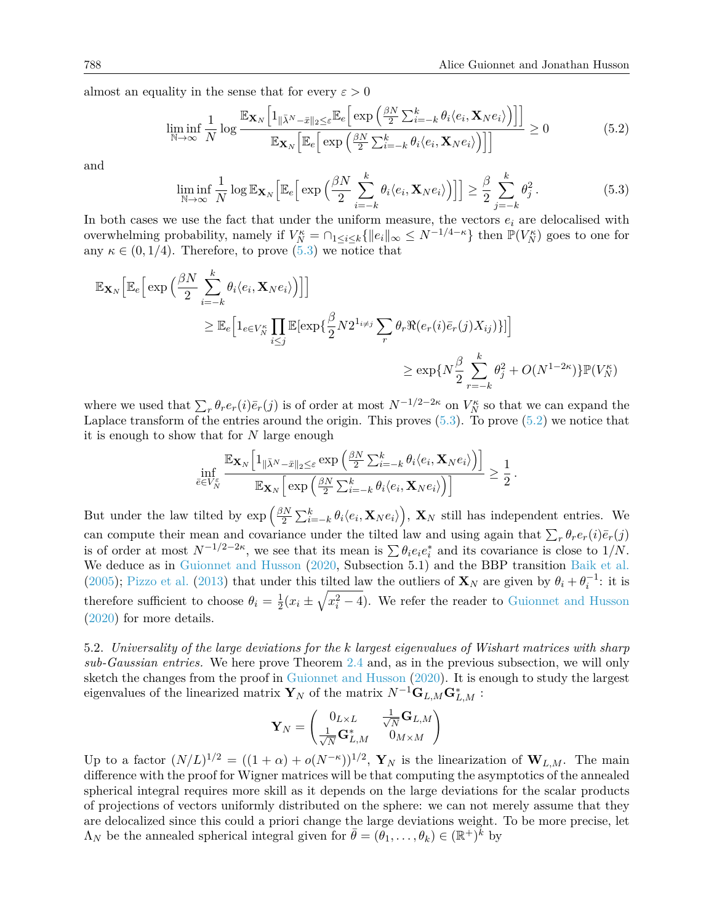almost an equality in the sense that for every  $\varepsilon > 0$ 

<span id="page-19-2"></span>
$$
\liminf_{N \to \infty} \frac{1}{N} \log \frac{\mathbb{E}_{\mathbf{X}_N} \Big[ 1_{\|\bar{\lambda}^N - \bar{x}\|_2 \leq \varepsilon} \mathbb{E}_e \Big[ \exp \Big( \frac{\beta N}{2} \sum_{i=-k}^k \theta_i \langle e_i, \mathbf{X}_N e_i \rangle \Big) \Big] \Big]}{\mathbb{E}_{\mathbf{X}_N} \Big[ \mathbb{E}_e \Big[ \exp \Big( \frac{\beta N}{2} \sum_{i=-k}^k \theta_i \langle e_i, \mathbf{X}_N e_i \rangle \Big) \Big] \Big]} \geq 0 \tag{5.2}
$$

and

<span id="page-19-1"></span>
$$
\liminf_{N \to \infty} \frac{1}{N} \log \mathbb{E}_{\mathbf{X}_N} \Big[ \mathbb{E}_e \Big[ \exp \Big( \frac{\beta N}{2} \sum_{i=-k}^k \theta_i \langle e_i, \mathbf{X}_N e_i \rangle \Big) \Big] \Big] \ge \frac{\beta}{2} \sum_{j=-k}^k \theta_j^2. \tag{5.3}
$$

In both cases we use the fact that under the uniform measure, the vectors  $e_i$  are delocalised with overwhelming probability, namely if  $V_N^{\kappa} = \bigcap_{1 \le i \le k} {\{|e_i||_{\infty} \le N^{-1/4-\kappa}\}\$  then  $\mathbb{P}(V_N^{\kappa})$  goes to one for any  $\kappa \in (0, 1/4)$ . Therefore, to prove  $(5.3)$  we notice that

$$
\mathbb{E}_{\mathbf{X}_{N}}\Big[\mathbb{E}_{e}\Big[\exp\Big(\frac{\beta N}{2}\sum_{i=-k}^{k} \theta_{i} \langle e_{i}, \mathbf{X}_{N} e_{i} \rangle\Big)\Big]\Big]\n\n\geq \mathbb{E}_{e}\Big[1_{e \in V_{N}^{\kappa}}\prod_{i \leq j} \mathbb{E}[\exp\{\frac{\beta}{2}N2^{1_{i \neq j}}\sum_{r} \theta_{r} \Re(e_{r}(i)\bar{e}_{r}(j)X_{ij})\}]\Big]\n\n\geq \exp\{N\frac{\beta}{2}\sum_{r=-k}^{k} \theta_{j}^{2} + O(N^{1-2\kappa})\}\mathbb{P}(V_{N}^{\kappa})
$$

where we used that  $\sum_r \theta_r e_r(i) \bar{e}_r(j)$  is of order at most  $N^{-1/2-2\kappa}$  on  $V_N^{\kappa}$  so that we can expand the Laplace transform of the entries around the origin. This proves  $(5.3)$ . To prove  $(5.2)$  we notice that it is enough to show that for *N* large enough

$$
\inf_{\bar{e}\in V_N^\varepsilon}\frac{\mathbb{E}_{\mathbf{X}_N}\Big[1_{\|\bar{\lambda}^N-\bar{x}\|_2\leq \varepsilon}\exp\Big(\frac{\beta N}{2}\sum_{i=-k}^k\theta_i\langle e_i,\mathbf{X}_Ne_i\rangle\Big)\Big]}{\mathbb{E}_{\mathbf{X}_N}\Big[\exp\Big(\frac{\beta N}{2}\sum_{i=-k}^k\theta_i\langle e_i,\mathbf{X}_Ne_i\rangle\Big)\Big]}\geq \frac{1}{2}\,.
$$

But under the law tilted by  $\exp\left(\frac{\beta N}{2}\right)$  $\sum_{i=-k}^{N} \partial_i \langle e_i, \mathbf{X}_N e_i \rangle$ ,  $\mathbf{X}_N$  still has independent entries. We can compute their mean and covariance under the tilted law and using again that  $\sum_r \theta_r e_r(i) \bar{e}_r(j)$ is of order at most  $N^{-1/2-2\kappa}$ , we see that its mean is  $\sum \theta_i e_i e_i^*$  and its covariance is close to  $1/N$ . We deduce as in [Guionnet and Husson](#page-27-1) [\(2020,](#page-27-1) Subsection 5.1) and the BBP transition [Baik et al.](#page-27-14) [\(2005\)](#page-27-14); [Pizzo et al.](#page-28-9) [\(2013\)](#page-28-9) that under this tilted law the outliers of  $\mathbf{X}_N$  are given by  $\theta_i + \theta_i^{-1}$ : it is therefore sufficient to choose  $\theta_i = \frac{1}{2}$  $\frac{1}{2}(x_i \pm \sqrt{x_i^2 - 4})$ . We refer the reader to [Guionnet and Husson](#page-27-1) [\(2020\)](#page-27-1) for more details.

<span id="page-19-0"></span>5.2. *Universality of the large deviations for the k largest eigenvalues of Wishart matrices with sharp sub-Gaussian entries.* We here prove Theorem [2.4](#page-3-1) and, as in the previous subsection, we will only sketch the changes from the proof in [Guionnet and Husson](#page-27-1) [\(2020\)](#page-27-1). It is enough to study the largest eigenvalues of the linearized matrix  $\mathbf{Y}_N$  of the matrix  $N^{-1}\mathbf{G}_{L,M}\mathbf{G}_{L,M}^*$ :

$$
\mathbf{Y}_N=\begin{pmatrix}0_{L\times L} & \frac{1}{\sqrt{N}}\mathbf{G}_{L,M} \\ \frac{1}{\sqrt{N}}\mathbf{G}_{L,M}^* & 0_{M\times M}\end{pmatrix}
$$

Up to a factor  $(N/L)^{1/2} = ((1+\alpha) + o(N^{-\kappa}))^{1/2}$ ,  $\mathbf{Y}_N$  is the linearization of  $\mathbf{W}_{L,M}$ . The main difference with the proof for Wigner matrices will be that computing the asymptotics of the annealed spherical integral requires more skill as it depends on the large deviations for the scalar products of projections of vectors uniformly distributed on the sphere: we can not merely assume that they are delocalized since this could a priori change the large deviations weight. To be more precise, let  $\Lambda_N$  be the annealed spherical integral given for  $\bar{\theta} = (\theta_1, \dots, \theta_k) \in (\mathbb{R}^+)^k$  by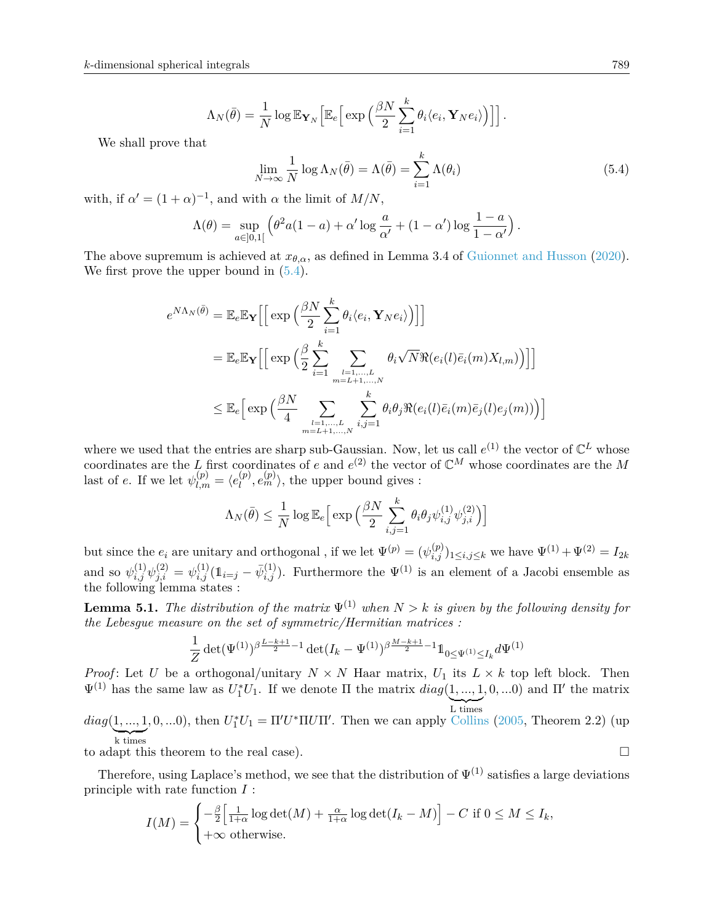$$
\Lambda_N(\bar{\theta}) = \frac{1}{N} \log \mathbb{E}_{\mathbf{Y}_N} \Big[ \mathbb{E}_e \Big[ \exp \Big( \frac{\beta N}{2} \sum_{i=1}^k \theta_i \langle e_i, \mathbf{Y}_N e_i \rangle \Big) \Big] \Big].
$$

We shall prove that

<span id="page-20-0"></span>
$$
\lim_{N \to \infty} \frac{1}{N} \log \Lambda_N(\bar{\theta}) = \Lambda(\bar{\theta}) = \sum_{i=1}^k \Lambda(\theta_i)
$$
\n(5.4)

with, if  $\alpha' = (1 + \alpha)^{-1}$ , and with  $\alpha$  the limit of  $M/N$ ,

$$
\Lambda(\theta) = \sup_{a \in [0,1[} \left( \theta^2 a(1-a) + \alpha' \log \frac{a}{\alpha'} + (1-\alpha') \log \frac{1-a}{1-\alpha'} \right).
$$

The above supremum is achieved at  $x_{\theta,\alpha}$ , as defined in Lemma 3.4 of [Guionnet and Husson](#page-27-1) [\(2020\)](#page-27-1). We first prove the upper bound in  $(5.4)$ .

$$
e^{N\Lambda_N(\bar{\theta})} = \mathbb{E}_e \mathbb{E}_{\mathbf{Y}} \Big[ \Big[ \exp \Big( \frac{\beta N}{2} \sum_{i=1}^k \theta_i \langle e_i, \mathbf{Y}_N e_i \rangle \Big) \Big] \Big]
$$
  
\n
$$
= \mathbb{E}_e \mathbb{E}_{\mathbf{Y}} \Big[ \Big[ \exp \Big( \frac{\beta}{2} \sum_{i=1}^k \sum_{\substack{l=1,\dots,L \\ m=L+1,\dots,N}} \theta_i \sqrt{N} \Re(e_i(l)\bar{e}_i(m)X_{l,m}) \Big) \Big] \Big]
$$
  
\n
$$
\leq \mathbb{E}_e \Big[ \exp \Big( \frac{\beta N}{4} \sum_{\substack{l=1,\dots,L \\ m=L+1,\dots,N}} \sum_{i,j=1}^k \theta_i \theta_j \Re(e_i(l)\bar{e}_i(m)\bar{e}_j(l)e_j(m)) \Big) \Big]
$$

where we used that the entries are sharp sub-Gaussian. Now, let us call  $e^{(1)}$  the vector of  $\mathbb{C}^L$  whose coordinates are the *L* first coordinates of *e* and  $e^{(2)}$  the vector of  $\mathbb{C}^M$  whose coordinates are the *M* last of *e*. If we let  $\psi_{l,m}^{(p)} = \langle e_l^{(p)} \rangle$  $\binom{p}{l}, e_m^{(p)}\rangle$ , the upper bound gives :

$$
\Lambda_N(\bar{\theta}) \le \frac{1}{N} \log \mathbb{E}_e \Big[ \exp \Big( \frac{\beta N}{2} \sum_{i,j=1}^k \theta_i \theta_j \psi_{i,j}^{(1)} \psi_{j,i}^{(2)} \Big) \Big]
$$

but since the  $e_i$  are unitary and orthogonal, if we let  $\Psi^{(p)} = (\psi^{(p)}_{i,j})_{1 \leq i,j \leq k}$  we have  $\Psi^{(1)} + \Psi^{(2)} = I_{2k}$ and so  $\psi_{i,j}^{(1)}\psi_{j,i}^{(2)} = \psi_{i,j}^{(1)}(1_{i=j} - \bar{\psi}_{i,j}^{(1)})$ . Furthermore the  $\Psi^{(1)}$  is an element of a Jacobi ensemble as the following lemma states :

<span id="page-20-1"></span>**Lemma 5.1.** *The distribution of the matrix*  $\Psi^{(1)}$  *when*  $N > k$  *is given by the following density for the Lebesgue measure on the set of symmetric/Hermitian matrices :*

$$
\frac{1}{Z}\det(\Psi^{(1)})^{\beta\frac{L-k+1}{2}-1}\det(I_k-\Psi^{(1)})^{\beta\frac{M-k+1}{2}-1}\mathbb{1}_{0\leq \Psi^{(1)}\leq I_k}d\Psi^{(1)}
$$

*Proof*: Let *U* be a orthogonal/unitary  $N \times N$  Haar matrix,  $U_1$  its  $L \times k$  top left block. Then  $\Psi^{(1)}$  has the same law as  $U_1^*U_1$ . If we denote  $\Pi$  the matrix  $diag(1, ..., 1, 0, ...0)$  and  $\Pi'$  the matrix  $L \times$  $diag(1, ..., 1, 0, ...0)$ , then  $U_1^*U_1 = \Pi'U^* \Pi U \Pi'$ . Then we can apply [Collins](#page-27-15) [\(2005,](#page-27-15) Theorem 2.2) (up k times

to adapt this theorem to the real case).

Therefore, using Laplace's method, we see that the distribution of  $\Psi^{(1)}$  satisfies a large deviations principle with rate function *I* :

$$
I(M) = \begin{cases} -\frac{\beta}{2} \left[ \frac{1}{1+\alpha} \log \det(M) + \frac{\alpha}{1+\alpha} \log \det(I_k - M) \right] - C & \text{if } 0 \le M \le I_k, \\ +\infty & \text{otherwise.} \end{cases}
$$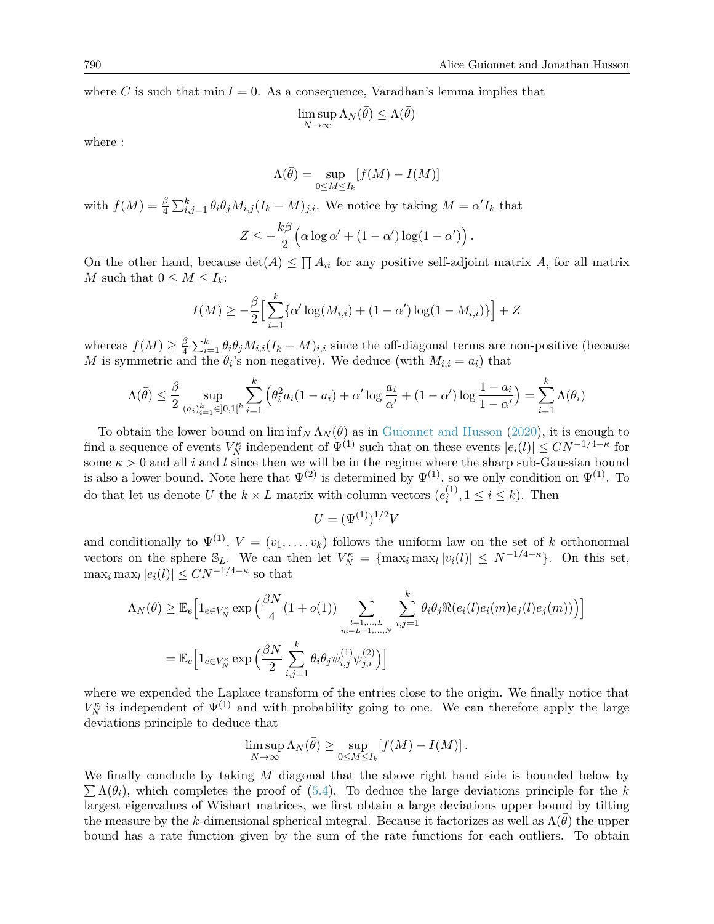where *C* is such that  $\min I = 0$ . As a consequence, Varadhan's lemma implies that

$$
\limsup_{N \to \infty} \Lambda_N(\bar{\theta}) \le \Lambda(\bar{\theta})
$$

where :

$$
\Lambda(\bar{\theta}) = \sup_{0 \le M \le I_k} [f(M) - I(M)]
$$

with  $f(M) = \frac{\beta}{4} \sum_{i,j=1}^{k} \theta_i \theta_j M_{i,j} (I_k - M)_{j,i}$ . We notice by taking  $M = \alpha' I_k$  that

$$
Z \leq -\frac{k\beta}{2} \Big( \alpha \log \alpha' + (1 - \alpha') \log(1 - \alpha') \Big) .
$$

On the other hand, because  $\det(A) \leq \prod A_{ii}$  for any positive self-adjoint matrix A, for all matrix *M* such that  $0 \leq M \leq I_k$ :

$$
I(M) \geq -\frac{\beta}{2} \Big[ \sum_{i=1}^{k} {\alpha' \log(M_{i,i}) + (1 - \alpha') \log(1 - M_{i,i})} \Big] + Z
$$

whereas  $f(M) \geq \frac{\beta}{4}$  $\frac{\beta}{4} \sum_{i=1}^{k} \theta_i \theta_j M_{i,i} (I_k - M)_{i,i}$  since the off-diagonal terms are non-positive (because *M* is symmetric and the  $\theta_i$ 's non-negative). We deduce (with  $M_{i,i} = a_i$ ) that

$$
\Lambda(\bar{\theta}) \le \frac{\beta}{2} \sup_{(a_i)_{i=1}^k \in [0,1]^k} \sum_{i=1}^k \left( \theta_i^2 a_i (1 - a_i) + \alpha' \log \frac{a_i}{\alpha'} + (1 - \alpha') \log \frac{1 - a_i}{1 - \alpha'} \right) = \sum_{i=1}^k \Lambda(\theta_i)
$$

To obtain the lower bound on  $\liminf_N \Lambda_N(\bar{\theta})$  as in [Guionnet and Husson](#page-27-1) [\(2020\)](#page-27-1), it is enough to find a sequence of events  $V_N^{\kappa}$  independent of  $\Psi^{(1)}$  such that on these events  $|e_i(l)| \leq CN^{-1/4-\kappa}$  for some  $\kappa > 0$  and all *i* and *l* since then we will be in the regime where the sharp sub-Gaussian bound is also a lower bound. Note here that  $\Psi^{(2)}$  is determined by  $\Psi^{(1)}$ , so we only condition on  $\Psi^{(1)}$ . To do that let us denote *U* the  $k \times L$  matrix with column vectors  $(e_i^{(1)})$  $i^{(1)}$ ,  $1 \le i \le k$ ). Then

$$
U = (\Psi^{(1)})^{1/2}V
$$

and conditionally to  $\Psi^{(1)}$ ,  $V = (v_1, \ldots, v_k)$  follows the uniform law on the set of *k* orthonormal vectors on the sphere  $\mathbb{S}_L$ . We can then let  $V_N^{\kappa} = {\max_i \max_l |v_i(l)| \le N^{-1/4-\kappa}}$ . On this set,  $\max_i \max_l |e_i(l)| \leq CN^{-1/4-\kappa}$  so that

$$
\Lambda_N(\bar{\theta}) \geq \mathbb{E}_e \Big[ 1_{e \in V_N^{\kappa}} \exp \Big( \frac{\beta N}{4} (1 + o(1)) \sum_{\substack{l=1,\dots,L \\ m=L+1,\dots,N}} \sum_{i,j=1}^k \theta_i \theta_j \Re(e_i(l)\bar{e}_i(m)\bar{e}_j(l)e_j(m)) \Big) \Big]
$$
  
= 
$$
\mathbb{E}_e \Big[ 1_{e \in V_N^{\kappa}} \exp \Big( \frac{\beta N}{2} \sum_{i,j=1}^k \theta_i \theta_j \psi_{i,j}^{(1)} \psi_{j,i}^{(2)} \Big) \Big]
$$

where we expended the Laplace transform of the entries close to the origin. We finally notice that  $V_N^{\kappa}$  is independent of  $\Psi^{(1)}$  and with probability going to one. We can therefore apply the large deviations principle to deduce that

$$
\limsup_{N \to \infty} \Lambda_N(\bar{\theta}) \ge \sup_{0 \le M \le I_k} [f(M) - I(M)].
$$

 $\sum \Lambda(\theta_i)$ , which completes the proof of [\(5.4\)](#page-20-0). To deduce the large deviations principle for the *k* We finally conclude by taking *M* diagonal that the above right hand side is bounded below by largest eigenvalues of Wishart matrices, we first obtain a large deviations upper bound by tilting the measure by the *k*-dimensional spherical integral. Because it factorizes as well as  $\Lambda(\theta)$  the upper bound has a rate function given by the sum of the rate functions for each outliers. To obtain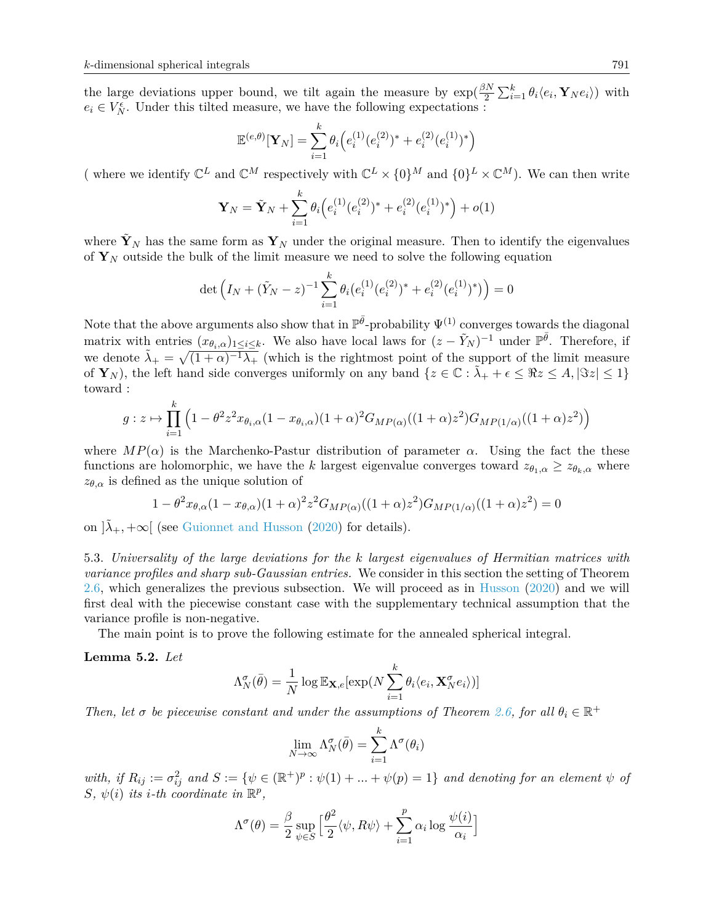*k*

the large deviations upper bound, we tilt again the measure by  $\exp(\frac{\beta N}{2}\sum_{i=1}^{k}\theta_i\langle e_i, \mathbf{Y}_N e_i \rangle)$  with  $e_i \in V_N^{\epsilon}$ . Under this tilted measure, we have the following expectations :

$$
\mathbb{E}^{(e,\theta)}[\mathbf{Y}_N] = \sum_{i=1}^k \theta_i \Big( e_i^{(1)} (e_i^{(2)})^* + e_i^{(2)} (e_i^{(1)})^* \Big)
$$

(where we identify  $\mathbb{C}^L$  and  $\mathbb{C}^M$  respectively with  $\mathbb{C}^L \times \{0\}^M$  and  $\{0\}^L \times \mathbb{C}^M$ ). We can then write

$$
\mathbf{Y}_N = \tilde{\mathbf{Y}}_N + \sum_{i=1}^k \theta_i \Big( e_i^{(1)} (e_i^{(2)})^* + e_i^{(2)} (e_i^{(1)})^* \Big) + o(1)
$$

where  $\tilde{\mathbf{Y}}_N$  has the same form as  $\mathbf{Y}_N$  under the original measure. Then to identify the eigenvalues of  $\mathbf{Y}_N$  outside the bulk of the limit measure we need to solve the following equation

$$
\det\left(I_N + (\tilde{Y}_N - z)^{-1} \sum_{i=1}^k \theta_i (e_i^{(1)}(e_i^{(2)})^* + e_i^{(2)}(e_i^{(1)})^*)\right) = 0
$$

Note that the above arguments also show that in  $\mathbb{P}^{\bar{\theta}}$ -probability  $\Psi^{(1)}$  converges towards the diagonal matrix with entries  $(x_{\theta_i,\alpha})_{1\leq i\leq k}$ . We also have local laws for  $(z-\tilde{Y}_N)^{-1}$  under  $\mathbb{P}^{\bar{\theta}}$ . Therefore, if we denote  $\tilde{\lambda}_+ = \sqrt{(1 + \alpha)^{-1} \lambda_+}$  (which is the rightmost point of the support of the limit measure of  $\mathbf{Y}_N$ , the left hand side converges uniformly on any band  $\{z \in \mathbb{C} : \tilde{\lambda}_+ + \epsilon \leq \Re z \leq A, |\Im z| \leq 1\}$ toward :

$$
g: z \mapsto \prod_{i=1}^{k} \left(1 - \theta^2 z^2 x_{\theta_i, \alpha} (1 - x_{\theta_i, \alpha})(1 + \alpha)^2 G_{MP(\alpha)}((1 + \alpha)z^2) G_{MP(1/\alpha)}((1 + \alpha)z^2)\right)
$$

where  $MP(\alpha)$  is the Marchenko-Pastur distribution of parameter  $\alpha$ . Using the fact the these functions are holomorphic, we have the *k* largest eigenvalue converges toward  $z_{\theta_1,\alpha} \geq z_{\theta_k,\alpha}$  where  $z_{\theta,\alpha}$  is defined as the unique solution of

$$
1 - \theta^2 x_{\theta,\alpha} (1 - x_{\theta,\alpha}) (1 + \alpha)^2 z^2 G_{MP(\alpha)}((1 + \alpha)z^2) G_{MP(1/\alpha)}((1 + \alpha)z^2) = 0
$$

on  $|\lambda_+, +\infty|$  (see [Guionnet and Husson](#page-27-1) [\(2020\)](#page-27-1) for details).

<span id="page-22-0"></span>5.3. *Universality of the large deviations for the k largest eigenvalues of Hermitian matrices with variance profiles and sharp sub-Gaussian entries.* We consider in this section the setting of Theorem [2.6,](#page-5-0) which generalizes the previous subsection. We will proceed as in [Husson](#page-28-3) [\(2020\)](#page-28-3) and we will first deal with the piecewise constant case with the supplementary technical assumption that the variance profile is non-negative.

The main point is to prove the following estimate for the annealed spherical integral.

### **Lemma 5.2.** *Let*

$$
\Lambda_N^{\sigma}(\bar{\theta}) = \frac{1}{N} \log \mathbb{E}_{\mathbf{X},e}[\exp(N\sum_{i=1}^k \theta_i \langle e_i, \mathbf{X}_N^{\sigma} e_i \rangle)]
$$

*Then, let*  $\sigma$  *be piecewise constant and under the assumptions of Theorem [2.6,](#page-5-0) for all*  $\theta_i \in \mathbb{R}^+$ 

$$
\lim_{N \to \infty} \Lambda_N^{\sigma}(\bar{\theta}) = \sum_{i=1}^k \Lambda^{\sigma}(\theta_i)
$$

 $with, if R_{ij} := \sigma_{ij}^2 \text{ and } S := \{ \psi \in (\mathbb{R}^+)^p : \psi(1) + ... + \psi(p) = 1 \}$  and denoting for an element  $\psi$  of  $S, \psi(i)$  *its i*-th coordinate in  $\mathbb{R}^p$ ,

$$
\Lambda^{\sigma}(\theta) = \frac{\beta}{2} \sup_{\psi \in S} \left[ \frac{\theta^2}{2} \langle \psi, R\psi \rangle + \sum_{i=1}^{p} \alpha_i \log \frac{\psi(i)}{\alpha_i} \right]
$$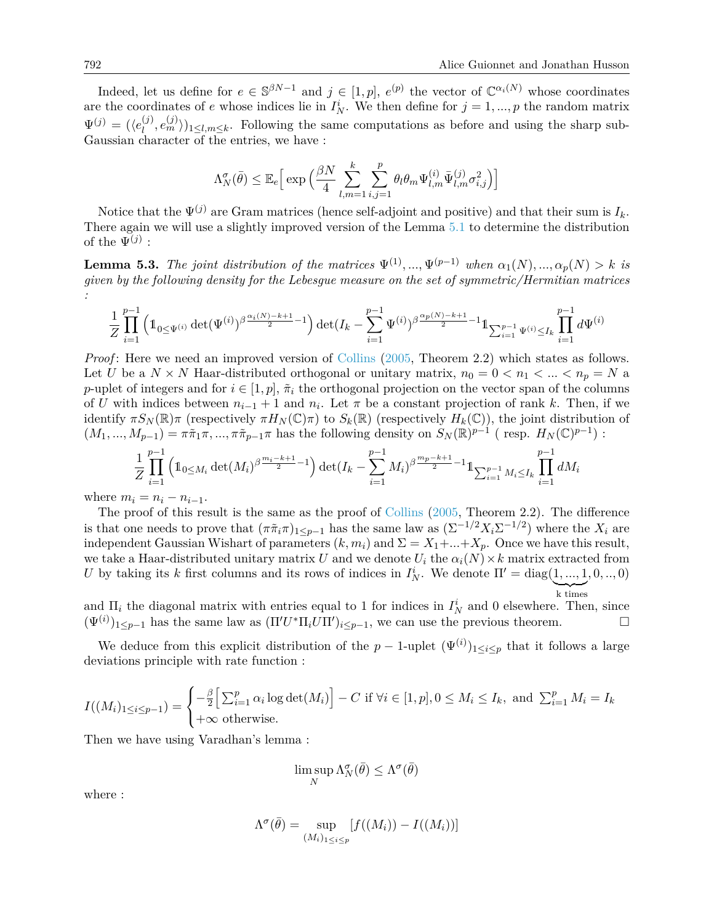Indeed, let us define for  $e \in \mathbb{S}^{\beta N-1}$  and  $j \in [1,p]$ ,  $e^{(p)}$  the vector of  $\mathbb{C}^{\alpha_i(N)}$  whose coordinates are the coordinates of *e* whose indices lie in  $I_N^i$ . We then define for  $j = 1, ..., p$  the random matrix  $\Psi^{(j)} = (\langle e_l^{(j)} \rangle$  $\binom{j}{l}, e_m^{(j)}\rangle_{1\leq l,m\leq k}$ . Following the same computations as before and using the sharp sub-Gaussian character of the entries, we have :

$$
\Lambda_N^{\sigma}(\bar{\theta}) \leq \mathbb{E}_e \Big[ \exp \Big( \frac{\beta N}{4} \sum_{l,m=1}^k \sum_{i,j=1}^p \theta_l \theta_m \Psi_{l,m}^{(i)} \bar{\Psi}_{l,m}^{(j)} \sigma_{i,j}^2 \Big) \Big]
$$

Notice that the  $\Psi^{(j)}$  are Gram matrices (hence self-adjoint and positive) and that their sum is  $I_k$ . There again we will use a slightly improved version of the Lemma [5.1](#page-20-1) to determine the distribution of the  $\Psi^{(j)}$  :

**Lemma 5.3.** *The joint distribution of the matrices*  $\Psi^{(1)}, \dots, \Psi^{(p-1)}$  *when*  $\alpha_1(N), \dots, \alpha_p(N) > k$  *is given by the following density for the Lebesgue measure on the set of symmetric/Hermitian matrices :*

$$
\frac{1}{Z} \prod_{i=1}^{p-1} \left( 1_{0 \le \Psi(i)} \det(\Psi^{(i)})^{\beta \frac{\alpha_i(N)-k+1}{2}-1} \right) \det(I_k - \sum_{i=1}^{p-1} \Psi^{(i)})^{\beta \frac{\alpha_p(N)-k+1}{2}-1} 1_{\sum_{i=1}^{p-1} \Psi^{(i)} \le I_k} \prod_{i=1}^{p-1} d\Psi^{(i)}
$$

*Proof*: Here we need an improved version of [Collins](#page-27-15) [\(2005,](#page-27-15) Theorem 2.2) which states as follows. Let *U* be a  $N \times N$  Haar-distributed orthogonal or unitary matrix,  $n_0 = 0 < n_1 < ... < n_p = N$  a *p*-uplet of integers and for  $i \in [1, p]$ ,  $\tilde{\pi}_i$  the orthogonal projection on the vector span of the columns of *U* with indices between  $n_{i-1} + 1$  and  $n_i$ . Let  $\pi$  be a constant projection of rank *k*. Then, if we identify  $\pi S_N(\mathbb{R})\pi$  (respectively  $\pi H_N(\mathbb{C})\pi$ ) to  $S_k(\mathbb{R})$  (respectively  $H_k(\mathbb{C})$ ), the joint distribution of  $(M_1, ..., M_{p-1}) = \pi \tilde{\pi}_1 \pi, ..., \pi \tilde{\pi}_{p-1} \pi$  has the following density on  $S_N(\mathbb{R})^{p-1}$  (resp.  $H_N(\mathbb{C})^{p-1}$ ):

$$
\frac{1}{Z} \prod_{i=1}^{p-1} \left( 1_{0 \le M_i} \det(M_i)^{\beta \frac{m_i - k + 1}{2}} - 1 \right) \det(I_k - \sum_{i=1}^{p-1} M_i)^{\beta \frac{m_p - k + 1}{2}} - 1 \mathbb{1}_{\sum_{i=1}^{p-1} M_i \le I_k} \prod_{i=1}^{p-1} dM_i
$$

where  $m_i = n_i - n_{i-1}$ .

The proof of this result is the same as the proof of [Collins](#page-27-15) [\(2005,](#page-27-15) Theorem 2.2). The difference is that one needs to prove that  $(\pi \tilde{\pi}_i \pi)_{1 \leq p-1}$  has the same law as  $(\Sigma^{-1/2} X_i \Sigma^{-1/2})$  where the  $X_i$  are independent Gaussian Wishart of parameters  $(k, m_i)$  and  $\Sigma = X_1 + ... + X_p$ . Once we have this result, we take a Haar-distributed unitary matrix *U* and we denote  $U_i$  the  $\alpha_i(N) \times k$  matrix extracted from *U* by taking its *k* first columns and its rows of indices in  $I_N^i$ . We denote  $\Pi' = \text{diag}(1, ..., 1, 0, ..., 0)$ k times

and  $\Pi_i$  the diagonal matrix with entries equal to 1 for indices in  $I_N^i$  and 0 elsewhere. Then, since  $(\Psi^{(i)})_{1\leq p-1}$  has the same law as  $(\Pi' U^* \Pi_i U \Pi')_{i\leq p-1}$ , we can use the previous theorem.

We deduce from this explicit distribution of the  $p-1$ -uplet  $(\Psi^{(i)})_{1\leq i\leq p}$  that it follows a large deviations principle with rate function :

$$
I((M_i)_{1 \le i \le p-1}) = \begin{cases} -\frac{\beta}{2} \Big[ \sum_{i=1}^p \alpha_i \log \det(M_i) \Big] - C & \text{if } \forall i \in [1, p], 0 \le M_i \le I_k, \text{ and } \sum_{i=1}^p M_i = I_k \\ +\infty & \text{otherwise.} \end{cases}
$$

Then we have using Varadhan's lemma :

$$
\limsup_N \Lambda_N^{\sigma}(\bar{\theta}) \leq \Lambda^{\sigma}(\bar{\theta})
$$

where :

$$
\Lambda^{\sigma}(\bar{\theta}) = \sup_{(M_i)_{1 \le i \le p}} [f((M_i)) - I((M_i))]
$$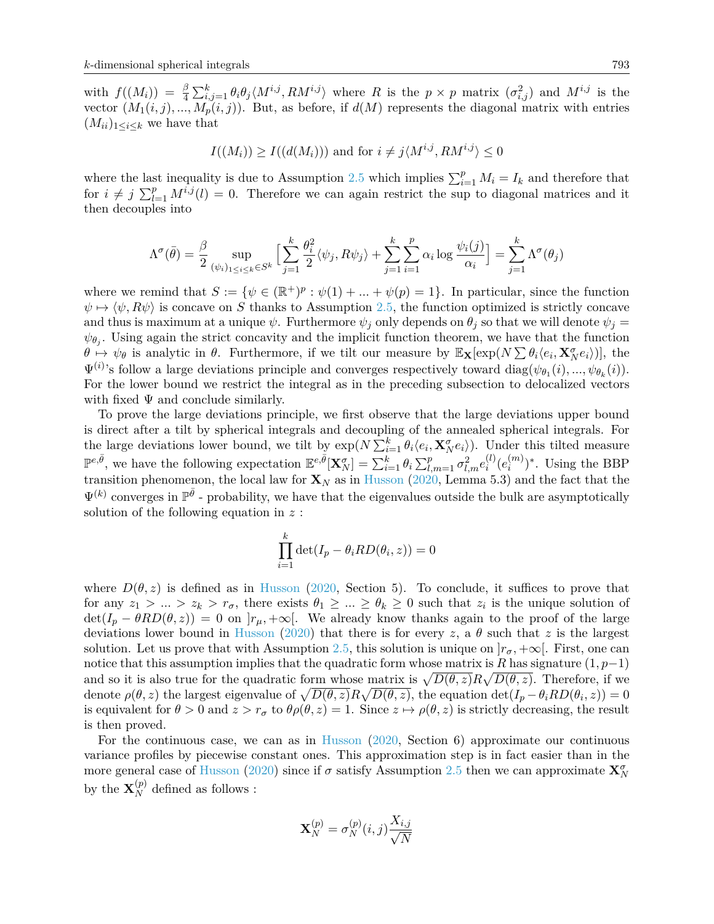with  $f((M_i)) = \frac{\beta}{4} \sum_{i,j=1}^k \theta_i \theta_j \langle M^{i,j}, RM^{i,j} \rangle$  where R is the  $p \times p$  matrix  $(\sigma_{i,j}^2)$  and  $M^{i,j}$  is the vector  $(M_1(i, j), ..., M_p(i, j))$ . But, as before, if  $d(M)$  represents the diagonal matrix with entries  $(M_{ii})_{1\leq i\leq k}$  we have that

$$
I((M_i)) \ge I((d(M_i)))
$$
 and for  $i \ne j \langle M^{i,j}, RM^{i,j} \rangle \le 0$ 

where the last inequality is due to Assumption [2.5](#page-4-0) which implies  $\sum_{i=1}^{p} M_i = I_k$  and therefore that for  $i \neq j$   $\sum_{l=1}^{p} M^{i,j}(l) = 0$ . Therefore we can again restrict the sup to diagonal matrices and it then decouples into

$$
\Lambda^{\sigma}(\bar{\theta})=\frac{\beta}{2}\sup_{(\psi_i)_{1\leq i\leq k}\in S^k}\Big[\sum_{j=1}^k\frac{\theta_i^2}{2}\langle\psi_j,R\psi_j\rangle+\sum_{j=1}^k\sum_{i=1}^p\alpha_i\log\frac{\psi_i(j)}{\alpha_i}\Big]=\sum_{j=1}^k\Lambda^{\sigma}(\theta_j)
$$

where we remind that  $S := \{ \psi \in (\mathbb{R}^+)^p : \psi(1) + \dots + \psi(p) = 1 \}.$  In particular, since the function  $\psi \mapsto \langle \psi, R\psi \rangle$  is concave on *S* thanks to Assumption [2.5,](#page-4-0) the function optimized is strictly concave and thus is maximum at a unique  $\psi$ . Furthermore  $\psi_j$  only depends on  $\theta_j$  so that we will denote  $\psi_j =$  $\psi_{\theta_j}$ . Using again the strict concavity and the implicit function theorem, we have that the function  $\theta \mapsto \psi_{\theta}$  is analytic in  $\theta$ . Furthermore, if we tilt our measure by  $\mathbb{E}_{\mathbf{X}}[\exp(N \sum \theta_i \langle e_i, \mathbf{X}_{N}^{\sigma} e_i \rangle)],$  the  $\Psi^{(i)}$ 's follow a large deviations principle and converges respectively toward diag( $\psi_{\theta_1}(i),...,\psi_{\theta_k}(i)$ ). For the lower bound we restrict the integral as in the preceding subsection to delocalized vectors with fixed  $\Psi$  and conclude similarly.

To prove the large deviations principle, we first observe that the large deviations upper bound is direct after a tilt by spherical integrals and decoupling of the annealed spherical integrals. For the large deviations lower bound, we tilt by  $\exp(N \sum_{i=1}^k \theta_i \langle e_i, \mathbf{X}_{N}^{\sigma} e_i \rangle)$ . Under this tilted measure  $\mathbb{P}^{e,\bar{\theta}}$ , we have the following expectation  $\mathbb{E}^{e,\bar{\theta}}[\mathbf{X}_N^{\sigma}] = \sum_{i=1}^k \theta_i \sum_{l,m=1}^p \sigma_{l,m}^2 e_i^{(l)}$  $\binom{l}{i}(e_i^{(m)}$  $\binom{m}{i}^*$ . Using the BBP transition phenomenon, the local law for  $\mathbf{X}_N$  as in [Husson](#page-28-3) [\(2020,](#page-28-3) Lemma 5.3) and the fact that the  $\Psi^{(k)}$  converges in  $\mathbb{P}^{\bar{\theta}}$  - probability, we have that the eigenvalues outside the bulk are asymptotically solution of the following equation in *z* :

$$
\prod_{i=1}^{k} \det(I_p - \theta_i RD(\theta_i, z)) = 0
$$

where  $D(\theta, z)$  is defined as in [Husson](#page-28-3) [\(2020,](#page-28-3) Section 5). To conclude, it suffices to prove that for any  $z_1 > ... > z_k > r_\sigma$ , there exists  $\theta_1 \geq ... \geq \theta_k \geq 0$  such that  $z_i$  is the unique solution of  $\det(I_p - \theta RD(\theta, z)) = 0$  on  $[r_\mu, +\infty[$ . We already know thanks again to the proof of the large deviations lower bound in [Husson](#page-28-3) [\(2020\)](#page-28-3) that there is for every *z*, a  $\theta$  such that *z* is the largest solution. Let us prove that with Assumption [2.5,](#page-4-0) this solution is unique on  $|r_{\sigma}$ , + $\infty$ . First, one can notice that this assumption implies that the quadratic form whose matrix is *R* has signature (1*, p*−1) and so it is also true for the quadratic form whose matrix is  $\sqrt{D(\theta, z)}R\sqrt{D(\theta, z)}$ . Therefore, if we denote  $\rho(\theta, z)$  the largest eigenvalue of  $\sqrt{D(\theta, z)}R\sqrt{D(\theta, z)}$ , the equation  $\det(I_p - \theta_i RD(\theta_i, z)) = 0$ is equivalent for  $\theta > 0$  and  $z > r_{\sigma}$  to  $\theta \rho(\theta, z) = 1$ . Since  $z \mapsto \rho(\theta, z)$  is strictly decreasing, the result is then proved.

For the continuous case, we can as in [Husson](#page-28-3) [\(2020,](#page-28-3) Section 6) approximate our continuous variance profiles by piecewise constant ones. This approximation step is in fact easier than in the more general case of [Husson](#page-28-3) [\(2020\)](#page-28-3) since if  $\sigma$  satisfy Assumption [2.5](#page-4-0) then we can approximate  $\mathbf{X}_N^{\sigma}$ by the  $\mathbf{X}_N^{(p)}$  defined as follows :

$$
\mathbf{X}_N^{(p)} = \sigma_N^{(p)}(i,j) \frac{X_{i,j}}{\sqrt{N}}
$$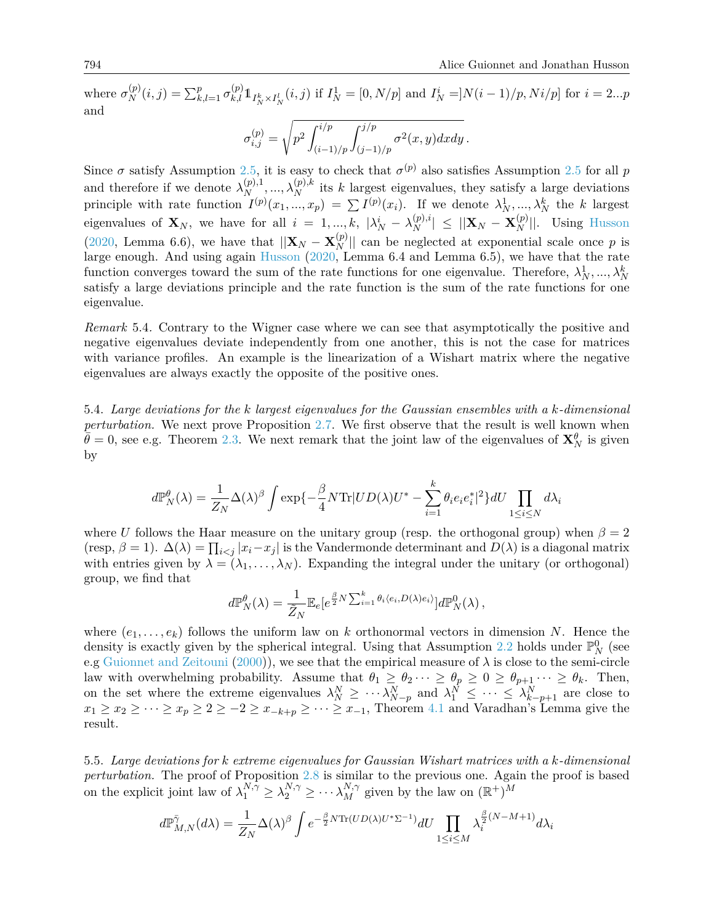where  $\sigma_N^{(p)}(i,j) = \sum_{k,l=1}^p \sigma_{k,l}^{(p)} 1_{I_N^k \times I_N^l}(i,j)$  if  $I_N^1 = [0, N/p]$  and  $I_N^i = ]N(i-1)/p, Ni/p]$  for  $i = 2...p$ and

$$
\sigma_{i,j}^{(p)} = \sqrt{p^2 \int_{(i-1)/p}^{i/p} \int_{(j-1)/p}^{j/p} \sigma^2(x, y) dx dy}.
$$

Since  $\sigma$  satisfy Assumption [2.5,](#page-4-0) it is easy to check that  $\sigma^{(p)}$  also satisfies Assumption [2.5](#page-4-0) for all *p* and therefore if we denote  $\lambda_N^{(p),1}, \ldots, \lambda_N^{(p),k}$  its *k* largest eigenvalues, they satisfy a large deviations principle with rate function  $I^{(p)}(x_1, ..., x_p) = \sum I^{(p)}(x_i)$ . If we denote  $\lambda_N^1, ..., \lambda_N^k$  the *k* largest eigenvalues of  $\mathbf{X}_N$ , we have for all  $i = 1, ..., k$ ,  $|\lambda_N^i - \lambda_N^{(p),i}| \le ||\mathbf{X}_N - \mathbf{X}_N^{(p)}||$ . Using [Husson](#page-28-3) [\(2020,](#page-28-3) Lemma 6.6), we have that  $||\mathbf{X}_N - \mathbf{X}_N^{(p)}||$  can be neglected at exponential scale once p is large enough. And using again [Husson](#page-28-3) [\(2020,](#page-28-3) Lemma 6.4 and Lemma 6.5), we have that the rate function converges toward the sum of the rate functions for one eigenvalue. Therefore,  $\lambda_N^1, ..., \lambda_N^k$ satisfy a large deviations principle and the rate function is the sum of the rate functions for one eigenvalue.

*Remark* 5.4*.* Contrary to the Wigner case where we can see that asymptotically the positive and negative eigenvalues deviate independently from one another, this is not the case for matrices with variance profiles. An example is the linearization of a Wishart matrix where the negative eigenvalues are always exactly the opposite of the positive ones.

<span id="page-25-0"></span>5.4. *Large deviations for the k largest eigenvalues for the Gaussian ensembles with a k-dimensional perturbation.* We next prove Proposition [2.7.](#page-5-1) We first observe that the result is well known when  $\hat{\theta} = 0$ , see e.g. Theorem [2.3.](#page-3-0) We next remark that the joint law of the eigenvalues of  $\mathbf{X}_N^{\theta}$  is given by

$$
d\mathbb{P}_N^{\theta}(\lambda) = \frac{1}{Z_N} \Delta(\lambda)^{\beta} \int \exp\{-\frac{\beta}{4} N \text{Tr} |UD(\lambda)U^* - \sum_{i=1}^k \theta_i e_i e_i^*|^2\} dU \prod_{1 \le i \le N} d\lambda_i
$$

where *U* follows the Haar measure on the unitary group (resp. the orthogonal group) when  $\beta = 2$ (resp,  $\beta = 1$ ).  $\Delta(\lambda) = \prod_{i < j} |x_i - x_j|$  is the Vandermonde determinant and  $D(\lambda)$  is a diagonal matrix with entries given by  $\lambda = (\lambda_1, \ldots, \lambda_N)$ . Expanding the integral under the unitary (or orthogonal) group, we find that

$$
d\mathbb{P}_N^{\theta}(\lambda) = \frac{1}{\tilde{Z}_N} \mathbb{E}_e[e^{\frac{\beta}{2}N \sum_{i=1}^k \theta_i \langle e_i, D(\lambda) e_i \rangle}] d\mathbb{P}_N^0(\lambda),
$$

where  $(e_1, \ldots, e_k)$  follows the uniform law on *k* orthonormal vectors in dimension *N*. Hence the density is exactly given by the spherical integral. Using that Assumption [2.2](#page-2-0) holds under  $\mathbb{P}_{N}^{0}$  (see e.g [Guionnet and Zeitouni](#page-27-16) [\(2000\)](#page-27-16)), we see that the empirical measure of  $\lambda$  is close to the semi-circle law with overwhelming probability. Assume that  $\theta_1 \ge \theta_2 \cdots \ge \theta_p \ge 0 \ge \theta_{p+1} \cdots \ge \theta_k$ . Then, on the set where the extreme eigenvalues  $\lambda_N^N \geq \cdots \lambda_{N-p}^N$  and  $\lambda_1^N \leq \cdots \leq \lambda_{k-p+1}^N$  are close to  $x_1 \geq x_2 \geq \cdots \geq x_p \geq 2 \geq -2 \geq x_{-k+p} \geq \cdots \geq x_{-1}$ , Theorem [4.1](#page-17-0) and Varadhan's Lemma give the result.

<span id="page-25-1"></span>5.5. *Large deviations for k extreme eigenvalues for Gaussian Wishart matrices with a k-dimensional perturbation.* The proof of Proposition [2.8](#page-6-2) is similar to the previous one. Again the proof is based on the explicit joint law of  $\lambda_1^{N,\gamma} \ge \lambda_2^{N,\gamma} \ge \cdots \lambda_M^{N,\gamma}$  given by the law on  $(\mathbb{R}^+)^M$ 

$$
d\mathbb{P}_{M,N}^{\bar{\gamma}}(d\lambda) = \frac{1}{Z_N} \Delta(\lambda)^{\beta} \int e^{-\frac{\beta}{2}N \text{Tr}(UD(\lambda)U^* \Sigma^{-1})} dU \prod_{1 \le i \le M} \lambda_i^{\frac{\beta}{2}(N-M+1)} d\lambda_i
$$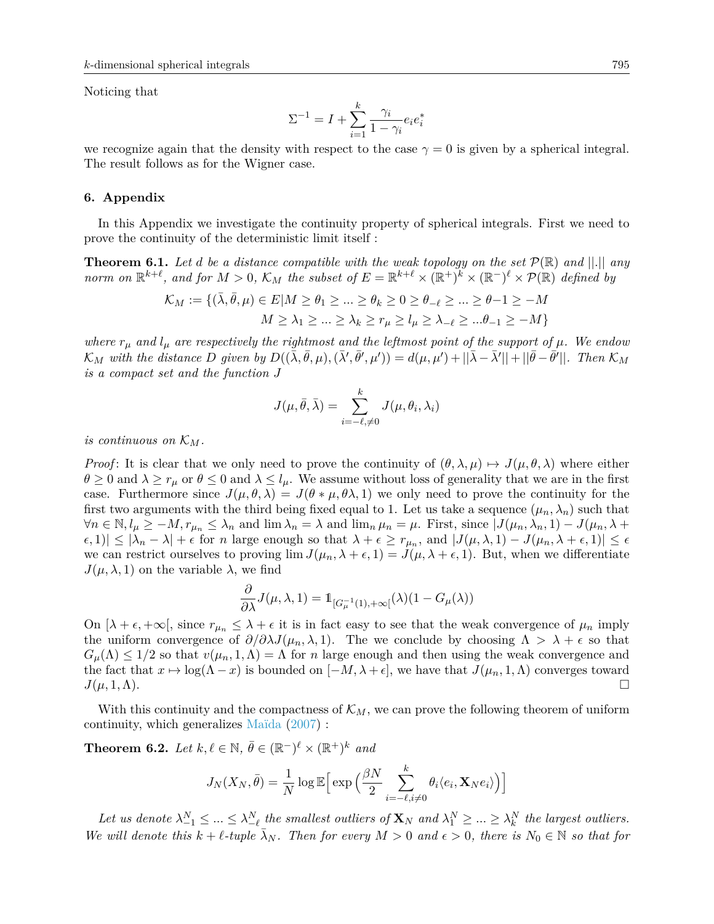Noticing that

$$
\Sigma^{-1} = I + \sum_{i=1}^{k} \frac{\gamma_i}{1 - \gamma_i} e_i e_i^*
$$

we recognize again that the density with respect to the case  $\gamma = 0$  is given by a spherical integral. The result follows as for the Wigner case.

#### <span id="page-26-0"></span>**6. Appendix**

In this Appendix we investigate the continuity property of spherical integrals. First we need to prove the continuity of the deterministic limit itself :

<span id="page-26-1"></span>**Theorem 6.1.** Let *d* be a distance compatible with the weak topology on the set  $\mathcal{P}(\mathbb{R})$  and  $||.||$  any *norm on*  $\mathbb{R}^{k+\ell}$ *, and for*  $M > 0$ *,*  $\mathcal{K}_M$  the subset of  $E = \mathbb{R}^{k+\ell} \times (\mathbb{R}^+)^k \times (\mathbb{R}^-)^{\ell} \times \mathcal{P}(\mathbb{R})$  defined by

$$
\mathcal{K}_M:=\{(\bar{\lambda},\bar{\theta},\mu)\in E| M\geq \theta_1\geq \ldots \geq \theta_k\geq 0\geq \theta_{-\ell}\geq \ldots \geq \theta-1\geq -M\\ M\geq \lambda_1\geq \ldots \geq \lambda_k\geq r_\mu\geq l_\mu\geq \lambda_{-\ell}\geq \ldots \theta_{-1}\geq -M\}
$$

*where*  $r_{\mu}$  and  $l_{\mu}$  are respectively the rightmost and the leftmost point of the support of  $\mu$ . We endow  $\mathcal{K}_M$  with the distance D given by  $D((\bar{\lambda}, \bar{\theta}, \mu), (\bar{\lambda}', \bar{\theta}', \mu')) = d(\mu, \mu') + ||\bar{\lambda} - \bar{\lambda}'|| + ||\bar{\theta} - \bar{\theta}'||$ . Then  $\mathcal{K}_M$ *is a compact set and the function J*

$$
J(\mu,\bar{\theta},\bar{\lambda})=\sum_{i=-\ell,\neq 0}^k J(\mu,\theta_i,\lambda_i)
$$

*is continuous on*  $K_M$ .

*Proof*: It is clear that we only need to prove the continuity of  $(\theta, \lambda, \mu) \mapsto J(\mu, \theta, \lambda)$  where either  $\theta \geq 0$  and  $\lambda \geq r_{\mu}$  or  $\theta \leq 0$  and  $\lambda \leq l_{\mu}$ . We assume without loss of generality that we are in the first case. Furthermore since  $J(\mu, \theta, \lambda) = J(\theta * \mu, \theta \lambda, 1)$  we only need to prove the continuity for the first two arguments with the third being fixed equal to 1. Let us take a sequence  $(\mu_n, \lambda_n)$  such that  $\forall n \in \mathbb{N}, l_{\mu} \geq -M, r_{\mu_n} \leq \lambda_n$  and  $\lim_{n} \lambda_n = \lambda$  and  $\lim_{n} \mu_n = \mu$ . First, since  $J(\mu_n, \lambda_n, 1) - J(\mu_n, \lambda +$  $\mathcal{L}(\epsilon,1) \leq |\lambda_n - \lambda| + \epsilon$  for *n* large enough so that  $\lambda + \epsilon \geq r_{\mu_n}$ , and  $|J(\mu,\lambda,1) - J(\mu_n,\lambda + \epsilon,1)| \leq \epsilon$ we can restrict ourselves to proving  $\lim J(\mu_n, \lambda + \epsilon, 1) = J(\mu, \lambda + \epsilon, 1)$ . But, when we differentiate *J*( $\mu$ ,  $\lambda$ , 1) on the variable  $\lambda$ , we find

$$
\frac{\partial}{\partial \lambda} J(\mu, \lambda, 1) = \mathbbm{1}_{[G_{\mu}^{-1}(1), +\infty[}(\lambda)(1 - G_{\mu}(\lambda))
$$

On  $[\lambda + \epsilon, +\infty]$ , since  $r_{\mu_n} \leq \lambda + \epsilon$  it is in fact easy to see that the weak convergence of  $\mu_n$  imply the uniform convergence of  $\partial/\partial \lambda J(\mu_n, \lambda, 1)$ . The we conclude by choosing  $\Lambda > \lambda + \epsilon$  so that  $G_{\mu}(\Lambda) \leq 1/2$  so that  $v(\mu_n, 1, \Lambda) = \Lambda$  for *n* large enough and then using the weak convergence and the fact that  $x \mapsto \log(\Lambda - x)$  is bounded on  $[-M, \lambda + \epsilon]$ , we have that  $J(\mu_n, 1, \Lambda)$  converges toward  $J(\mu, 1, \Lambda)$ .

With this continuity and the compactness of  $\mathcal{K}_M$ , we can prove the following theorem of uniform continuity, which generalizes [Maïda](#page-28-7) [\(2007\)](#page-28-7) :

<span id="page-26-2"></span>**Theorem 6.2.** *Let*  $k, \ell \in \mathbb{N}$ ,  $\bar{\theta} \in (\mathbb{R}^-)^{\ell} \times (\mathbb{R}^+)^k$  *and* 

$$
J_N(X_N, \bar{\theta}) = \frac{1}{N} \log \mathbb{E} \Big[ \exp \Big( \frac{\beta N}{2} \sum_{i=-\ell, i \neq 0}^k \theta_i \langle e_i, \mathbf{X}_N e_i \rangle \Big) \Big]
$$

Let us denote  $\lambda_{-1}^N \leq ... \leq \lambda_{-\ell}^N$  the smallest outliers of  $\mathbf{X}_N$  and  $\lambda_1^N \geq ... \geq \lambda_k^N$  the largest outliers. *We will denote this*  $k + \ell$ -tuple  $\bar{\lambda}_N$ . Then for every  $M > 0$  and  $\epsilon > 0$ , there is  $N_0 \in \mathbb{N}$  so that for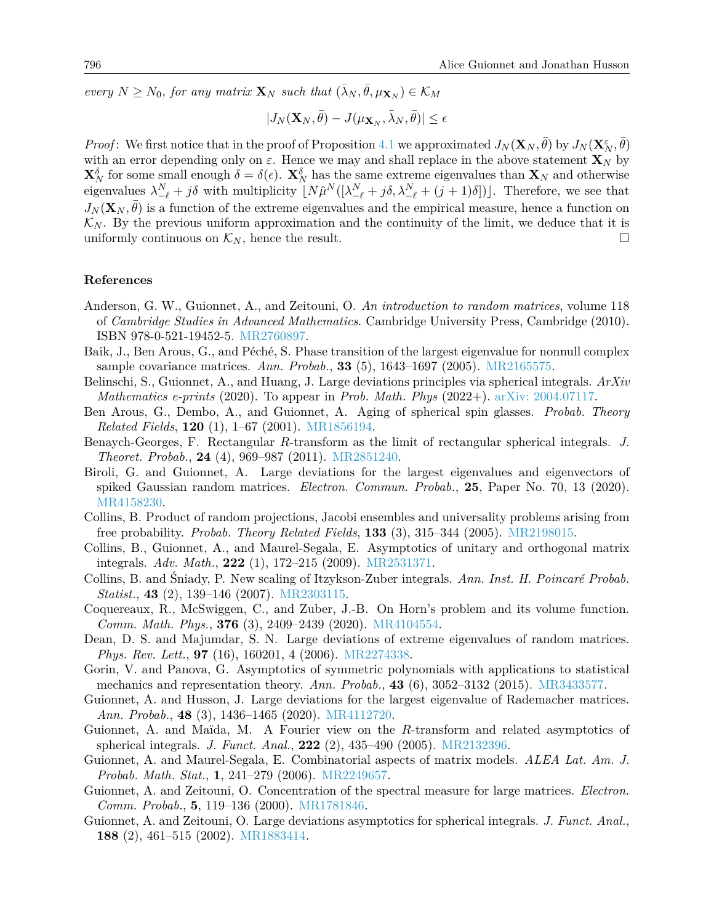$e^{j} \geq N_0$ , for any matrix  $\mathbf{X}_N$  such that  $(\bar{\lambda}_N, \bar{\theta}, \mu_{\mathbf{X}_N}) \in \mathcal{K}_M$ 

$$
|J_N({\bf X}_N,\bar{\theta}) - J(\mu_{{\bf X}_N},\bar{\lambda}_N,\bar{\theta})| \leq \epsilon
$$

*Proof*: We first notice that in the proof of Proposition [4.1](#page-17-0) we approximated  $J_N(\mathbf{X}_N, \bar{\theta})$  by  $J_N(\mathbf{X}_N^{\varepsilon}, \bar{\theta})$ with an error depending only on  $\varepsilon$ . Hence we may and shall replace in the above statement  $\mathbf{X}_N$  by **X***<sup>δ</sup> <sup>N</sup>* for some small enough *δ* = *δ*(). **X***<sup>δ</sup> <sup>N</sup>* has the same extreme eigenvalues than **X***<sup>N</sup>* and otherwise eigenvalues  $\lambda_{-\ell}^N + j\delta$  with multiplicity  $[N\hat{\mu}^N([\lambda_{-\ell}^N + j\delta, \lambda_{-\ell}^N + (j+1)\delta])].$  Therefore, we see that  $J_N(\mathbf{X}_N, \bar{\theta})$  is a function of the extreme eigenvalues and the empirical measure, hence a function on  $\mathcal{K}_N$ . By the previous uniform approximation and the continuity of the limit, we deduce that it is uniformly continuous on  $\mathcal{K}_N$ , hence the result.

### **References**

- <span id="page-27-10"></span>Anderson, G. W., Guionnet, A., and Zeitouni, O. *An introduction to random matrices*, volume 118 of *Cambridge Studies in Advanced Mathematics*. Cambridge University Press, Cambridge (2010). ISBN 978-0-521-19452-5. [MR2760897.](http://www.ams.org/mathscinet-getitem?mr=MR2760897)
- <span id="page-27-14"></span>Baik, J., Ben Arous, G., and Péché, S. Phase transition of the largest eigenvalue for nonnull complex sample covariance matrices. *Ann. Probab.*, **33** (5), 1643–1697 (2005). [MR2165575.](http://www.ams.org/mathscinet-getitem?mr=MR2165575)
- <span id="page-27-2"></span>Belinschi, S., Guionnet, A., and Huang, J. Large deviations principles via spherical integrals. *ArXiv Mathematics e-prints* (2020). To appear in *Prob. Math. Phys* (2022+). [arXiv: 2004.07117.](http://arxiv.org/abs/2004.07117)
- <span id="page-27-11"></span>Ben Arous, G., Dembo, A., and Guionnet, A. Aging of spherical spin glasses. *Probab. Theory Related Fields*, **120** (1), 1–67 (2001). [MR1856194.](http://www.ams.org/mathscinet-getitem?mr=MR1856194)
- <span id="page-27-6"></span>Benaych-Georges, F. Rectangular *R*-transform as the limit of rectangular spherical integrals. *J. Theoret. Probab.*, **24** (4), 969–987 (2011). [MR2851240.](http://www.ams.org/mathscinet-getitem?mr=MR2851240)
- <span id="page-27-12"></span>Biroli, G. and Guionnet, A. Large deviations for the largest eigenvalues and eigenvectors of spiked Gaussian random matrices. *Electron. Commun. Probab.*, **25**, Paper No. 70, 13 (2020). [MR4158230.](http://www.ams.org/mathscinet-getitem?mr=MR4158230)
- <span id="page-27-15"></span>Collins, B. Product of random projections, Jacobi ensembles and universality problems arising from free probability. *Probab. Theory Related Fields*, **133** (3), 315–344 (2005). [MR2198015.](http://www.ams.org/mathscinet-getitem?mr=MR2198015)
- <span id="page-27-3"></span>Collins, B., Guionnet, A., and Maurel-Segala, E. Asymptotics of unitary and orthogonal matrix integrals. *Adv. Math.*, **222** (1), 172–215 (2009). [MR2531371.](http://www.ams.org/mathscinet-getitem?mr=MR2531371)
- <span id="page-27-9"></span>Collins, B. and Śniady, P. New scaling of Itzykson-Zuber integrals. *Ann. Inst. H. Poincaré Probab. Statist.*, **43** (2), 139–146 (2007). [MR2303115.](http://www.ams.org/mathscinet-getitem?mr=MR2303115)
- <span id="page-27-0"></span>Coquereaux, R., McSwiggen, C., and Zuber, J.-B. On Horn's problem and its volume function. *Comm. Math. Phys.*, **376** (3), 2409–2439 (2020). [MR4104554.](http://www.ams.org/mathscinet-getitem?mr=MR4104554)
- <span id="page-27-13"></span>Dean, D. S. and Majumdar, S. N. Large deviations of extreme eigenvalues of random matrices. *Phys. Rev. Lett.*, **97** (16), 160201, 4 (2006). [MR2274338.](http://www.ams.org/mathscinet-getitem?mr=MR2274338)
- <span id="page-27-7"></span>Gorin, V. and Panova, G. Asymptotics of symmetric polynomials with applications to statistical mechanics and representation theory. *Ann. Probab.*, **43** (6), 3052–3132 (2015). [MR3433577.](http://www.ams.org/mathscinet-getitem?mr=MR3433577)
- <span id="page-27-1"></span>Guionnet, A. and Husson, J. Large deviations for the largest eigenvalue of Rademacher matrices. *Ann. Probab.*, **48** (3), 1436–1465 (2020). [MR4112720.](http://www.ams.org/mathscinet-getitem?mr=MR4112720)
- <span id="page-27-5"></span>Guionnet, A. and Maïda, M. A Fourier view on the *R*-transform and related asymptotics of spherical integrals. *J. Funct. Anal.*, **222** (2), 435–490 (2005). [MR2132396.](http://www.ams.org/mathscinet-getitem?mr=MR2132396)
- <span id="page-27-4"></span>Guionnet, A. and Maurel-Segala, E. Combinatorial aspects of matrix models. *ALEA Lat. Am. J. Probab. Math. Stat.*, **1**, 241–279 (2006). [MR2249657.](http://www.ams.org/mathscinet-getitem?mr=MR2249657)
- <span id="page-27-16"></span>Guionnet, A. and Zeitouni, O. Concentration of the spectral measure for large matrices. *Electron. Comm. Probab.*, **5**, 119–136 (2000). [MR1781846.](http://www.ams.org/mathscinet-getitem?mr=MR1781846)
- <span id="page-27-8"></span>Guionnet, A. and Zeitouni, O. Large deviations asymptotics for spherical integrals. *J. Funct. Anal.*, **188** (2), 461–515 (2002). [MR1883414.](http://www.ams.org/mathscinet-getitem?mr=MR1883414)